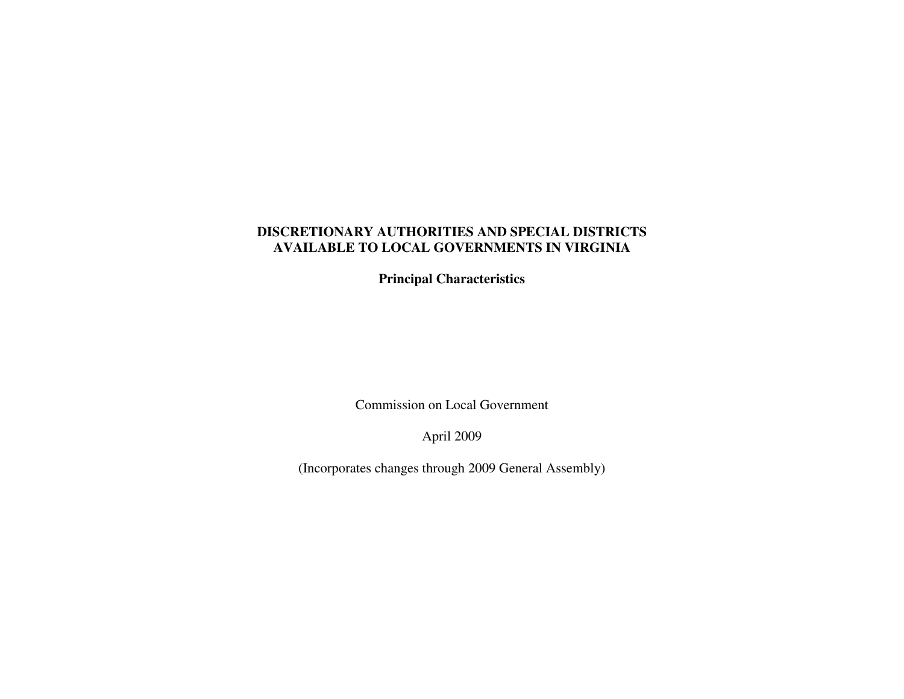**Principal Characteristics** 

Commission on Local Government

April 2009

(Incorporates changes through 2009 General Assembly)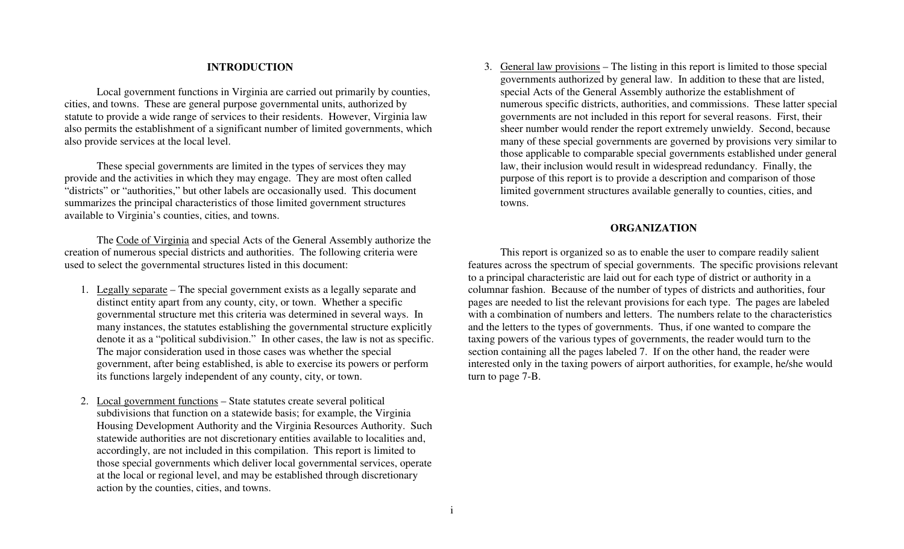# **INTRODUCTION**

 Local government functions in Virginia are carried out primarily by counties, cities, and towns. These are general purpose governmental units, authorized by statute to provide a wide range of services to their residents. However, Virginia law also permits the establishment of a significant number of limited governments, which also provide services at the local level.

 These special governments are limited in the types of services they may provide and the activities in which they may engage. They are most often called "districts" or "authorities," but other labels are occasionally used. This document summarizes the principal characteristics of those limited government structures available to Virginia's counties, cities, and towns.

 The Code of Virginia and special Acts of the General Assembly authorize the creation of numerous special districts and authorities. The following criteria were used to select the governmental structures listed in this document:

- 1. Legally separate The special government exists as a legally separate and distinct entity apart from any county, city, or town. Whether a specific governmental structure met this criteria was determined in several ways. In many instances, the statutes establishing the governmental structure explicitly denote it as a "political subdivision." In other cases, the law is not as specific. The major consideration used in those cases was whether the special government, after being established, is able to exercise its powers or perform its functions largely independent of any county, city, or town.
- 2. Local government functions State statutes create several political subdivisions that function on a statewide basis; for example, the Virginia Housing Development Authority and the Virginia Resources Authority. Such statewide authorities are not discretionary entities available to localities and, accordingly, are not included in this compilation. This report is limited to those special governments which deliver local governmental services, operate at the local or regional level, and may be established through discretionary action by the counties, cities, and towns.

3. General law provisions – The listing in this report is limited to those special governments authorized by general law. In addition to these that are listed, special Acts of the General Assembly authorize the establishment of numerous specific districts, authorities, and commissions. These latter special governments are not included in this report for several reasons. First, their sheer number would render the report extremely unwieldy. Second, because many of these special governments are governed by provisions very similar to those applicable to comparable special governments established under general law, their inclusion would result in widespread redundancy. Finally, the purpose of this report is to provide a description and comparison of those limited government structures available generally to counties, cities, and towns.

## **ORGANIZATION**

 This report is organized so as to enable the user to compare readily salient features across the spectrum of special governments. The specific provisions relevant to a principal characteristic are laid out for each type of district or authority in a columnar fashion. Because of the number of types of districts and authorities, four pages are needed to list the relevant provisions for each type. The pages are labeled with a combination of numbers and letters. The numbers relate to the characteristics and the letters to the types of governments. Thus, if one wanted to compare the taxing powers of the various types of governments, the reader would turn to the section containing all the pages labeled 7. If on the other hand, the reader were interested only in the taxing powers of airport authorities, for example, he/she would turn to page 7-B.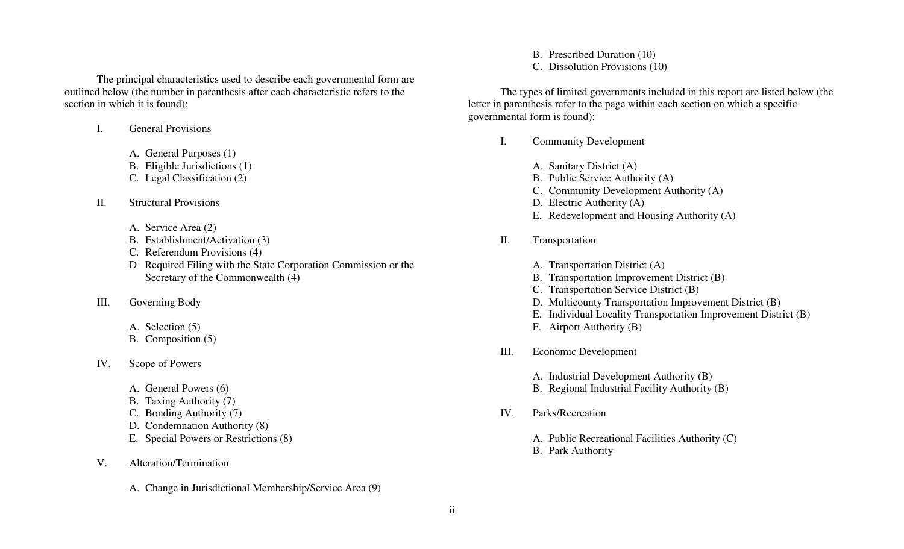The principal characteristics used to describe each governmental form are outlined below (the number in parenthesis after each characteristic refers to the section in which it is found):

I.General Provisions

- A. General Purposes (1)
- B. Eligible Jurisdictions (1)
- C. Legal Classification (2)
- II. Structural Provisions
	- A. Service Area (2)
	- B. Establishment/Activation (3)
	- C. Referendum Provisions (4)
	- D Required Filing with the State Corporation Commission or the Secretary of the Commonwealth (4)
- III. Governing Body
	- A. Selection (5)
	- B. Composition (5)
- IV. Scope of Powers
	- A. General Powers (6)
	- B. Taxing Authority (7)
	- C. Bonding Authority (7)
	- D. Condemnation Authority (8)
	- E. Special Powers or Restrictions (8)
- V. Alteration/Termination
	- A. Change in Jurisdictional Membership/Service Area (9)

B. Prescribed Duration (10)

C. Dissolution Provisions (10)

 The types of limited governments included in this report are listed below (the letter in parenthesis refer to the page within each section on which a specific governmental form is found):

- I. Community Development
	- A. Sanitary District (A)
	- B. Public Service Authority (A)
	- C. Community Development Authority (A)
	- D. Electric Authority (A)
	- E. Redevelopment and Housing Authority (A)
- II. Transportation
	- A. Transportation District (A)
	- B. Transportation Improvement District (B)
	- C. Transportation Service District (B)
	- D. Multicounty Transportation Improvement District (B)
	- E. Individual Locality Transportation Improvement District (B)
	- F. Airport Authority (B)
- III. Economic Development
	- A. Industrial Development Authority (B)
	- B. Regional Industrial Facility Authority (B)
- IV. Parks/Recreation
	- A. Public Recreational Facilities Authority (C)
	- B. Park Authority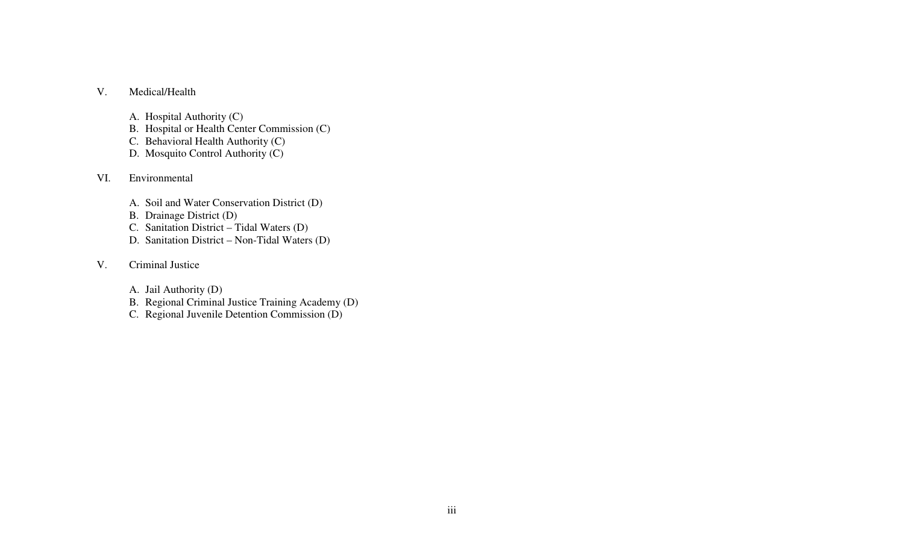#### V.Medical/Health

- A. Hospital Authority (C)
- B. Hospital or Health Center Commission (C)
- C. Behavioral Health Authority (C)
- D. Mosquito Control Authority (C)
- VI. Environmental
	- A. Soil and Water Conservation District (D)
	- B. Drainage District (D)
	- C. Sanitation District Tidal Waters (D)
	- D. Sanitation District Non-Tidal Waters (D)
- V. Criminal Justice
	- A. Jail Authority (D)
	- B. Regional Criminal Justice Training Academy (D)
	- C. Regional Juvenile Detention Commission (D)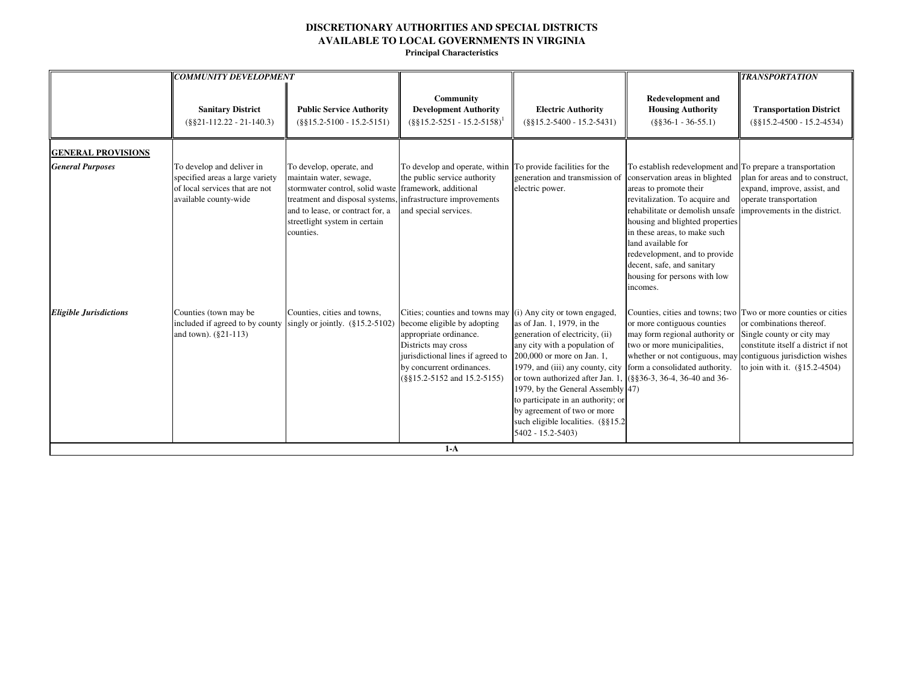|                                                      | <b>COMMUNITY DEVELOPMENT</b>                                                                                            |                                                                                                                                                                                                            |                                                                                                                                                                                                                      |                                                                                                                                                                                                                                                                                                                                                                                                             |                                                                                                                                                                                                                                                                                                                                                                                                 | <b>TRANSPORTATION</b>                                                                                                            |
|------------------------------------------------------|-------------------------------------------------------------------------------------------------------------------------|------------------------------------------------------------------------------------------------------------------------------------------------------------------------------------------------------------|----------------------------------------------------------------------------------------------------------------------------------------------------------------------------------------------------------------------|-------------------------------------------------------------------------------------------------------------------------------------------------------------------------------------------------------------------------------------------------------------------------------------------------------------------------------------------------------------------------------------------------------------|-------------------------------------------------------------------------------------------------------------------------------------------------------------------------------------------------------------------------------------------------------------------------------------------------------------------------------------------------------------------------------------------------|----------------------------------------------------------------------------------------------------------------------------------|
|                                                      | <b>Sanitary District</b><br>$(\$§21-112.22-21-140.3)$                                                                   | <b>Public Service Authority</b><br>$(\$§15.2-5100 - 15.2-5151)$                                                                                                                                            | Community<br><b>Development Authority</b><br>$(\S\S15.2 - 5251 - 15.2 - 5158)^1$                                                                                                                                     | <b>Electric Authority</b><br>$(\$§15.2-5400 - 15.2-5431)$                                                                                                                                                                                                                                                                                                                                                   | <b>Redevelopment and</b><br><b>Housing Authority</b><br>$(\$§36-1 - 36-55.1)$                                                                                                                                                                                                                                                                                                                   | <b>Transportation District</b><br>$(\$§15.2-4500 - 15.2-4534)$                                                                   |
| <b>GENERAL PROVISIONS</b><br><b>General Purposes</b> | To develop and deliver in<br>specified areas a large variety<br>of local services that are not<br>available county-wide | To develop, operate, and<br>maintain water, sewage,<br>stormwater control, solid waste<br>treatment and disposal systems<br>and to lease, or contract for, a<br>streetlight system in certain<br>counties. | To develop and operate, within To provide facilities for the<br>the public service authority<br>framework, additional<br>infrastructure improvements<br>and special services.                                        | generation and transmission of<br>electric power.                                                                                                                                                                                                                                                                                                                                                           | To establish redevelopment and To prepare a transportation<br>conservation areas in blighted<br>areas to promote their<br>revitalization. To acquire and<br>rehabilitate or demolish unsafe<br>housing and blighted properties<br>in these areas, to make such<br>land available for<br>redevelopment, and to provide<br>decent, safe, and sanitary<br>housing for persons with low<br>incomes. | plan for areas and to construct,<br>expand, improve, assist, and<br>operate transportation<br>improvements in the district.      |
| <b>Eligible Jurisdictions</b>                        | Counties (town may be<br>included if agreed to by county<br>and town). (§21-113)                                        | Counties, cities and towns,<br>singly or jointly. $(\S15.2-5102)$                                                                                                                                          | Cities; counties and towns may<br>become eligible by adopting<br>appropriate ordinance.<br>Districts may cross<br>jurisdictional lines if agreed to<br>by concurrent ordinances.<br>$(\$§15.2-5152$ and $15.2-5155)$ | (i) Any city or town engaged,<br>as of Jan. 1, 1979, in the<br>generation of electricity, (ii)<br>any city with a population of<br>200,000 or more on Jan. 1,<br>1979, and (iii) any county, city<br>or town authorized after Jan. 1<br>1979, by the General Assembly 47)<br>to participate in an authority; or<br>by agreement of two or more<br>such eligible localities. (§§15.2<br>$5402 - 15.2 - 5403$ | Counties, cities and towns; two Two or more counties or cities<br>or more contiguous counties<br>may form regional authority or<br>two or more municipalities,<br>whether or not contiguous, may contiguous jurisdiction wishes<br>form a consolidated authority.<br>(§§36-3, 36-4, 36-40 and 36-                                                                                               | or combinations thereof.<br>Single county or city may<br>constitute itself a district if not<br>to join with it. $(\$15.2-4504)$ |
|                                                      |                                                                                                                         |                                                                                                                                                                                                            | $1-A$                                                                                                                                                                                                                |                                                                                                                                                                                                                                                                                                                                                                                                             |                                                                                                                                                                                                                                                                                                                                                                                                 |                                                                                                                                  |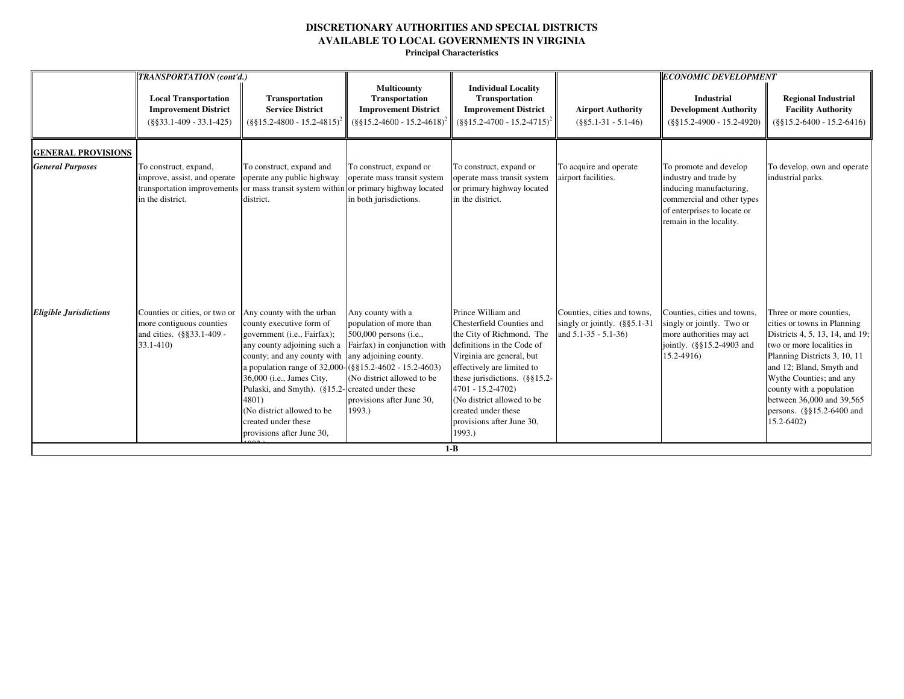|                                                      | <b>TRANSPORTATION</b> (cont'd.)                                                                        |                                                                                                                                                                                                                                                                                                                                                                                                               |                                                                                                                                                                             |                                                                                                                                                                                                                                                                                                                             |                                                                                              | <b>ECONOMIC DEVELOPMENT</b>                                                                                                                                        |                                                                                                                                                                                                                                                                                                                                    |
|------------------------------------------------------|--------------------------------------------------------------------------------------------------------|---------------------------------------------------------------------------------------------------------------------------------------------------------------------------------------------------------------------------------------------------------------------------------------------------------------------------------------------------------------------------------------------------------------|-----------------------------------------------------------------------------------------------------------------------------------------------------------------------------|-----------------------------------------------------------------------------------------------------------------------------------------------------------------------------------------------------------------------------------------------------------------------------------------------------------------------------|----------------------------------------------------------------------------------------------|--------------------------------------------------------------------------------------------------------------------------------------------------------------------|------------------------------------------------------------------------------------------------------------------------------------------------------------------------------------------------------------------------------------------------------------------------------------------------------------------------------------|
|                                                      | <b>Local Transportation</b><br><b>Improvement District</b><br>$(\$§33.1-409 - 33.1-425)$               | <b>Transportation</b><br><b>Service District</b><br>$($ §§15.2-4800 - 15.2-4815) <sup>2</sup>                                                                                                                                                                                                                                                                                                                 | <b>Multicounty</b><br>Transportation<br><b>Improvement District</b><br>$(\$§15.2-4600 - 15.2-4618)^2$                                                                       | <b>Individual Locality</b><br>Transportation<br><b>Improvement District</b><br>$(\frac{8815.2-4700-15.2-4715)^2}$                                                                                                                                                                                                           | <b>Airport Authority</b><br>$(\$§5.1-31 - 5.1-46)$                                           | <b>Industrial</b><br><b>Development Authority</b><br>$(\$§15.2-4900 - 15.2-4920)$                                                                                  | <b>Regional Industrial</b><br><b>Facility Authority</b><br>$(\$§15.2-6400 - 15.2-6416)$                                                                                                                                                                                                                                            |
| <b>GENERAL PROVISIONS</b><br><b>General Purposes</b> | To construct, expand,<br>improve, assist, and operate<br>in the district.                              | To construct, expand and<br>operate any public highway<br>transportation improvements or mass transit system within or primary highway located<br>district.                                                                                                                                                                                                                                                   | To construct, expand or<br>operate mass transit system<br>in both jurisdictions.                                                                                            | To construct, expand or<br>operate mass transit system<br>or primary highway located<br>in the district.                                                                                                                                                                                                                    | To acquire and operate<br>airport facilities.                                                | To promote and develop<br>industry and trade by<br>inducing manufacturing,<br>commercial and other types<br>of enterprises to locate or<br>remain in the locality. | To develop, own and operate<br>industrial parks.                                                                                                                                                                                                                                                                                   |
| <b>Eligible Jurisdictions</b>                        | Counties or cities, or two or<br>more contiguous counties<br>and cities. (§§33.1-409 -<br>$33.1 - 410$ | Any county with the urban<br>county executive form of<br>government (i.e., Fairfax);<br>any county adjoining such a<br>county; and any county with any adjoining county.<br>a population range of 32,000-(§§15.2-4602 - 15.2-4603)<br>36,000 (i.e., James City,<br>Pulaski, and Smyth). (§15.2-created under these<br>4801)<br>(No district allowed to be<br>created under these<br>provisions after June 30, | Any county with a<br>population of more than<br>500,000 persons (i.e.,<br>Fairfax) in conjunction with<br>(No district allowed to be<br>provisions after June 30,<br>1993.) | Prince William and<br>Chesterfield Counties and<br>the City of Richmond. The<br>definitions in the Code of<br>Virginia are general, but<br>effectively are limited to<br>these jurisdictions. $(\S$ §15.2-<br>4701 - 15.2-4702)<br>(No district allowed to be<br>created under these<br>provisions after June 30,<br>1993.) | Counties, cities and towns,<br>singly or jointly. $(\S$ §5.1-31<br>and $5.1 - 35 - 5.1 - 36$ | Counties, cities and towns,<br>singly or jointly. Two or<br>more authorities may act<br>jointly. (§§15.2-4903 and<br>$15.2 - 4916$                                 | Three or more counties,<br>cities or towns in Planning<br>Districts 4, 5, 13, 14, and 19;<br>two or more localities in<br>Planning Districts 3, 10, 11<br>and 12; Bland, Smyth and<br>Wythe Counties; and any<br>county with a population<br>between 36,000 and 39,565<br>persons. $(\frac{8}{5}15.2 - 6400)$ and<br>$15.2 - 6402$ |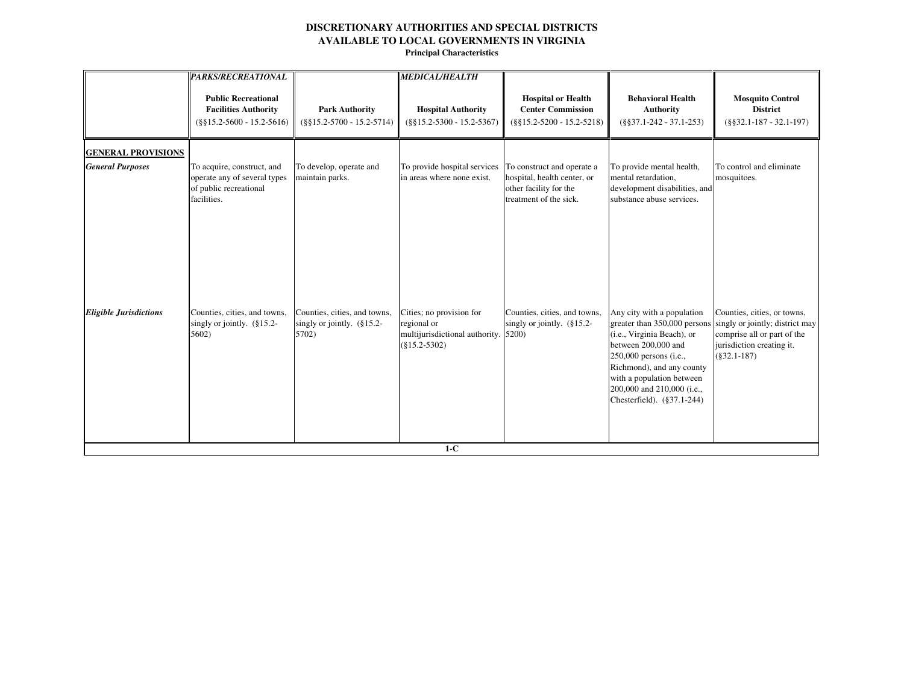|                                                      | <b>PARKS/RECREATIONAL</b>                                                                           |                                                                     | <b>MEDICAL/HEALTH</b>                                                                              |                                                                                                               |                                                                                                                                                                                                                                                                 |                                                                                                                                              |
|------------------------------------------------------|-----------------------------------------------------------------------------------------------------|---------------------------------------------------------------------|----------------------------------------------------------------------------------------------------|---------------------------------------------------------------------------------------------------------------|-----------------------------------------------------------------------------------------------------------------------------------------------------------------------------------------------------------------------------------------------------------------|----------------------------------------------------------------------------------------------------------------------------------------------|
|                                                      | <b>Public Recreational</b><br><b>Facilities Authority</b><br>$(\$§15.2-5600 - 15.2-5616)$           | <b>Park Authority</b><br>$(\$§15.2-5700 - 15.2-5714)$               | <b>Hospital Authority</b><br>$(\$§15.2-5300 - 15.2-5367)$                                          | <b>Hospital or Health</b><br><b>Center Commission</b><br>$(\$§15.2-5200 - 15.2-5218)$                         | <b>Behavioral Health</b><br><b>Authority</b><br>$(\$§37.1-242 - 37.1-253)$                                                                                                                                                                                      | <b>Mosquito Control</b><br><b>District</b><br>$(\$§32.1-187-32.1-197)$                                                                       |
| <b>GENERAL PROVISIONS</b><br><b>General Purposes</b> | To acquire, construct, and<br>operate any of several types<br>of public recreational<br>facilities. | To develop, operate and<br>maintain parks.                          | To provide hospital services<br>in areas where none exist.                                         | To construct and operate a<br>hospital, health center, or<br>other facility for the<br>treatment of the sick. | To provide mental health,<br>mental retardation,<br>development disabilities, and<br>substance abuse services.                                                                                                                                                  | To control and eliminate<br>mosquitoes.                                                                                                      |
| <b>Eligible Jurisdictions</b>                        | Counties, cities, and towns,<br>singly or jointly. $(\S 15.2 -$<br>5602)                            | Counties, cities, and towns,<br>singly or jointly. (§15.2-<br>5702) | Cities; no provision for<br>regional or<br>multijurisdictional authority. 5200)<br>$(\$15.2-5302)$ | Counties, cities, and towns,<br>singly or jointly. (§15.2-                                                    | Any city with a population<br>greater than 350,000 persons<br>(i.e., Virginia Beach), or<br>between 200,000 and<br>250,000 persons (i.e.,<br>Richmond), and any county<br>with a population between<br>200,000 and 210,000 (i.e.,<br>Chesterfield). (§37.1-244) | Counties, cities, or towns,<br>singly or jointly; district may<br>comprise all or part of the<br>jurisdiction creating it.<br>$(\$32.1-187)$ |
|                                                      |                                                                                                     |                                                                     | $1-C$                                                                                              |                                                                                                               |                                                                                                                                                                                                                                                                 |                                                                                                                                              |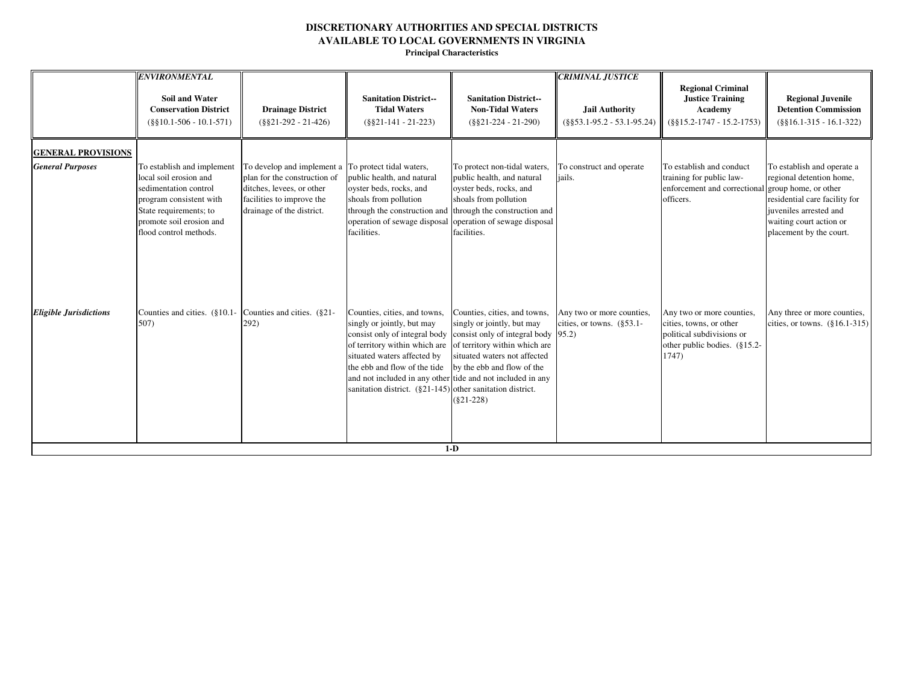|                               | <b>ENVIRONMENTAL</b>                                                                                                                                                                     |                                                                                                                                                                            |                                                                                                                                                                                                                                                                                                                        |                                                                                                                                                                                                                           | <b>CRIMINAL JUSTICE</b>                                     |                                                                                                                            |                                                                                                                                                                                                 |
|-------------------------------|------------------------------------------------------------------------------------------------------------------------------------------------------------------------------------------|----------------------------------------------------------------------------------------------------------------------------------------------------------------------------|------------------------------------------------------------------------------------------------------------------------------------------------------------------------------------------------------------------------------------------------------------------------------------------------------------------------|---------------------------------------------------------------------------------------------------------------------------------------------------------------------------------------------------------------------------|-------------------------------------------------------------|----------------------------------------------------------------------------------------------------------------------------|-------------------------------------------------------------------------------------------------------------------------------------------------------------------------------------------------|
|                               | <b>Soil and Water</b><br><b>Conservation District</b><br>$(\$§10.1-506 - 10.1-571)$                                                                                                      | <b>Drainage District</b><br>$(\$§21-292 - 21-426)$                                                                                                                         | <b>Sanitation District--</b><br><b>Tidal Waters</b><br>$(\$§21-141 - 21-223)$                                                                                                                                                                                                                                          | <b>Sanitation District--</b><br><b>Non-Tidal Waters</b><br>$(\$§21-224 - 21-290)$                                                                                                                                         | <b>Jail Authority</b><br>$(\$§53.1-95.2 - 53.1-95.24)$      | <b>Regional Criminal</b><br><b>Justice Training</b><br>Academy<br>$(\$§15.2-1747-15.2-1753)$                               | <b>Regional Juvenile</b><br><b>Detention Commission</b><br>$(\$§16.1-315 - 16.1-322)$                                                                                                           |
| <b>GENERAL PROVISIONS</b>     |                                                                                                                                                                                          |                                                                                                                                                                            |                                                                                                                                                                                                                                                                                                                        |                                                                                                                                                                                                                           |                                                             |                                                                                                                            |                                                                                                                                                                                                 |
| <b>General Purposes</b>       | To establish and implement<br>local soil erosion and<br>sedimentation control<br>program consistent with<br>State requirements; to<br>promote soil erosion and<br>flood control methods. | To develop and implement a To protect tidal waters,<br>plan for the construction of<br>ditches, levees, or other<br>facilities to improve the<br>drainage of the district. | public health, and natural<br>oyster beds, rocks, and<br>shoals from pollution<br>through the construction and<br>operation of sewage disposal<br>facilities.                                                                                                                                                          | To protect non-tidal waters,<br>public health, and natural<br>oyster beds, rocks, and<br>shoals from pollution<br>through the construction and<br>operation of sewage disposal<br>facilities.                             | To construct and operate<br>jails.                          | To establish and conduct<br>training for public law-<br>enforcement and correctional<br>officers.                          | To establish and operate a<br>regional detention home,<br>group home, or other<br>residential care facility for<br>juveniles arrested and<br>waiting court action or<br>placement by the court. |
| <b>Eligible Jurisdictions</b> | Counties and cities. (§10.1- Counties and cities. (§21-<br>507)                                                                                                                          | 292)                                                                                                                                                                       | Counties, cities, and towns,<br>singly or jointly, but may<br>consist only of integral body<br>of territory within which are<br>situated waters affected by<br>the ebb and flow of the tide<br>and not included in any other tide and not included in any<br>sanitation district. (§21-145) other sanitation district. | Counties, cities, and towns,<br>singly or jointly, but may<br>consist only of integral body $ 95.2\rangle$<br>of territory within which are<br>situated waters not affected<br>by the ebb and flow of the<br>$(\$21-228)$ | Any two or more counties,<br>cities, or towns. $(\S 53.1 -$ | Any two or more counties,<br>cities, towns, or other<br>political subdivisions or<br>other public bodies. (§15.2-<br>1747) | Any three or more counties,<br>cities, or towns. $(\S 16.1-315)$                                                                                                                                |
|                               |                                                                                                                                                                                          |                                                                                                                                                                            |                                                                                                                                                                                                                                                                                                                        | $1-D$                                                                                                                                                                                                                     |                                                             |                                                                                                                            |                                                                                                                                                                                                 |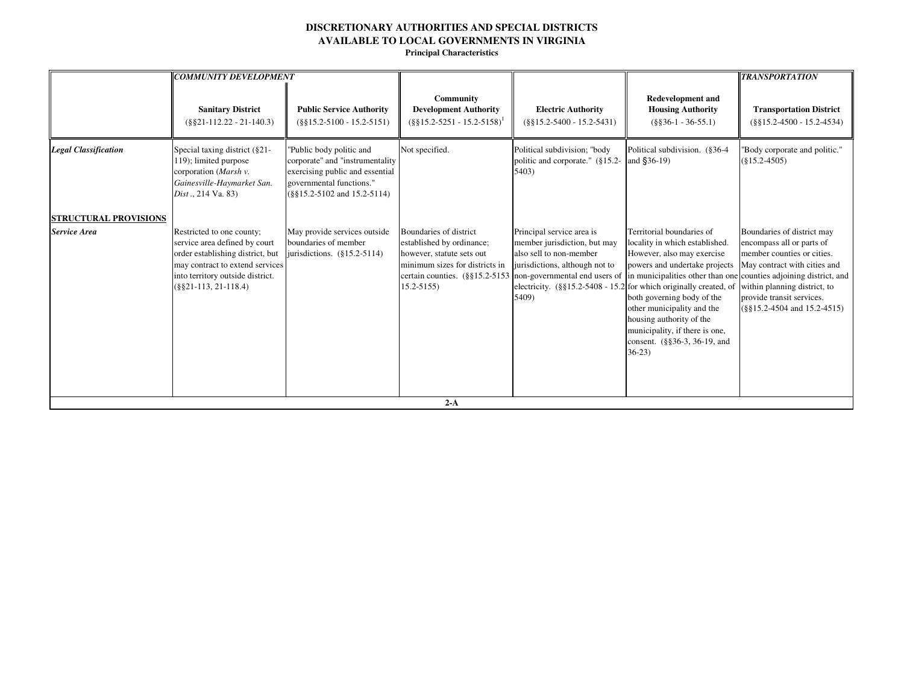|                                                     | <b>COMMUNITY DEVELOPMENT</b>                                                                                                                                                                    |                                                                                                                                                              |                                                                                                                                                                                                     |                                                                                                                                 |                                                                                                                                                                                                                                                                                                                                                                                                                                                | <b>TRANSPORTATION</b>                                                                                                                                                                                                  |
|-----------------------------------------------------|-------------------------------------------------------------------------------------------------------------------------------------------------------------------------------------------------|--------------------------------------------------------------------------------------------------------------------------------------------------------------|-----------------------------------------------------------------------------------------------------------------------------------------------------------------------------------------------------|---------------------------------------------------------------------------------------------------------------------------------|------------------------------------------------------------------------------------------------------------------------------------------------------------------------------------------------------------------------------------------------------------------------------------------------------------------------------------------------------------------------------------------------------------------------------------------------|------------------------------------------------------------------------------------------------------------------------------------------------------------------------------------------------------------------------|
|                                                     | <b>Sanitary District</b><br>$(\$§21-112.22-21-140.3)$                                                                                                                                           | <b>Public Service Authority</b><br>$(\$§15.2-5100 - 15.2-5151)$                                                                                              | Community<br><b>Development Authority</b><br>$($ §§15.2-5251 - 15.2-5158) <sup>1</sup>                                                                                                              | <b>Electric Authority</b><br>$(\$§15.2-5400 - 15.2-5431)$                                                                       | <b>Redevelopment and</b><br><b>Housing Authority</b><br>$(\$§36-1 - 36-55.1)$                                                                                                                                                                                                                                                                                                                                                                  | <b>Transportation District</b><br>$(\$§15.2-4500 - 15.2-4534)$                                                                                                                                                         |
| <b>Legal Classification</b>                         | Special taxing district (§21-<br>119); limited purpose<br>corporation (Marsh v.<br>Gainesville-Haymarket San.<br>Dist., 214 Va. 83)                                                             | "Public body politic and<br>corporate" and "instrumentality<br>exercising public and essential<br>governmental functions."<br>$(\$§15.2-5102$ and 15.2-5114) | Not specified.                                                                                                                                                                                      | Political subdivision; "body<br>politic and corporate." (§15.2-<br>5403)                                                        | Political subdivision. (§36-4<br>and $$36-19$ )                                                                                                                                                                                                                                                                                                                                                                                                | "Body corporate and politic."<br>$(\$15.2-4505)$                                                                                                                                                                       |
| <b>STRUCTURAL PROVISIONS</b><br><b>Service Area</b> | Restricted to one county;<br>service area defined by court<br>order establishing district, but<br>may contract to extend services<br>into territory outside district.<br>$(S§21-113, 21-118.4)$ | May provide services outside<br>boundaries of member<br>jurisdictions. $(\S15.2-5114)$                                                                       | Boundaries of district<br>established by ordinance;<br>however, statute sets out<br>minimum sizes for districts in<br>certain counties. (§§15.2-5153 non-governmental end users of<br>$15.2 - 5155$ | Principal service area is<br>member jurisdiction, but may<br>also sell to non-member<br>jurisdictions, although not to<br>5409) | Territorial boundaries of<br>locality in which established.<br>However, also may exercise<br>powers and undertake projects<br>in municipalities other than one counties adjoining district, and<br>electricity. $(\S\S15.2-5408 - 15.2)$ for which originally created, of<br>both governing body of the<br>other municipality and the<br>housing authority of the<br>municipality, if there is one,<br>consent. (§§36-3, 36-19, and<br>$36-23$ | Boundaries of district may<br>encompass all or parts of<br>member counties or cities.<br>May contract with cities and<br>within planning district, to<br>provide transit services.<br>$(\$§15.2-4504$ and $15.2-4515)$ |
|                                                     |                                                                                                                                                                                                 |                                                                                                                                                              | $2-A$                                                                                                                                                                                               |                                                                                                                                 |                                                                                                                                                                                                                                                                                                                                                                                                                                                |                                                                                                                                                                                                                        |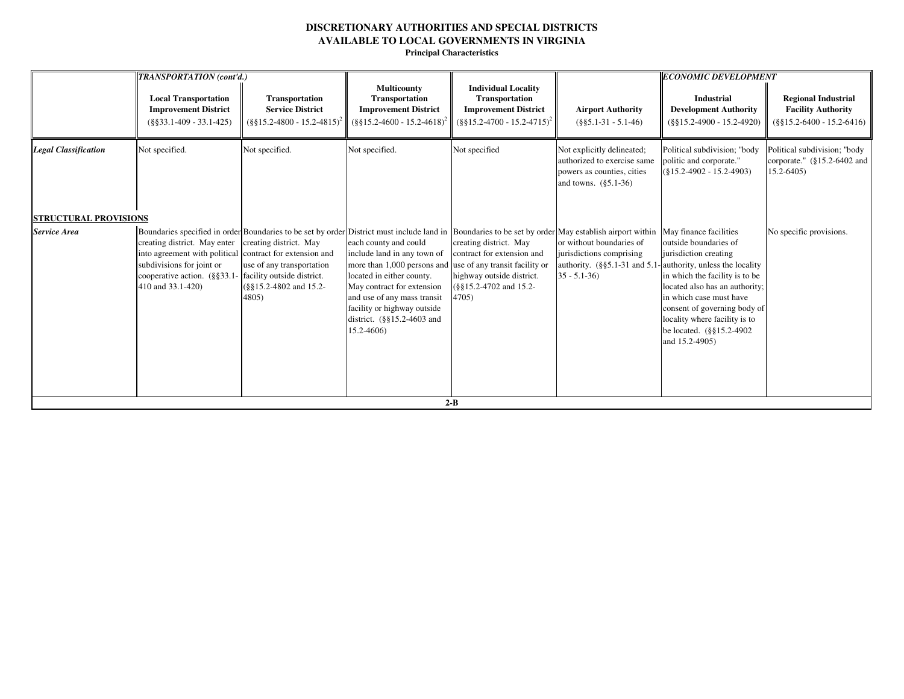|                                                     | TRANSPORTATION (cont'd.)                                                                                                                                                  |                                                                                                                      |                                                                                                                                                                                                                                                                            |                                                                                                                                                        |                                                                                                                                                                                                                                                                                                                           | <b>ECONOMIC DEVELOPMENT</b>                                                                                                                                                                                                                                  |                                                                                         |
|-----------------------------------------------------|---------------------------------------------------------------------------------------------------------------------------------------------------------------------------|----------------------------------------------------------------------------------------------------------------------|----------------------------------------------------------------------------------------------------------------------------------------------------------------------------------------------------------------------------------------------------------------------------|--------------------------------------------------------------------------------------------------------------------------------------------------------|---------------------------------------------------------------------------------------------------------------------------------------------------------------------------------------------------------------------------------------------------------------------------------------------------------------------------|--------------------------------------------------------------------------------------------------------------------------------------------------------------------------------------------------------------------------------------------------------------|-----------------------------------------------------------------------------------------|
|                                                     | <b>Local Transportation</b><br><b>Improvement District</b><br>$(\$§33.1-409 - 33.1-425)$                                                                                  | Transportation<br><b>Service District</b><br>$(\frac{8}{9}\frac{15.2 - 4800 - 15.2 - 4815}{2})^2$                    | <b>Multicounty</b><br>Transportation<br><b>Improvement District</b><br>$(\frac{8}{9}\frac{15.2 - 4600 - 15.2 - 4618)^2}{$                                                                                                                                                  | <b>Individual Locality</b><br><b>Transportation</b><br><b>Improvement District</b><br>$(\$§15.2-4700 - 15.2-4715)^2$                                   | <b>Airport Authority</b><br>$(\$§5.1-31 - 5.1-46)$                                                                                                                                                                                                                                                                        | <b>Industrial</b><br><b>Development Authority</b><br>$(\$§15.2-4900 - 15.2-4920)$                                                                                                                                                                            | <b>Regional Industrial</b><br><b>Facility Authority</b><br>$(\$§15.2-6400 - 15.2-6416)$ |
| <b>Legal Classification</b>                         | Not specified.                                                                                                                                                            | Not specified.                                                                                                       | Not specified.                                                                                                                                                                                                                                                             | Not specified                                                                                                                                          | Not explicitly delineated;<br>authorized to exercise same<br>powers as counties, cities<br>and towns. $(\$5.1-36)$                                                                                                                                                                                                        | Political subdivision; "body<br>politic and corporate."<br>$(S15.2-4902 - 15.2-4903)$                                                                                                                                                                        | Political subdivision; "body<br>corporate." $(\$15.2-6402$ and<br>$15.2 - 6405$         |
| <b>STRUCTURAL PROVISIONS</b><br><b>Service Area</b> | creating district. May enter<br>into agreement with political contract for extension and<br>subdivisions for joint or<br>cooperative action. (§§33.1<br>410 and 33.1-420) | creating district. May<br>use of any transportation<br>facility outside district.<br>(§§15.2-4802 and 15.2-<br>4805) | each county and could<br>include land in any town of<br>more than 1,000 persons and<br>located in either county.<br>May contract for extension<br>and use of any mass transit<br>facility or highway outside<br>district. $(\frac{8815.2 - 4603}{8})$ and<br>$15.2 - 4606$ | creating district. May<br>contract for extension and<br>use of any transit facility or<br>highway outside district.<br>(§§15.2-4702 and 15.2-<br>4705) | Boundaries specified in order Boundaries to be set by order District must include land in Boundaries to be set by order May establish airport within May finance facilities<br>or without boundaries of<br>jurisdictions comprising<br>authority. $(\S\S5.1-31$ and 5.1-authority, unless the locality<br>$35 - 5.1 - 36$ | outside boundaries of<br>jurisdiction creating<br>in which the facility is to be<br>located also has an authority;<br>in which case must have<br>consent of governing body of<br>locality where facility is to<br>be located. (§§15.2-4902<br>and 15.2-4905) | No specific provisions.                                                                 |
|                                                     |                                                                                                                                                                           |                                                                                                                      |                                                                                                                                                                                                                                                                            | $2 - B$                                                                                                                                                |                                                                                                                                                                                                                                                                                                                           |                                                                                                                                                                                                                                                              |                                                                                         |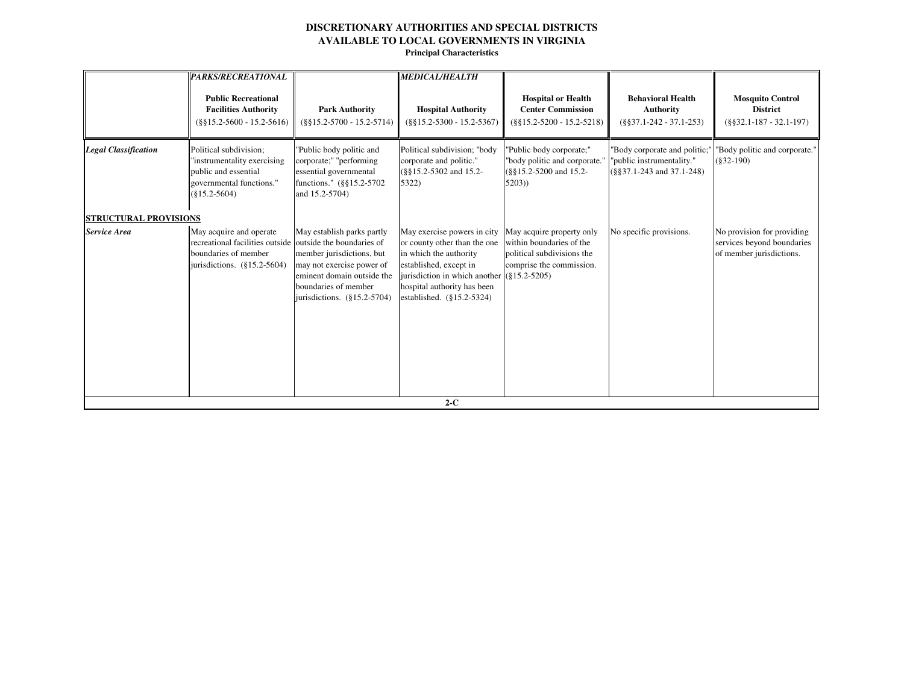|                                                     | PARKS/RECREATIONAL                                                                                                                             |                                                                                                                                                                              | <b>MEDICAL/HEALTH</b>                                                                                                                                                                                                              |                                                                                                                 |                                                                                               |                                                                                      |
|-----------------------------------------------------|------------------------------------------------------------------------------------------------------------------------------------------------|------------------------------------------------------------------------------------------------------------------------------------------------------------------------------|------------------------------------------------------------------------------------------------------------------------------------------------------------------------------------------------------------------------------------|-----------------------------------------------------------------------------------------------------------------|-----------------------------------------------------------------------------------------------|--------------------------------------------------------------------------------------|
|                                                     | <b>Public Recreational</b><br><b>Facilities Authority</b><br>$(\$§15.2-5600 - 15.2-5616)$                                                      | <b>Park Authority</b><br>$(\$§15.2-5700 - 15.2-5714)$                                                                                                                        | <b>Hospital Authority</b><br>$(\$§15.2-5300 - 15.2-5367)$                                                                                                                                                                          | <b>Hospital or Health</b><br><b>Center Commission</b><br>$(\$§15.2-5200 - 15.2-5218)$                           | <b>Behavioral Health</b><br><b>Authority</b><br>$(\$§37.1-242 - 37.1-253)$                    | <b>Mosquito Control</b><br><b>District</b><br>$(\$§32.1-187-32.1-197)$               |
| <b>Legal Classification</b>                         | Political subdivision;<br>"instrumentality exercising<br>public and essential<br>governmental functions."<br>$(\$15.2-5604)$                   | "Public body politic and<br>corporate;" "performing<br>essential governmental<br>functions." (§§15.2-5702)<br>and 15.2-5704)                                                 | Political subdivision; "body<br>corporate and politic."<br>(§§15.2-5302 and 15.2-<br>5322)                                                                                                                                         | 'Public body corporate;"<br>"body politic and corporate."<br>(§§15.2-5200 and 15.2-<br>5203)                    | "Body corporate and politic;"<br>"public instrumentality."<br>$(\$§37.1-243$ and $37.1-248$ ) | "Body politic and corporate."<br>$(\$32-190)$                                        |
| <b>STRUCTURAL PROVISIONS</b><br><b>Service Area</b> | May acquire and operate<br>recreational facilities outside outside the boundaries of<br>boundaries of member<br>jurisdictions. $(\S15.2-5604)$ | May establish parks partly<br>member jurisdictions, but<br>may not exercise power of<br>eminent domain outside the<br>boundaries of member<br>jurisdictions. $(\S15.2-5704)$ | May exercise powers in city<br>or county other than the one<br>in which the authority<br>established, except in<br>jurisdiction in which another $(815.2 - 5205)$<br>hospital authority has been<br>established. $(\S15.2 - 5324)$ | May acquire property only<br>within boundaries of the<br>political subdivisions the<br>comprise the commission. | No specific provisions.                                                                       | No provision for providing<br>services beyond boundaries<br>of member jurisdictions. |
|                                                     |                                                                                                                                                |                                                                                                                                                                              | $2-C$                                                                                                                                                                                                                              |                                                                                                                 |                                                                                               |                                                                                      |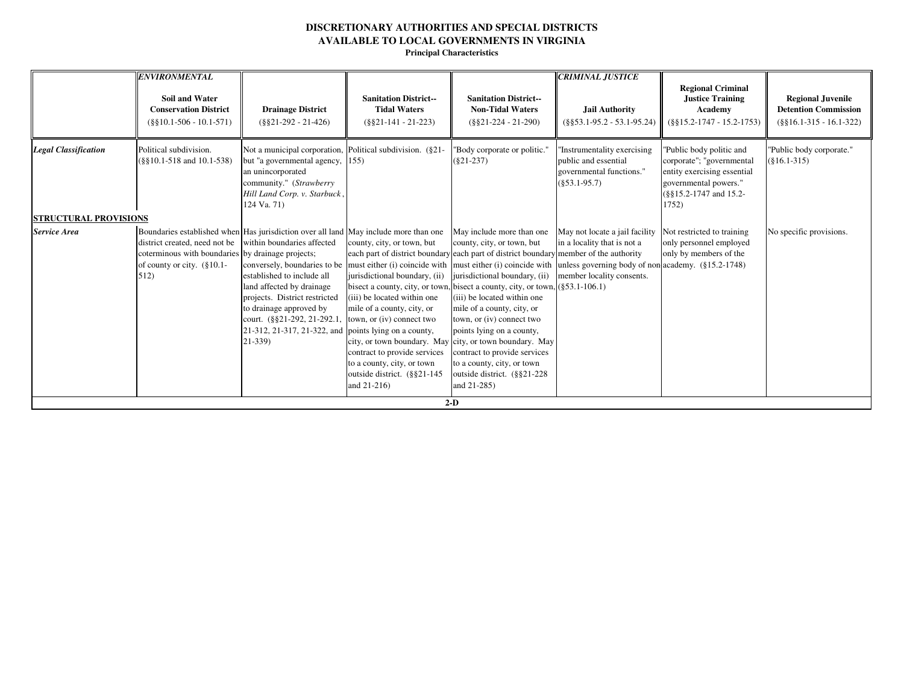|                                                             | <b>Conservation District</b><br>$(\$§10.1-506 - 10.1-571)$                                                            | <b>Drainage District</b><br>$(\$§21-292 - 21-426)$                                                                                                                                                                                                                                                                                                                                                                                                                                                   | <b>Sanitation District--</b><br><b>Tidal Waters</b><br>$(\$§21-141-21-223)$                                                                                                                                                             | <b>Sanitation District--</b><br><b>Non-Tidal Waters</b><br>$(\$821-224 - 21-290)$                                                                                                                                                                                                                                                                                                                                                                                                                                                                                               | Jail Authority<br>$(\$§53.1-95.2 - 53.1-95.24)$                                                                                                  | <b>Regional Criminal</b><br><b>Justice Training</b><br>Academy<br>$(\$§15.2-1747 - 15.2-1753)$                                                   | <b>Regional Juvenile</b><br><b>Detention Commission</b><br>$(\$§16.1-315 - 16.1-322)$ |
|-------------------------------------------------------------|-----------------------------------------------------------------------------------------------------------------------|------------------------------------------------------------------------------------------------------------------------------------------------------------------------------------------------------------------------------------------------------------------------------------------------------------------------------------------------------------------------------------------------------------------------------------------------------------------------------------------------------|-----------------------------------------------------------------------------------------------------------------------------------------------------------------------------------------------------------------------------------------|---------------------------------------------------------------------------------------------------------------------------------------------------------------------------------------------------------------------------------------------------------------------------------------------------------------------------------------------------------------------------------------------------------------------------------------------------------------------------------------------------------------------------------------------------------------------------------|--------------------------------------------------------------------------------------------------------------------------------------------------|--------------------------------------------------------------------------------------------------------------------------------------------------|---------------------------------------------------------------------------------------|
| <b>Legal Classification</b><br><b>STRUCTURAL PROVISIONS</b> | Political subdivision.<br>$(\$§10.1-518$ and $10.1-538$ )                                                             | Not a municipal corporation, Political subdivision. (§21-<br>but "a governmental agency, 155)<br>an unincorporated<br>community." (Strawberry<br>Hill Land Corp. v. Starbuck,<br>124 Va. 71)                                                                                                                                                                                                                                                                                                         |                                                                                                                                                                                                                                         | "Body corporate or politic."<br>$(\$21-237)$                                                                                                                                                                                                                                                                                                                                                                                                                                                                                                                                    | Instrumentality exercising<br>public and essential<br>governmental functions."<br>$(\$53.1-95.7)$                                                | "Public body politic and<br>corporate"; "governmental<br>entity exercising essential<br>governmental powers."<br>(§§15.2-1747 and 15.2-<br>1752) | "Public body corporate."<br>$(\$16.1-315)$                                            |
| Service Area<br>512)                                        | district created, need not be<br>coterminous with boundaries by drainage projects;<br>of county or city. $(\S 10.1 -$ | Boundaries established when Has jurisdiction over all land May include more than one<br>within boundaries affected<br>conversely, boundaries to be must either (i) coincide with must either (i) coincide with<br>established to include all<br>land affected by drainage<br>projects. District restricted<br>to drainage approved by<br>court. $(\frac{8821-292}{2}, \frac{21-292}{2}, \frac{1}{2})$ town, or (iv) connect two<br>21-312, 21-317, 21-322, and points lying on a county,<br>$21-339$ | county, city, or town, but<br>jurisdictional boundary, (ii)<br>(iii) be located within one<br>mile of a county, city, or<br>contract to provide services<br>to a county, city, or town<br>outside district. (§§21-145<br>and $21-216$ ) | May include more than one<br>county, city, or town, but<br>each part of district boundary each part of district boundary member of the authority<br>jurisdictional boundary, (ii)<br>bisect a county, city, or town, bisect a county, city, or town, $(\$53.1\n-106.1)$<br>(iii) be located within one<br>mile of a county, city, or<br>town, or (iv) connect two<br>points lying on a county,<br>city, or town boundary. May city, or town boundary. May<br>contract to provide services<br>to a county, city, or town<br>outside district. (§§21-228)<br>and 21-285)<br>$2-D$ | May not locate a jail facility<br>in a locality that is not a<br>unless governing body of non academy. (§15.2-1748)<br>member locality consents. | Not restricted to training<br>only personnel employed<br>only by members of the                                                                  | No specific provisions.                                                               |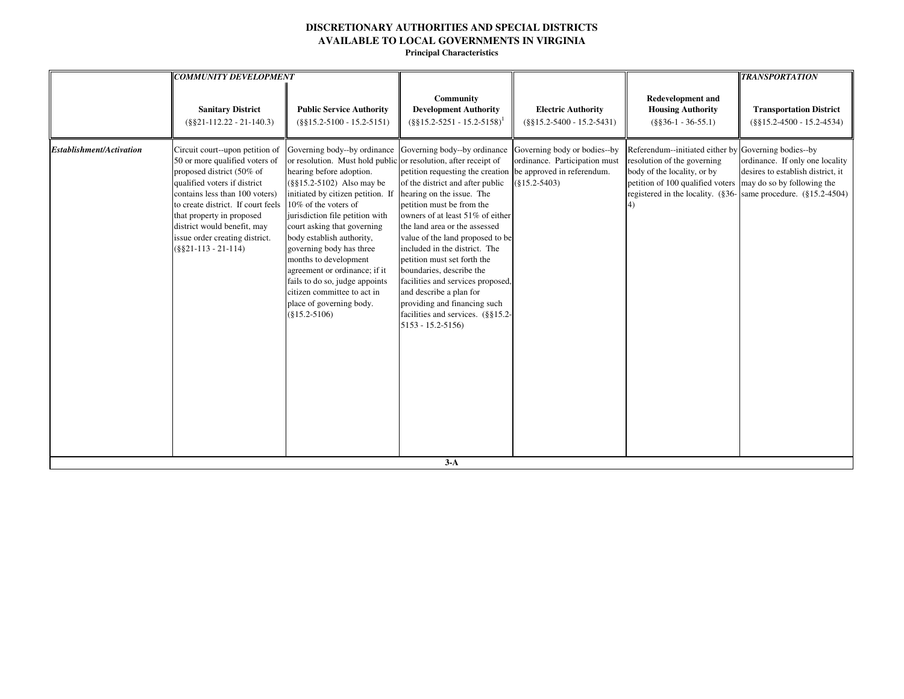|                                 | <b>COMMUNITY DEVELOPMENT</b>                                                                                                                                                                                                                                                                                                 |                                                                                                                                                                                                                                                                                                                                                                                                                                                                                                                               |                                                                                                                                                                                                                                                                                                                                                                                                                                                                                                                                  |                                                                                                                |                                                                                                                                                                                   | <b>TRANSPORTATION</b>                                                                                                                         |
|---------------------------------|------------------------------------------------------------------------------------------------------------------------------------------------------------------------------------------------------------------------------------------------------------------------------------------------------------------------------|-------------------------------------------------------------------------------------------------------------------------------------------------------------------------------------------------------------------------------------------------------------------------------------------------------------------------------------------------------------------------------------------------------------------------------------------------------------------------------------------------------------------------------|----------------------------------------------------------------------------------------------------------------------------------------------------------------------------------------------------------------------------------------------------------------------------------------------------------------------------------------------------------------------------------------------------------------------------------------------------------------------------------------------------------------------------------|----------------------------------------------------------------------------------------------------------------|-----------------------------------------------------------------------------------------------------------------------------------------------------------------------------------|-----------------------------------------------------------------------------------------------------------------------------------------------|
|                                 | <b>Sanitary District</b><br>$(\$§21-112.22-21-140.3)$                                                                                                                                                                                                                                                                        | <b>Public Service Authority</b><br>$(\$§15.2-5100 - 15.2-5151)$                                                                                                                                                                                                                                                                                                                                                                                                                                                               | Community<br><b>Development Authority</b><br>$(8815.2 - 5251 - 15.2 - 5158)^1$                                                                                                                                                                                                                                                                                                                                                                                                                                                   | <b>Electric Authority</b><br>$(\$§15.2-5400 - 15.2-5431)$                                                      | <b>Redevelopment and</b><br><b>Housing Authority</b><br>$(\$§36-1 - 36-55.1)$                                                                                                     | <b>Transportation District</b><br>$(\$§15.2-4500 - 15.2-4534)$                                                                                |
| <b>Establishment/Activation</b> | Circuit court--upon petition of<br>50 or more qualified voters of<br>proposed district (50% of<br>qualified voters if district<br>contains less than 100 voters)<br>to create district. If court feels<br>that property in proposed<br>district would benefit, may<br>issue order creating district.<br>$(\$§21-113-21-114)$ | Governing body--by ordinance<br>or resolution. Must hold public or resolution, after receipt of<br>hearing before adoption.<br>$(\$§15.2-5102)$ Also may be<br>initiated by citizen petition. If<br>10% of the voters of<br>jurisdiction file petition with<br>court asking that governing<br>body establish authority,<br>governing body has three<br>months to development<br>agreement or ordinance; if it<br>fails to do so, judge appoints<br>citizen committee to act in<br>place of governing body.<br>$(\$15.2-5106)$ | Governing body--by ordinance<br>petition requesting the creation<br>of the district and after public<br>hearing on the issue. The<br>petition must be from the<br>owners of at least 51% of either<br>the land area or the assessed<br>value of the land proposed to be<br>included in the district. The<br>petition must set forth the<br>boundaries, describe the<br>facilities and services proposed,<br>and describe a plan for<br>providing and financing such<br>facilities and services. (§§15.2-<br>$5153 - 15.2 - 5156$ | Governing body or bodies--by<br>ordinance. Participation must<br>be approved in referendum.<br>$(\$15.2-5403)$ | Referendum--initiated either by Governing bodies--by<br>resolution of the governing<br>body of the locality, or by<br>petition of 100 qualified voters may do so by following the | ordinance. If only one locality<br>desires to establish district, it<br>registered in the locality. $(\$36$ - same procedure. $(\$15.2-4504)$ |
|                                 |                                                                                                                                                                                                                                                                                                                              |                                                                                                                                                                                                                                                                                                                                                                                                                                                                                                                               | $3-A$                                                                                                                                                                                                                                                                                                                                                                                                                                                                                                                            |                                                                                                                |                                                                                                                                                                                   |                                                                                                                                               |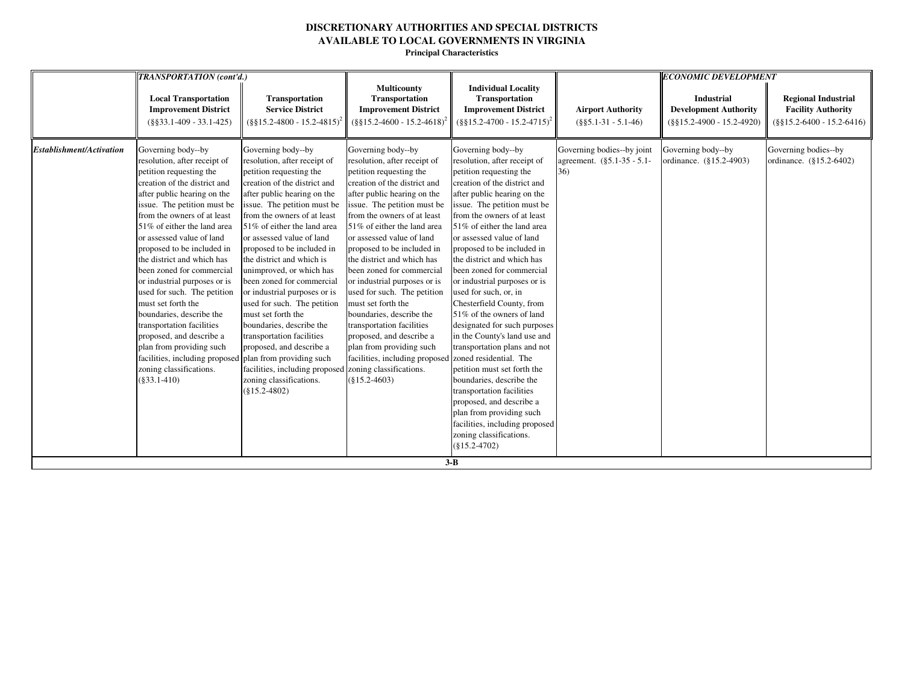|                                 | <b>TRANSPORTATION</b> (cont'd.)                                                                                                                                                                                                                                                                                                                                                                                                                                                                                                                                                                                                                                               |                                                                                                                                                                                                                                                                                                                                                                                                                                                                                                                                                                                                                                                      |                                                                                                                                                                                                                                                                                                                                                                                                                                                                                                                                                                                                                                                       |                                                                                                                                                                                                                                                                                                                                                                                                                                                                                                                                                                                                                                                                                                                                                                                                                                              |                                                                 | <b>ECONOMIC DEVELOPMENT</b>                                                       |                                                                                         |
|---------------------------------|-------------------------------------------------------------------------------------------------------------------------------------------------------------------------------------------------------------------------------------------------------------------------------------------------------------------------------------------------------------------------------------------------------------------------------------------------------------------------------------------------------------------------------------------------------------------------------------------------------------------------------------------------------------------------------|------------------------------------------------------------------------------------------------------------------------------------------------------------------------------------------------------------------------------------------------------------------------------------------------------------------------------------------------------------------------------------------------------------------------------------------------------------------------------------------------------------------------------------------------------------------------------------------------------------------------------------------------------|-------------------------------------------------------------------------------------------------------------------------------------------------------------------------------------------------------------------------------------------------------------------------------------------------------------------------------------------------------------------------------------------------------------------------------------------------------------------------------------------------------------------------------------------------------------------------------------------------------------------------------------------------------|----------------------------------------------------------------------------------------------------------------------------------------------------------------------------------------------------------------------------------------------------------------------------------------------------------------------------------------------------------------------------------------------------------------------------------------------------------------------------------------------------------------------------------------------------------------------------------------------------------------------------------------------------------------------------------------------------------------------------------------------------------------------------------------------------------------------------------------------|-----------------------------------------------------------------|-----------------------------------------------------------------------------------|-----------------------------------------------------------------------------------------|
|                                 | <b>Local Transportation</b><br><b>Improvement District</b><br>$(\$§33.1-409 - 33.1-425)$                                                                                                                                                                                                                                                                                                                                                                                                                                                                                                                                                                                      | <b>Transportation</b><br><b>Service District</b><br>$(\frac{8}{315.2} - 4800 - 15.2 - 4815)^2$                                                                                                                                                                                                                                                                                                                                                                                                                                                                                                                                                       | <b>Multicounty</b><br>Transportation<br><b>Improvement District</b><br>$(\$§15.2-4600 - 15.2-4618)$                                                                                                                                                                                                                                                                                                                                                                                                                                                                                                                                                   | <b>Individual Locality</b><br>Transportation<br><b>Improvement District</b><br>$(\S\S15.2 - 4700 - 15.2 - 4715)^2$                                                                                                                                                                                                                                                                                                                                                                                                                                                                                                                                                                                                                                                                                                                           | <b>Airport Authority</b><br>$(\$§5.1-31 - 5.1-46)$              | <b>Industrial</b><br><b>Development Authority</b><br>$(\$§15.2-4900 - 15.2-4920)$ | <b>Regional Industrial</b><br><b>Facility Authority</b><br>$(\$§15.2-6400 - 15.2-6416)$ |
| <b>Establishment/Activation</b> | Governing body--by<br>resolution, after receipt of<br>petition requesting the<br>creation of the district and<br>after public hearing on the<br>issue. The petition must be<br>from the owners of at least<br>51% of either the land area<br>or assessed value of land<br>proposed to be included in<br>the district and which has<br>been zoned for commercial<br>or industrial purposes or is<br>used for such. The petition<br>must set forth the<br>boundaries, describe the<br>transportation facilities<br>proposed, and describe a<br>plan from providing such<br>facilities, including proposed plan from providing such<br>zoning classifications.<br>$(\$33.1-410)$ | Governing body--by<br>resolution, after receipt of<br>petition requesting the<br>creation of the district and<br>after public hearing on the<br>issue. The petition must be<br>from the owners of at least<br>51% of either the land area<br>or assessed value of land<br>proposed to be included in<br>the district and which is<br>unimproved, or which has<br>been zoned for commercial<br>or industrial purposes or is<br>used for such. The petition<br>must set forth the<br>boundaries, describe the<br>transportation facilities<br>proposed, and describe a<br>facilities, including proposed<br>zoning classifications.<br>$(\$15.2-4802)$ | Governing body--by<br>resolution, after receipt of<br>petition requesting the<br>creation of the district and<br>after public hearing on the<br>issue. The petition must be<br>from the owners of at least<br>51% of either the land area<br>or assessed value of land<br>proposed to be included in<br>the district and which has<br>been zoned for commercial<br>or industrial purposes or is<br>used for such. The petition<br>must set forth the<br>boundaries, describe the<br>transportation facilities<br>proposed, and describe a<br>plan from providing such<br>facilities, including proposed<br>zoning classifications.<br>$(\$15.2-4603)$ | Governing body--by<br>resolution, after receipt of<br>petition requesting the<br>creation of the district and<br>after public hearing on the<br>issue. The petition must be<br>from the owners of at least<br>51% of either the land area<br>or assessed value of land<br>proposed to be included in<br>the district and which has<br>been zoned for commercial<br>or industrial purposes or is<br>used for such, or, in<br>Chesterfield County, from<br>51% of the owners of land<br>designated for such purposes<br>in the County's land use and<br>transportation plans and not<br>zoned residential. The<br>petition must set forth the<br>boundaries, describe the<br>transportation facilities<br>proposed, and describe a<br>plan from providing such<br>facilities, including proposed<br>zoning classifications.<br>$(\$15.2-4702)$ | Governing bodies--by joint<br>agreement. (§5.1-35 - 5.1-<br>36) | Governing body--by<br>ordinance. (§15.2-4903)                                     | Governing bodies--by<br>ordinance. (§15.2-6402)                                         |
|                                 |                                                                                                                                                                                                                                                                                                                                                                                                                                                                                                                                                                                                                                                                               |                                                                                                                                                                                                                                                                                                                                                                                                                                                                                                                                                                                                                                                      |                                                                                                                                                                                                                                                                                                                                                                                                                                                                                                                                                                                                                                                       | $3 - B$                                                                                                                                                                                                                                                                                                                                                                                                                                                                                                                                                                                                                                                                                                                                                                                                                                      |                                                                 |                                                                                   |                                                                                         |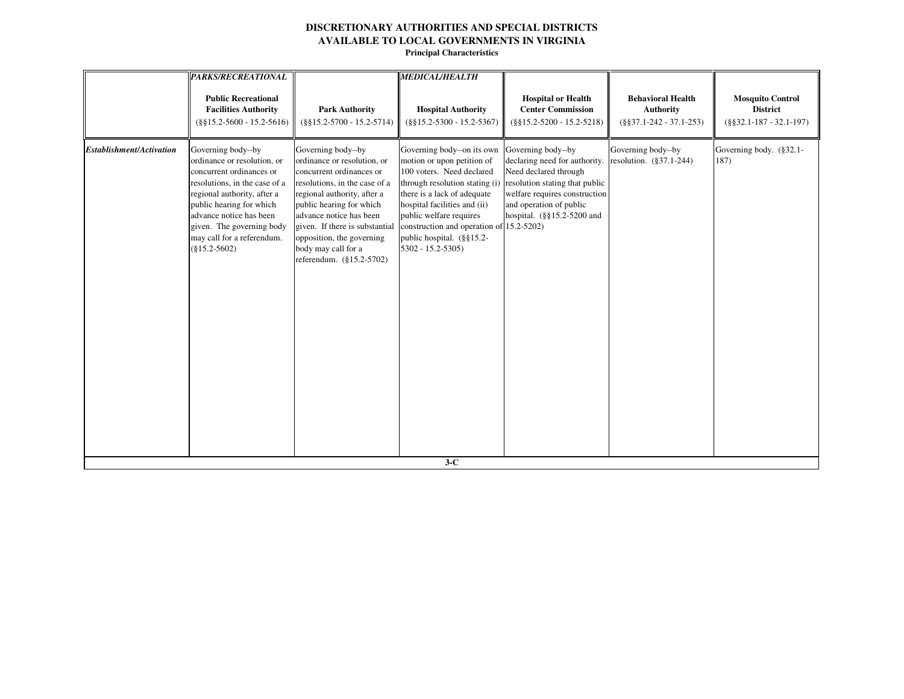|                                 | PARKS/RECREATIONAL                                                                                                                                                                                                                                                                 |                                                                                                                                                                                                                                                                                                                        | <b>MEDICAL/HEALTH</b>                                                                                                                                                                                                                                                                                              |                                                                                                                                                                                                          |                                                                            |                                                                        |
|---------------------------------|------------------------------------------------------------------------------------------------------------------------------------------------------------------------------------------------------------------------------------------------------------------------------------|------------------------------------------------------------------------------------------------------------------------------------------------------------------------------------------------------------------------------------------------------------------------------------------------------------------------|--------------------------------------------------------------------------------------------------------------------------------------------------------------------------------------------------------------------------------------------------------------------------------------------------------------------|----------------------------------------------------------------------------------------------------------------------------------------------------------------------------------------------------------|----------------------------------------------------------------------------|------------------------------------------------------------------------|
|                                 | <b>Public Recreational</b><br><b>Facilities Authority</b><br>$(\$§15.2-5600 - 15.2-5616)$                                                                                                                                                                                          | <b>Park Authority</b><br>$(\$§15.2-5700 - 15.2-5714)$                                                                                                                                                                                                                                                                  | <b>Hospital Authority</b><br>$(\$§15.2-5300 - 15.2-5367)$                                                                                                                                                                                                                                                          | <b>Hospital or Health</b><br><b>Center Commission</b><br>$(\$§15.2-5200 - 15.2-5218)$                                                                                                                    | <b>Behavioral Health</b><br><b>Authority</b><br>$(\$§37.1-242 - 37.1-253)$ | <b>Mosquito Control</b><br><b>District</b><br>$(\$§32.1-187-32.1-197)$ |
| <b>Establishment/Activation</b> | Governing body--by<br>ordinance or resolution, or<br>concurrent ordinances or<br>resolutions, in the case of a<br>regional authority, after a<br>public hearing for which<br>advance notice has been<br>given. The governing body<br>may call for a referendum.<br>$(\$15.2-5602)$ | Governing body--by<br>ordinance or resolution, or<br>concurrent ordinances or<br>resolutions, in the case of a<br>regional authority, after a<br>public hearing for which<br>advance notice has been<br>given. If there is substantial<br>opposition, the governing<br>body may call for a<br>referendum. (§15.2-5702) | Governing body--on its own<br>motion or upon petition of<br>100 voters. Need declared<br>through resolution stating (i)<br>there is a lack of adequate<br>hospital facilities and (ii)<br>public welfare requires<br>construction and operation of 15.2-5202)<br>public hospital. (§§15.2-<br>$5302 - 15.2 - 5305$ | Governing body--by<br>declaring need for authority.<br>Need declared through<br>resolution stating that public<br>welfare requires construction<br>and operation of public<br>hospital. (§§15.2-5200 and | Governing body--by<br>resolution. (§37.1-244)                              | Governing body. (§32.1-<br>187)                                        |
|                                 |                                                                                                                                                                                                                                                                                    |                                                                                                                                                                                                                                                                                                                        | $3-C$                                                                                                                                                                                                                                                                                                              |                                                                                                                                                                                                          |                                                                            |                                                                        |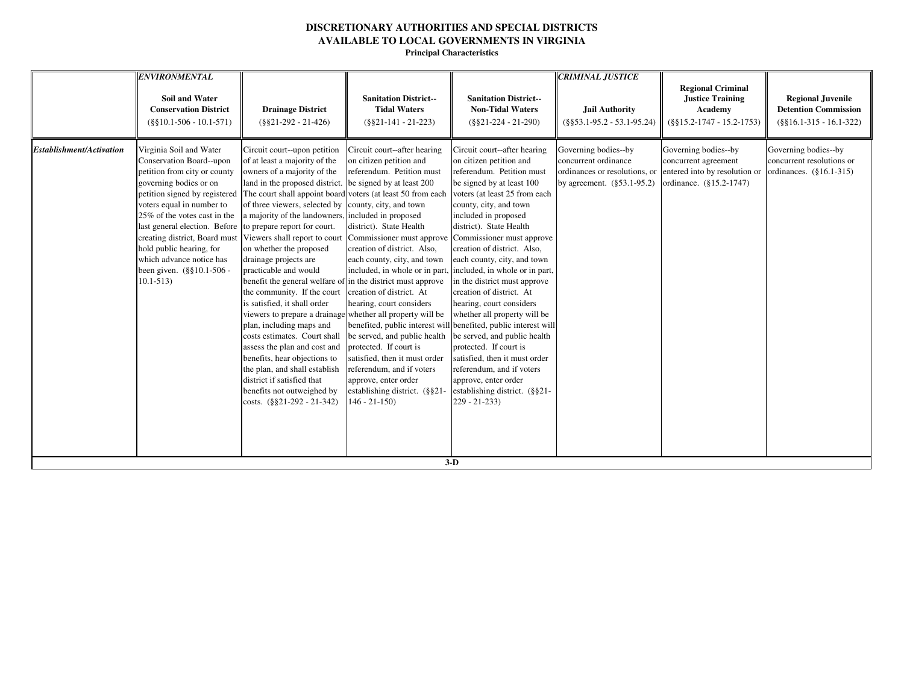|                          | <b>ENVIRONMENTAL</b><br><b>Soil and Water</b><br><b>Conservation District</b><br>$(\$§10.1-506 - 10.1-571)$                                                                                                                                                                                                                                                                                                      | <b>Drainage District</b><br>$(\$§21-292 - 21-426)$                                                                                                                                                                                                                                                                                                                                                                                                                                                                                                                                                                                                                                                                                                                           | <b>Sanitation District--</b><br><b>Tidal Waters</b><br>$(\$§21-141 - 21-223)$                                                                                                                                                                                                                                                                                                                                                                                                                                                                                                                                                                              | <b>Sanitation District--</b><br><b>Non-Tidal Waters</b><br>$(\$§21-224 - 21-290)$                                                                                                                                                                                                                                                                                                                                                                                                                                                                                                                                                                                                                                                                           | <b>CRIMINAL JUSTICE</b><br>Jail Authority<br>$(\$§53.1-95.2 - 53.1-95.24)$                                        | <b>Regional Criminal</b><br><b>Justice Training</b><br><b>Academy</b><br>$(\$§15.2-1747 - 15.2-1753)$    | <b>Regional Juvenile</b><br><b>Detention Commission</b><br>$(\$§16.1-315 - 16.1-322)$ |
|--------------------------|------------------------------------------------------------------------------------------------------------------------------------------------------------------------------------------------------------------------------------------------------------------------------------------------------------------------------------------------------------------------------------------------------------------|------------------------------------------------------------------------------------------------------------------------------------------------------------------------------------------------------------------------------------------------------------------------------------------------------------------------------------------------------------------------------------------------------------------------------------------------------------------------------------------------------------------------------------------------------------------------------------------------------------------------------------------------------------------------------------------------------------------------------------------------------------------------------|------------------------------------------------------------------------------------------------------------------------------------------------------------------------------------------------------------------------------------------------------------------------------------------------------------------------------------------------------------------------------------------------------------------------------------------------------------------------------------------------------------------------------------------------------------------------------------------------------------------------------------------------------------|-------------------------------------------------------------------------------------------------------------------------------------------------------------------------------------------------------------------------------------------------------------------------------------------------------------------------------------------------------------------------------------------------------------------------------------------------------------------------------------------------------------------------------------------------------------------------------------------------------------------------------------------------------------------------------------------------------------------------------------------------------------|-------------------------------------------------------------------------------------------------------------------|----------------------------------------------------------------------------------------------------------|---------------------------------------------------------------------------------------|
| Establishment/Activation | Virginia Soil and Water<br>Conservation Board--upon<br>petition from city or county<br>governing bodies or on<br>voters equal in number to<br>25% of the votes cast in the<br>last general election. Before to prepare report for court.<br>creating district, Board must Viewers shall report to court<br>hold public hearing, for<br>which advance notice has<br>been given. $(\S$ §10.1-506 -<br>$10.1 - 513$ | Circuit court--upon petition<br>of at least a majority of the<br>owners of a majority of the<br>land in the proposed district.<br>petition signed by registered The court shall appoint board<br>of three viewers, selected by<br>a majority of the landowners,<br>on whether the proposed<br>drainage projects are<br>practicable and would<br>benefit the general welfare of<br>the community. If the court<br>is satisfied, it shall order<br>viewers to prepare a drainage whether all property will be<br>plan, including maps and<br>costs estimates. Court shall<br>assess the plan and cost and<br>benefits, hear objections to<br>the plan, and shall establish<br>district if satisfied that<br>benefits not outweighed by<br>costs. $(\frac{8821-292-21-342}{8})$ | Circuit court--after hearing<br>on citizen petition and<br>referendum. Petition must<br>be signed by at least 200<br>voters (at least 50 from each<br>county, city, and town<br>included in proposed<br>district). State Health<br>Commissioner must approve<br>creation of district. Also,<br>each county, city, and town<br>in the district must approve<br>creation of district. At<br>hearing, court considers<br>benefited, public interest will<br>be served, and public health<br>protected. If court is<br>satisfied, then it must order<br>referendum, and if voters<br>approve, enter order<br>establishing district. (§§21-<br>$146 - 21 - 150$ | Circuit court--after hearing<br>on citizen petition and<br>referendum. Petition must<br>be signed by at least 100<br>voters (at least 25 from each<br>county, city, and town<br>included in proposed<br>district). State Health<br>Commissioner must approve<br>creation of district. Also,<br>each county, city, and town<br>included, in whole or in part, included, in whole or in part,<br>in the district must approve<br>creation of district. At<br>hearing, court considers<br>whether all property will be<br>benefited, public interest will<br>be served, and public health<br>protected. If court is<br>satisfied, then it must order<br>referendum, and if voters<br>approve, enter order<br>establishing district. (§§21-<br>$229 - 21 - 233$ | Governing bodies--by<br>concurrent ordinance<br>ordinances or resolutions, or<br>by agreement. $(\S 53.1 - 95.2)$ | Governing bodies--by<br>concurrent agreement<br>entered into by resolution or<br>ordinance. (§15.2-1747) | Governing bodies--by<br>concurrent resolutions or<br>ordinances. (§16.1-315)          |
|                          |                                                                                                                                                                                                                                                                                                                                                                                                                  |                                                                                                                                                                                                                                                                                                                                                                                                                                                                                                                                                                                                                                                                                                                                                                              |                                                                                                                                                                                                                                                                                                                                                                                                                                                                                                                                                                                                                                                            | $3-D$                                                                                                                                                                                                                                                                                                                                                                                                                                                                                                                                                                                                                                                                                                                                                       |                                                                                                                   |                                                                                                          |                                                                                       |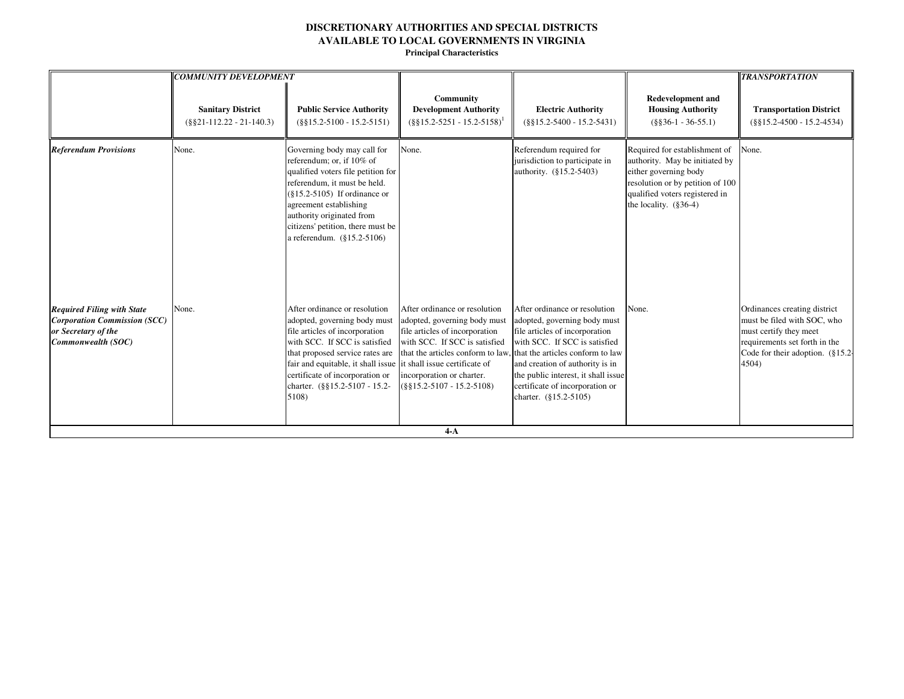|                                                                                                                       | <b>COMMUNITY DEVELOPMENT</b>                          |                                                                                                                                                                                                                                                                                                                      |                                                                                                                                                                                                                                                                              |                                                                                                                                                                                                                                                                        |                                                                                                                                                                                             | <b>TRANSPORTATION</b>                                                                                                                                                    |
|-----------------------------------------------------------------------------------------------------------------------|-------------------------------------------------------|----------------------------------------------------------------------------------------------------------------------------------------------------------------------------------------------------------------------------------------------------------------------------------------------------------------------|------------------------------------------------------------------------------------------------------------------------------------------------------------------------------------------------------------------------------------------------------------------------------|------------------------------------------------------------------------------------------------------------------------------------------------------------------------------------------------------------------------------------------------------------------------|---------------------------------------------------------------------------------------------------------------------------------------------------------------------------------------------|--------------------------------------------------------------------------------------------------------------------------------------------------------------------------|
|                                                                                                                       | <b>Sanitary District</b><br>$(\$§21-112.22-21-140.3)$ | <b>Public Service Authority</b><br>$(\$§15.2-5100 - 15.2-5151)$                                                                                                                                                                                                                                                      | Community<br><b>Development Authority</b><br>$($ §§15.2-5251 - 15.2-5158) <sup>1</sup>                                                                                                                                                                                       | <b>Electric Authority</b><br>$(\$§15.2-5400 - 15.2-5431)$                                                                                                                                                                                                              | <b>Redevelopment and</b><br><b>Housing Authority</b><br>$(\$§36-1 - 36-55.1)$                                                                                                               | <b>Transportation District</b><br>$(\$§15.2-4500 - 15.2-4534)$                                                                                                           |
| <b>Referendum Provisions</b>                                                                                          | None.                                                 | Governing body may call for<br>referendum; or, if 10% of<br>qualified voters file petition for<br>referendum, it must be held.<br>$(\$15.2-5105)$ If ordinance or<br>agreement establishing<br>authority originated from<br>citizens' petition, there must be<br>a referendum. (§15.2-5106)                          | None.                                                                                                                                                                                                                                                                        | Referendum required for<br>jurisdiction to participate in<br>authority. (§15.2-5403)                                                                                                                                                                                   | Required for establishment of<br>authority. May be initiated by<br>either governing body<br>resolution or by petition of 100<br>qualified voters registered in<br>the locality. $(\S 36-4)$ | None.                                                                                                                                                                    |
| <b>Required Filing with State</b><br><b>Corporation Commission (SCC)</b><br>or Secretary of the<br>Commonwealth (SOC) | None.                                                 | After ordinance or resolution<br>adopted, governing body must<br>file articles of incorporation<br>with SCC. If SCC is satisfied<br>that proposed service rates are<br>fair and equitable, it shall issue it shall issue certificate of<br>certificate of incorporation or<br>charter. (§§15.2-5107 - 15.2-<br>5108) | After ordinance or resolution<br>adopted, governing body must<br>file articles of incorporation<br>with SCC. If SCC is satisfied<br>that the articles conform to law, that the articles conform to law<br>incorporation or charter.<br>$(\$§15.2-5107 - 15.2-5108)$<br>$4-A$ | After ordinance or resolution<br>adopted, governing body must<br>file articles of incorporation<br>with SCC. If SCC is satisfied<br>and creation of authority is in<br>the public interest, it shall issue<br>certificate of incorporation or<br>charter. (§15.2-5105) | None.                                                                                                                                                                                       | Ordinances creating district<br>must be filed with SOC, who<br>must certify they meet<br>requirements set forth in the<br>Code for their adoption. $(\S 15.2 -$<br>4504) |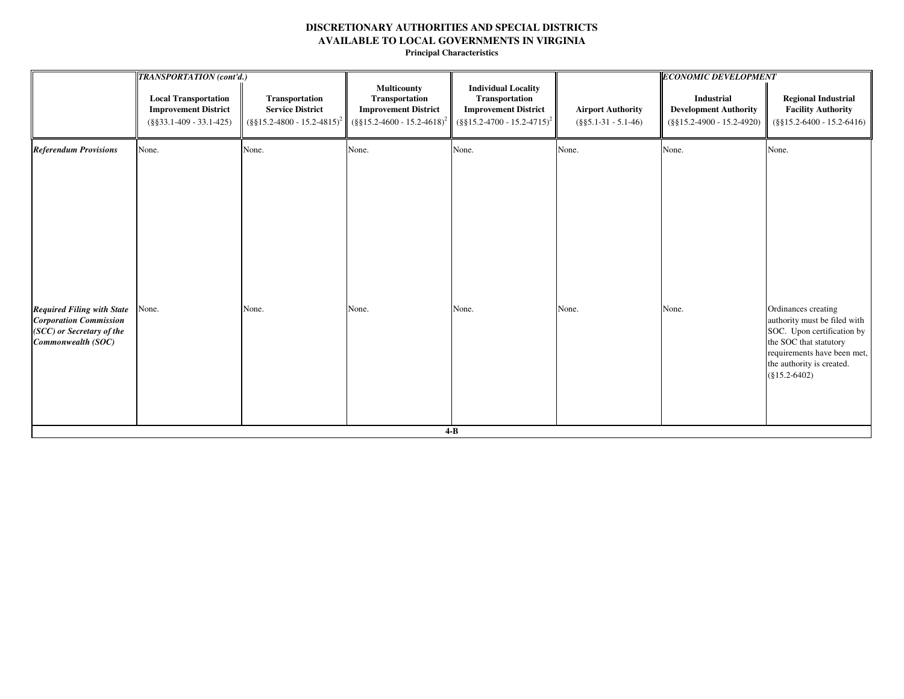|                                                                                                                       | <b>TRANSPORTATION</b> (cont'd.)                                                          |                                                                                         |                                                                                                                   |                                                                                                                           |                                                    | <b>ECONOMIC DEVELOPMENT</b>                                                       |                                                                                                                                                                                            |  |
|-----------------------------------------------------------------------------------------------------------------------|------------------------------------------------------------------------------------------|-----------------------------------------------------------------------------------------|-------------------------------------------------------------------------------------------------------------------|---------------------------------------------------------------------------------------------------------------------------|----------------------------------------------------|-----------------------------------------------------------------------------------|--------------------------------------------------------------------------------------------------------------------------------------------------------------------------------------------|--|
|                                                                                                                       | <b>Local Transportation</b><br><b>Improvement District</b><br>$(\$§33.1-409 - 33.1-425)$ | Transportation<br><b>Service District</b><br>$(\frac{8}{9}15.2 - 4800 - 15.2 - 4815)^2$ | <b>Multicounty</b><br>Transportation<br><b>Improvement District</b><br>$(\frac{8}{315.2} - 4600 - 15.2 - 4618)^2$ | <b>Individual Locality</b><br>Transportation<br><b>Improvement District</b><br>$(\frac{8}{9}15.2 - 4700 - 15.2 - 4715)^2$ | <b>Airport Authority</b><br>$(\$§5.1-31 - 5.1-46)$ | <b>Industrial</b><br><b>Development Authority</b><br>$(\$§15.2-4900 - 15.2-4920)$ | <b>Regional Industrial</b><br><b>Facility Authority</b><br>$(\$§15.2-6400 - 15.2-6416)$                                                                                                    |  |
| <b>Referendum Provisions</b>                                                                                          | None.                                                                                    | None.                                                                                   | None.                                                                                                             | None.                                                                                                                     | None.                                              | None.                                                                             | None.                                                                                                                                                                                      |  |
| <b>Required Filing with State</b><br><b>Corporation Commission</b><br>(SCC) or Secretary of the<br>Commonwealth (SOC) | None.                                                                                    | None.                                                                                   | None.                                                                                                             | None.                                                                                                                     | None.                                              | None.                                                                             | Ordinances creating<br>authority must be filed with<br>SOC. Upon certification by<br>the SOC that statutory<br>requirements have been met,<br>the authority is created.<br>$(\$15.2-6402)$ |  |
|                                                                                                                       |                                                                                          |                                                                                         |                                                                                                                   | $4-B$                                                                                                                     |                                                    |                                                                                   |                                                                                                                                                                                            |  |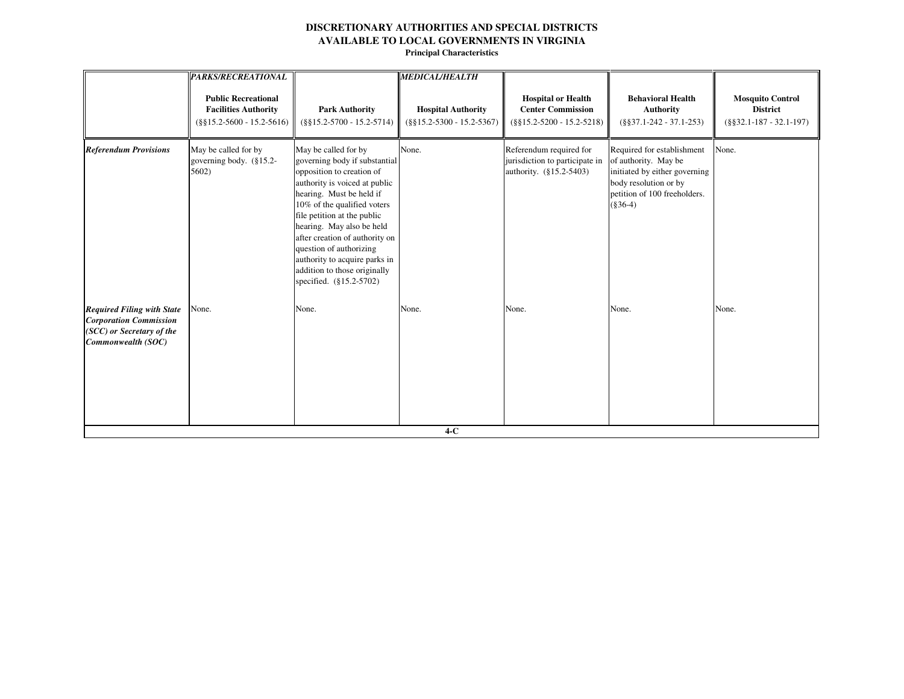| <b>PARKS/RECREATIONAL</b>                                                                 |                                                                                                                                                                                                                                                                                                            | <b>MEDICAL/HEALTH</b>                                                                 |                                                                                       |                                                                                                                                                            |                                                                        |
|-------------------------------------------------------------------------------------------|------------------------------------------------------------------------------------------------------------------------------------------------------------------------------------------------------------------------------------------------------------------------------------------------------------|---------------------------------------------------------------------------------------|---------------------------------------------------------------------------------------|------------------------------------------------------------------------------------------------------------------------------------------------------------|------------------------------------------------------------------------|
| <b>Public Recreational</b><br><b>Facilities Authority</b><br>$(\$§15.2-5600 - 15.2-5616)$ | <b>Park Authority</b><br>$(\$§15.2-5700 - 15.2-5714)$                                                                                                                                                                                                                                                      | <b>Hospital Authority</b><br>$(\$§15.2-5300 - 15.2-5367)$                             | <b>Hospital or Health</b><br><b>Center Commission</b><br>$(\$§15.2-5200 - 15.2-5218)$ | <b>Behavioral Health</b><br><b>Authority</b><br>$(\$§37.1-242 - 37.1-253)$                                                                                 | <b>Mosquito Control</b><br><b>District</b><br>$(\$§32.1-187-32.1-197)$ |
| May be called for by<br>governing body. (§15.2-<br>5602)                                  | governing body if substantial<br>opposition to creation of<br>authority is voiced at public<br>hearing. Must be held if<br>10% of the qualified voters<br>hearing. May also be held<br>question of authorizing<br>authority to acquire parks in<br>addition to those originally<br>specified. (§15.2-5702) | None.                                                                                 | Referendum required for<br>jurisdiction to participate in<br>authority. (§15.2-5403)  | Required for establishment<br>of authority. May be<br>initiated by either governing<br>body resolution or by<br>petition of 100 freeholders.<br>$(\$36-4)$ | None.                                                                  |
| None.                                                                                     | None.                                                                                                                                                                                                                                                                                                      | None.                                                                                 | None.                                                                                 | None.                                                                                                                                                      | None.                                                                  |
|                                                                                           |                                                                                                                                                                                                                                                                                                            | May be called for by<br>file petition at the public<br>after creation of authority on | $4-C$                                                                                 |                                                                                                                                                            |                                                                        |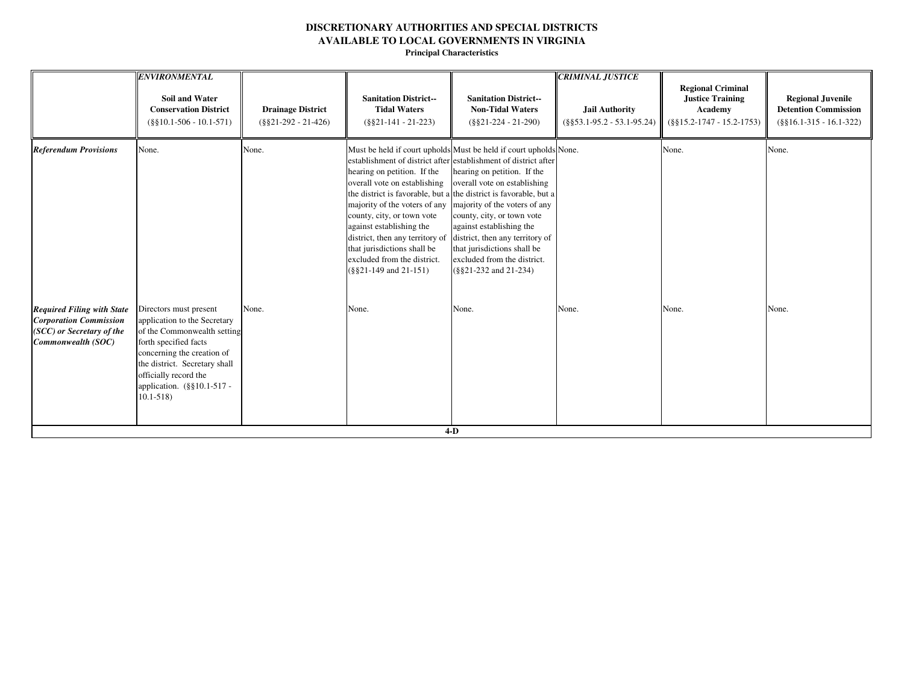|                                                                                                                       | <b>ENVIRONMENTAL</b><br><b>Soil and Water</b><br><b>Conservation District</b><br>$(\$§10.1-506 - 10.1-571)$                                                                                                                                          | <b>Drainage District</b><br>$(\$§21-292 - 21-426)$ | <b>Sanitation District--</b><br><b>Tidal Waters</b><br>$(\$§21-141 - 21-223)$                                                                                                                                                                                                         | <b>Sanitation District--</b><br><b>Non-Tidal Waters</b><br>$(\$§21-224 - 21-290)$                                                                                                                                                                                                                                                                                                                                                                                                             | <b>CRIMINAL JUSTICE</b><br><b>Jail Authority</b><br>$(\$§53.1-95.2 - 53.1-95.24)$ | <b>Regional Criminal</b><br><b>Justice Training</b><br>Academy<br>$(\$§15.2-1747 - 15.2-1753)$ | <b>Regional Juvenile</b><br><b>Detention Commission</b><br>$(\$§16.1-315 - 16.1-322)$ |
|-----------------------------------------------------------------------------------------------------------------------|------------------------------------------------------------------------------------------------------------------------------------------------------------------------------------------------------------------------------------------------------|----------------------------------------------------|---------------------------------------------------------------------------------------------------------------------------------------------------------------------------------------------------------------------------------------------------------------------------------------|-----------------------------------------------------------------------------------------------------------------------------------------------------------------------------------------------------------------------------------------------------------------------------------------------------------------------------------------------------------------------------------------------------------------------------------------------------------------------------------------------|-----------------------------------------------------------------------------------|------------------------------------------------------------------------------------------------|---------------------------------------------------------------------------------------|
| <b>Referendum Provisions</b>                                                                                          | None.                                                                                                                                                                                                                                                | None.                                              | hearing on petition. If the<br>overall vote on establishing<br>majority of the voters of any<br>county, city, or town vote<br>against establishing the<br>district, then any territory of<br>that jurisdictions shall be<br>excluded from the district.<br>$(\$§21-149$ and $21-151)$ | Must be held if court upholds Must be held if court upholds None.<br>establishment of district after establishment of district after<br>hearing on petition. If the<br>overall vote on establishing<br>the district is favorable, but a the district is favorable, but a<br>majority of the voters of any<br>county, city, or town vote<br>against establishing the<br>district, then any territory of<br>that jurisdictions shall be<br>excluded from the district.<br>(§§21-232 and 21-234) |                                                                                   | None.                                                                                          | None.                                                                                 |
| <b>Required Filing with State</b><br><b>Corporation Commission</b><br>(SCC) or Secretary of the<br>Commonwealth (SOC) | Directors must present<br>application to the Secretary<br>of the Commonwealth setting<br>forth specified facts<br>concerning the creation of<br>the district. Secretary shall<br>officially record the<br>application. (§§10.1-517 -<br>$10.1 - 518$ | None.                                              | None.                                                                                                                                                                                                                                                                                 | None.<br>$4-D$                                                                                                                                                                                                                                                                                                                                                                                                                                                                                | None.                                                                             | None.                                                                                          | None.                                                                                 |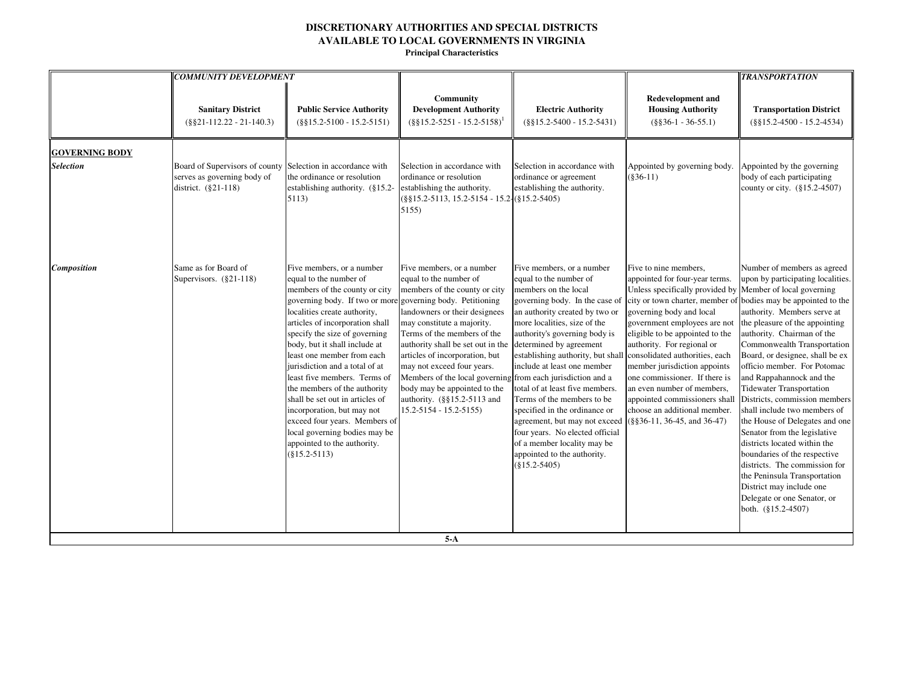|                                           | <b>COMMUNITY DEVELOPMENT</b>                                                         |                                                                                                                                                                                                                                                                                                                                                                                                                                                                                                                                                                                                              |                                                                                                                                                                                                                                                                                                                                                                                                                                                                     |                                                                                                                                                                                                                                                                                                                                                                                                                                                                                                                                                                        |                                                                                                                                                                                                                                                                                                                                                                                                                                                                                                | <b>TRANSPORTATION</b>                                                                                                                                                                                                                                                                                                                                                                                                                                                                                                                                                                                                                                                                                                                               |
|-------------------------------------------|--------------------------------------------------------------------------------------|--------------------------------------------------------------------------------------------------------------------------------------------------------------------------------------------------------------------------------------------------------------------------------------------------------------------------------------------------------------------------------------------------------------------------------------------------------------------------------------------------------------------------------------------------------------------------------------------------------------|---------------------------------------------------------------------------------------------------------------------------------------------------------------------------------------------------------------------------------------------------------------------------------------------------------------------------------------------------------------------------------------------------------------------------------------------------------------------|------------------------------------------------------------------------------------------------------------------------------------------------------------------------------------------------------------------------------------------------------------------------------------------------------------------------------------------------------------------------------------------------------------------------------------------------------------------------------------------------------------------------------------------------------------------------|------------------------------------------------------------------------------------------------------------------------------------------------------------------------------------------------------------------------------------------------------------------------------------------------------------------------------------------------------------------------------------------------------------------------------------------------------------------------------------------------|-----------------------------------------------------------------------------------------------------------------------------------------------------------------------------------------------------------------------------------------------------------------------------------------------------------------------------------------------------------------------------------------------------------------------------------------------------------------------------------------------------------------------------------------------------------------------------------------------------------------------------------------------------------------------------------------------------------------------------------------------------|
|                                           | <b>Sanitary District</b><br>$(\$§21-112.22 - 21-140.3)$                              | <b>Public Service Authority</b><br>$(\$§15.2-5100 - 15.2-5151)$                                                                                                                                                                                                                                                                                                                                                                                                                                                                                                                                              | Community<br><b>Development Authority</b><br>$(\S \S 15.2 - 5251 - 15.2 - 5158)^1$                                                                                                                                                                                                                                                                                                                                                                                  | <b>Electric Authority</b><br>$(\$§15.2-5400 - 15.2-5431)$                                                                                                                                                                                                                                                                                                                                                                                                                                                                                                              | <b>Redevelopment and</b><br><b>Housing Authority</b><br>$(\$§36-1 - 36-55.1)$                                                                                                                                                                                                                                                                                                                                                                                                                  | <b>Transportation District</b><br>$(\$§15.2-4500 - 15.2-4534)$                                                                                                                                                                                                                                                                                                                                                                                                                                                                                                                                                                                                                                                                                      |
| <b>GOVERNING BODY</b><br><b>Selection</b> | Board of Supervisors of county<br>serves as governing body of<br>district. (§21-118) | Selection in accordance with<br>the ordinance or resolution<br>establishing authority. (§15.2-<br>5113)                                                                                                                                                                                                                                                                                                                                                                                                                                                                                                      | Selection in accordance with<br>ordinance or resolution<br>establishing the authority.<br>$(\frac{8}{315.2} - 5113, 15.2 - 5154 - 15.2 - (\frac{8}{315.2} - 5405))$<br>5155)                                                                                                                                                                                                                                                                                        | Selection in accordance with<br>ordinance or agreement<br>establishing the authority.                                                                                                                                                                                                                                                                                                                                                                                                                                                                                  | Appointed by governing body.<br>$(§36-11)$                                                                                                                                                                                                                                                                                                                                                                                                                                                     | Appointed by the governing<br>body of each participating<br>county or city. (§15.2-4507)                                                                                                                                                                                                                                                                                                                                                                                                                                                                                                                                                                                                                                                            |
| Composition                               | Same as for Board of<br>Supervisors. $(\S 21 - 118)$                                 | Five members, or a number<br>equal to the number of<br>members of the county or city<br>governing body. If two or more governing body. Petitioning<br>localities create authority,<br>articles of incorporation shall<br>specify the size of governing<br>body, but it shall include at<br>least one member from each<br>jurisdiction and a total of at<br>least five members. Terms of<br>the members of the authority<br>shall be set out in articles of<br>incorporation, but may not<br>exceed four years. Members of<br>local governing bodies may be<br>appointed to the authority.<br>$(\$15.2-5113)$ | Five members, or a number<br>equal to the number of<br>members of the county or city<br>landowners or their designees<br>may constitute a majority.<br>Terms of the members of the<br>authority shall be set out in the<br>articles of incorporation, but<br>may not exceed four years.<br>Members of the local governing from each jurisdiction and a<br>body may be appointed to the<br>authority. $(\frac{8815.2 - 5113}{9})$ and<br>$15.2 - 5154 - 15.2 - 5155$ | Five members, or a number<br>equal to the number of<br>members on the local<br>governing body. In the case of<br>an authority created by two or<br>more localities, size of the<br>authority's governing body is<br>determined by agreement<br>establishing authority, but shall<br>include at least one member<br>total of at least five members.<br>Terms of the members to be<br>specified in the ordinance or<br>agreement, but may not exceed<br>four years. No elected official<br>of a member locality may be<br>appointed to the authority.<br>$(\$15.2-5405)$ | Five to nine members,<br>appointed for four-year terms.<br>Unless specifically provided by<br>city or town charter, member of<br>governing body and local<br>government employees are not<br>eligible to be appointed to the<br>authority. For regional or<br>consolidated authorities, each<br>member jurisdiction appoints<br>one commissioner. If there is<br>an even number of members,<br>appointed commissioners shall<br>choose an additional member.<br>$(\$§36-11, 36-45, and 36-47)$ | Number of members as agreed<br>upon by participating localities.<br>Member of local governing<br>bodies may be appointed to the<br>authority. Members serve at<br>the pleasure of the appointing<br>authority. Chairman of the<br>Commonwealth Transportation<br>Board, or designee, shall be ex<br>officio member. For Potomac<br>and Rappahannock and the<br><b>Tidewater Transportation</b><br>Districts, commission members<br>shall include two members of<br>the House of Delegates and one<br>Senator from the legislative<br>districts located within the<br>boundaries of the respective<br>districts. The commission for<br>the Peninsula Transportation<br>District may include one<br>Delegate or one Senator, or<br>both. (§15.2-4507) |
|                                           |                                                                                      |                                                                                                                                                                                                                                                                                                                                                                                                                                                                                                                                                                                                              | $5-A$                                                                                                                                                                                                                                                                                                                                                                                                                                                               |                                                                                                                                                                                                                                                                                                                                                                                                                                                                                                                                                                        |                                                                                                                                                                                                                                                                                                                                                                                                                                                                                                |                                                                                                                                                                                                                                                                                                                                                                                                                                                                                                                                                                                                                                                                                                                                                     |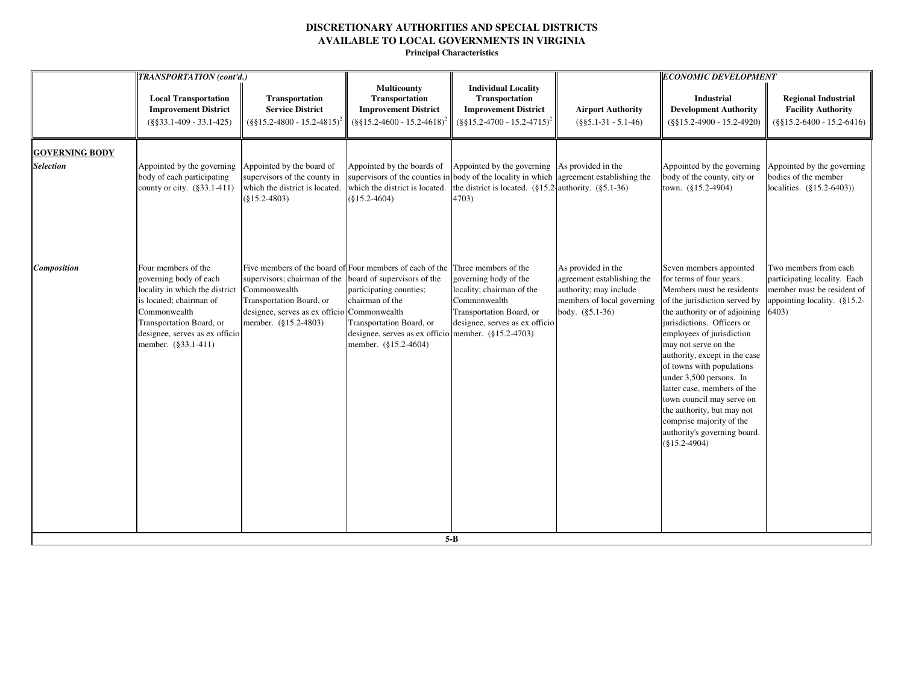|                       | TRANSPORTATION (cont'd.)                                                                                                                                                                                        |                                                                                                                                                                                                                                         |                                                                                                                                                          |                                                                                                                                                          |                                                                                                                             | <b>ECONOMIC DEVELOPMENT</b>                                                                                                                                                                                                                                                                                                                                                                                                                                                                             |                                                                                                                                   |
|-----------------------|-----------------------------------------------------------------------------------------------------------------------------------------------------------------------------------------------------------------|-----------------------------------------------------------------------------------------------------------------------------------------------------------------------------------------------------------------------------------------|----------------------------------------------------------------------------------------------------------------------------------------------------------|----------------------------------------------------------------------------------------------------------------------------------------------------------|-----------------------------------------------------------------------------------------------------------------------------|---------------------------------------------------------------------------------------------------------------------------------------------------------------------------------------------------------------------------------------------------------------------------------------------------------------------------------------------------------------------------------------------------------------------------------------------------------------------------------------------------------|-----------------------------------------------------------------------------------------------------------------------------------|
|                       | <b>Local Transportation</b><br><b>Improvement District</b><br>$(\$§33.1-409 - 33.1-425)$                                                                                                                        | Transportation<br><b>Service District</b><br>$(\frac{8}{315.2} - 4800 - 15.2 - 4815)^2$                                                                                                                                                 | <b>Multicounty</b><br>Transportation<br><b>Improvement District</b><br>$(\$§15.2-4600 - 15.2-4618)$                                                      | <b>Individual Locality</b><br>Transportation<br><b>Improvement District</b><br>$(\frac{8815.2 - 4700 - 15.2 - 4715)^2}{$                                 | <b>Airport Authority</b><br>$(\$§5.1-31 - 5.1-46)$                                                                          | Industrial<br><b>Development Authority</b><br>$(\$§15.2-4900 - 15.2-4920)$                                                                                                                                                                                                                                                                                                                                                                                                                              | <b>Regional Industrial</b><br><b>Facility Authority</b><br>$(\$§15.2-6400 - 15.2-6416)$                                           |
| <b>GOVERNING BODY</b> |                                                                                                                                                                                                                 |                                                                                                                                                                                                                                         |                                                                                                                                                          |                                                                                                                                                          |                                                                                                                             |                                                                                                                                                                                                                                                                                                                                                                                                                                                                                                         |                                                                                                                                   |
| <b>Selection</b>      | Appointed by the governing Appointed by the board of<br>body of each participating<br>county or city. (§33.1-411)                                                                                               | supervisors of the county in<br>which the district is located.<br>$(\$15.2-4803)$                                                                                                                                                       | Appointed by the boards of<br>supervisors of the counties in<br>which the district is located.<br>$(\$15.2-4604)$                                        | Appointed by the governing As provided in the<br>body of the locality in which<br>the district is located. $(\S 15.2$ authority. $(\S 5.1-36)$<br>4703)  | agreement establishing the                                                                                                  | Appointed by the governing<br>body of the county, city or<br>town. (§15.2-4904)                                                                                                                                                                                                                                                                                                                                                                                                                         | Appointed by the governing<br>bodies of the member<br>localities. (§15.2-6403))                                                   |
| Composition           | Four members of the<br>governing body of each<br>locality in which the district<br>is located; chairman of<br>Commonwealth<br>Transportation Board, or<br>designee, serves as ex officio<br>member. (§33.1-411) | Five members of the board of Four members of each of the<br>supervisors; chairman of the board of supervisors of the<br>Commonwealth<br>Transportation Board, or<br>designee, serves as ex officio Commonwealth<br>member. (§15.2-4803) | participating counties;<br>chairman of the<br>Transportation Board, or<br>designee, serves as ex officio member. $(\S15.2-4703)$<br>member. (§15.2-4604) | Three members of the<br>governing body of the<br>locality; chairman of the<br>Commonwealth<br>Transportation Board, or<br>designee, serves as ex officio | As provided in the<br>agreement establishing the<br>authority; may include<br>members of local governing<br>body. (§5.1-36) | Seven members appointed<br>for terms of four years.<br>Members must be residents<br>of the jurisdiction served by<br>the authority or of adjoining<br>jurisdictions. Officers or<br>employees of jurisdiction<br>may not serve on the<br>authority, except in the case<br>of towns with populations<br>under 3,500 persons. In<br>latter case, members of the<br>town council may serve on<br>the authority, but may not<br>comprise majority of the<br>authority's governing board.<br>$(\$15.2-4904)$ | Two members from each<br>participating locality. Each<br>member must be resident of<br>appointing locality. $(\S 15.2 -$<br>6403) |
|                       |                                                                                                                                                                                                                 |                                                                                                                                                                                                                                         |                                                                                                                                                          | $5 - B$                                                                                                                                                  |                                                                                                                             |                                                                                                                                                                                                                                                                                                                                                                                                                                                                                                         |                                                                                                                                   |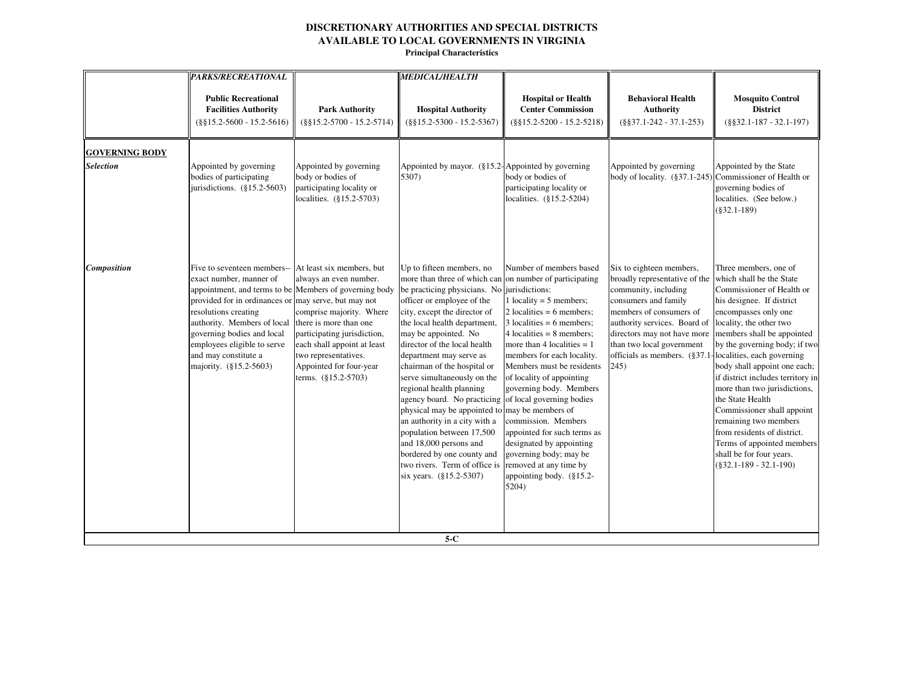|                                           | <b>PARKS/RECREATIONAL</b>                                                                                                                                                                                                                                                                                               |                                                                                                                                                                                                                                                                             | <b>MEDICAL/HEALTH</b>                                                                                                                                                                                                                                                                                                                                                                                                                                                                                                                                                                                                                                                                                       |                                                                                                                                                                                                                                                                                                                                                                                                                                                                                 |                                                                                                                                                                                                                                                                                                     |                                                                                                                                                                                                                                                                                                                                                                                                                                                                                                                                   |
|-------------------------------------------|-------------------------------------------------------------------------------------------------------------------------------------------------------------------------------------------------------------------------------------------------------------------------------------------------------------------------|-----------------------------------------------------------------------------------------------------------------------------------------------------------------------------------------------------------------------------------------------------------------------------|-------------------------------------------------------------------------------------------------------------------------------------------------------------------------------------------------------------------------------------------------------------------------------------------------------------------------------------------------------------------------------------------------------------------------------------------------------------------------------------------------------------------------------------------------------------------------------------------------------------------------------------------------------------------------------------------------------------|---------------------------------------------------------------------------------------------------------------------------------------------------------------------------------------------------------------------------------------------------------------------------------------------------------------------------------------------------------------------------------------------------------------------------------------------------------------------------------|-----------------------------------------------------------------------------------------------------------------------------------------------------------------------------------------------------------------------------------------------------------------------------------------------------|-----------------------------------------------------------------------------------------------------------------------------------------------------------------------------------------------------------------------------------------------------------------------------------------------------------------------------------------------------------------------------------------------------------------------------------------------------------------------------------------------------------------------------------|
|                                           | <b>Public Recreational</b><br><b>Facilities Authority</b><br>$(\$§15.2-5600 - 15.2-5616)$                                                                                                                                                                                                                               | <b>Park Authority</b><br>$(\$§15.2-5700 - 15.2-5714)$                                                                                                                                                                                                                       | <b>Hospital Authority</b><br>$(\$§15.2-5300 - 15.2-5367)$                                                                                                                                                                                                                                                                                                                                                                                                                                                                                                                                                                                                                                                   | <b>Hospital or Health</b><br><b>Center Commission</b><br>$(\$§15.2-5200 - 15.2-5218)$                                                                                                                                                                                                                                                                                                                                                                                           | <b>Behavioral Health</b><br><b>Authority</b><br>$(\$§37.1-242-37.1-253)$                                                                                                                                                                                                                            | <b>Mosquito Control</b><br><b>District</b><br>$(\$§32.1-187-32.1-197)$                                                                                                                                                                                                                                                                                                                                                                                                                                                            |
| <b>GOVERNING BODY</b><br><b>Selection</b> | Appointed by governing<br>bodies of participating<br>jurisdictions. $(\S15.2-5603)$                                                                                                                                                                                                                                     | Appointed by governing<br>body or bodies of<br>participating locality or<br>localities. (§15.2-5703)                                                                                                                                                                        | Appointed by mayor. $(\S 15.2$ -Appointed by governing<br>5307)                                                                                                                                                                                                                                                                                                                                                                                                                                                                                                                                                                                                                                             | body or bodies of<br>participating locality or<br>localities. (§15.2-5204)                                                                                                                                                                                                                                                                                                                                                                                                      | Appointed by governing<br>body of locality. $(\frac{837.1-245}{\text{Commissioner of Health or}})$                                                                                                                                                                                                  | Appointed by the State<br>governing bodies of<br>localities. (See below.)<br>$(\$32.1-189)$                                                                                                                                                                                                                                                                                                                                                                                                                                       |
| <b>Composition</b>                        | Five to seventeen members--<br>exact number, manner of<br>appointment, and terms to be Members of governing body<br>provided for in ordinances or<br>resolutions creating<br>authority. Members of local<br>governing bodies and local<br>employees eligible to serve<br>and may constitute a<br>majority. (§15.2-5603) | At least six members, but<br>always an even number.<br>may serve, but may not<br>comprise majority. Where<br>there is more than one<br>participating jurisdiction,<br>each shall appoint at least<br>two representatives.<br>Appointed for four-year<br>terms. (§15.2-5703) | Up to fifteen members, no<br>more than three of which can on number of participating<br>be practicing physicians. No jurisdictions:<br>officer or employee of the<br>city, except the director of<br>the local health department,<br>may be appointed. No<br>director of the local health<br>department may serve as<br>chairman of the hospital or<br>serve simultaneously on the<br>regional health planning<br>agency board. No practicing of local governing bodies<br>physical may be appointed to may be members of<br>an authority in a city with a<br>population between 17,500<br>and 18,000 persons and<br>bordered by one county and<br>two rivers. Term of office is<br>six years. (§15.2-5307) | Number of members based<br>1 locality = $5$ members;<br>2 localities = $6$ members;<br>$3$ localities = 6 members;<br>$4$ localities = 8 members;<br>more than 4 localities $= 1$<br>members for each locality.<br>Members must be residents<br>of locality of appointing<br>governing body. Members<br>commission. Members<br>appointed for such terms as<br>designated by appointing<br>governing body; may be<br>removed at any time by<br>appointing body. (§15.2-<br>5204) | Six to eighteen members,<br>broadly representative of the<br>community, including<br>consumers and family<br>members of consumers of<br>authority services. Board of<br>directors may not have more<br>than two local government<br>officials as members. (§37.1-localities, each governing<br>245) | Three members, one of<br>which shall be the State<br>Commissioner of Health or<br>his designee. If district<br>encompasses only one<br>locality, the other two<br>members shall be appointed<br>by the governing body; if two<br>body shall appoint one each;<br>if district includes territory in<br>more than two jurisdictions,<br>the State Health<br>Commissioner shall appoint<br>remaining two members<br>from residents of district.<br>Terms of appointed members<br>shall be for four years.<br>$(\$32.1-189-32.1-190)$ |
|                                           |                                                                                                                                                                                                                                                                                                                         |                                                                                                                                                                                                                                                                             | $5-C$                                                                                                                                                                                                                                                                                                                                                                                                                                                                                                                                                                                                                                                                                                       |                                                                                                                                                                                                                                                                                                                                                                                                                                                                                 |                                                                                                                                                                                                                                                                                                     |                                                                                                                                                                                                                                                                                                                                                                                                                                                                                                                                   |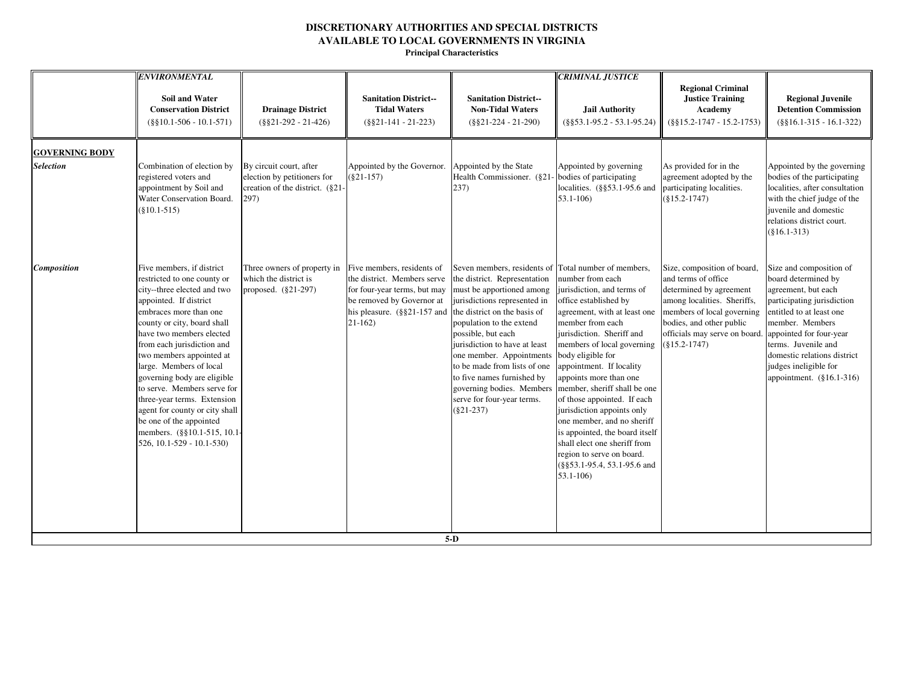|                       | <b>ENVIRONMENTAL</b>                                                                                                                                                                                                                                                                                                                                                                                                                                                                                              |                                                                                                   |                                                                                                                                                                   |                                                                                                                                                                                                                                                                                                                                                                                                                                           |                                                                                                                                                                                                                                                                                                                                                                                                                                                                                                                                            |                                                                                                                                                                                                                                                    |                                                                                                                                                                                                                                                               |
|-----------------------|-------------------------------------------------------------------------------------------------------------------------------------------------------------------------------------------------------------------------------------------------------------------------------------------------------------------------------------------------------------------------------------------------------------------------------------------------------------------------------------------------------------------|---------------------------------------------------------------------------------------------------|-------------------------------------------------------------------------------------------------------------------------------------------------------------------|-------------------------------------------------------------------------------------------------------------------------------------------------------------------------------------------------------------------------------------------------------------------------------------------------------------------------------------------------------------------------------------------------------------------------------------------|--------------------------------------------------------------------------------------------------------------------------------------------------------------------------------------------------------------------------------------------------------------------------------------------------------------------------------------------------------------------------------------------------------------------------------------------------------------------------------------------------------------------------------------------|----------------------------------------------------------------------------------------------------------------------------------------------------------------------------------------------------------------------------------------------------|---------------------------------------------------------------------------------------------------------------------------------------------------------------------------------------------------------------------------------------------------------------|
|                       | <b>Soil and Water</b><br><b>Conservation District</b><br>$(\$§10.1-506 - 10.1-571)$                                                                                                                                                                                                                                                                                                                                                                                                                               | <b>Drainage District</b><br>$(\$§21-292 - 21-426)$                                                | <b>Sanitation District--</b><br><b>Tidal Waters</b><br>$(\$§21-141 - 21-223)$                                                                                     | <b>Sanitation District--</b><br><b>Non-Tidal Waters</b><br>$(\$§21-224 - 21-290)$                                                                                                                                                                                                                                                                                                                                                         | <b>CRIMINAL JUSTICE</b><br><b>Jail Authority</b><br>$(\$§53.1-95.2 - 53.1-95.24)$                                                                                                                                                                                                                                                                                                                                                                                                                                                          | <b>Regional Criminal</b><br><b>Justice Training</b><br>Academy<br>$(\$§15.2-1747 - 15.2-1753)$                                                                                                                                                     | <b>Regional Juvenile</b><br><b>Detention Commission</b><br>$(\$§16.1-315 - 16.1-322)$                                                                                                                                                                         |
| <b>GOVERNING BODY</b> |                                                                                                                                                                                                                                                                                                                                                                                                                                                                                                                   |                                                                                                   |                                                                                                                                                                   |                                                                                                                                                                                                                                                                                                                                                                                                                                           |                                                                                                                                                                                                                                                                                                                                                                                                                                                                                                                                            |                                                                                                                                                                                                                                                    |                                                                                                                                                                                                                                                               |
| <b>Selection</b>      | Combination of election by<br>registered voters and<br>appointment by Soil and<br>Water Conservation Board.<br>$(\$10.1-515)$                                                                                                                                                                                                                                                                                                                                                                                     | By circuit court, after<br>election by petitioners for<br>creation of the district. (§21-<br>297) | Appointed by the Governor. Appointed by the State<br>$(\$21-157)$                                                                                                 | Health Commissioner. (§21)<br>237)                                                                                                                                                                                                                                                                                                                                                                                                        | Appointed by governing<br>- bodies of participating<br>localities. $(\frac{6553.1-95.6}{95.0})$ and<br>$53.1 - 106$                                                                                                                                                                                                                                                                                                                                                                                                                        | As provided for in the<br>agreement adopted by the<br>participating localities.<br>$(\$15.2-1747)$                                                                                                                                                 | Appointed by the governing<br>bodies of the participating<br>localities, after consultation<br>with the chief judge of the<br>juvenile and domestic<br>relations district court.<br>$(\$16.1-313)$                                                            |
| Composition           | Five members, if district<br>restricted to one county or<br>city--three elected and two<br>appointed. If district<br>embraces more than one<br>county or city, board shall<br>have two members elected<br>from each jurisdiction and<br>two members appointed at<br>large. Members of local<br>governing body are eligible<br>to serve. Members serve for<br>three-year terms. Extension<br>agent for county or city shall<br>be one of the appointed<br>members. (§§10.1-515, 10.1-<br>526, 10.1-529 - 10.1-530) | Three owners of property in<br>which the district is<br>proposed. (§21-297)                       | Five members, residents of<br>the district. Members serve<br>for four-year terms, but may<br>be removed by Governor at<br>his pleasure. (§§21-157 and<br>$21-162$ | Seven members, residents of Total number of members,<br>the district. Representation<br>must be apportioned among<br>jurisdictions represented in<br>the district on the basis of<br>population to the extend<br>possible, but each<br>jurisdiction to have at least<br>one member. Appointments<br>to be made from lists of one<br>to five names furnished by<br>governing bodies. Members<br>serve for four-year terms.<br>$(\$21-237)$ | number from each<br>jurisdiction, and terms of<br>office established by<br>agreement, with at least one<br>member from each<br>jurisdiction. Sheriff and<br>members of local governing<br>body eligible for<br>appointment. If locality<br>appoints more than one<br>member, sheriff shall be one<br>of those appointed. If each<br>jurisdiction appoints only<br>one member, and no sheriff<br>is appointed, the board itself<br>shall elect one sheriff from<br>region to serve on board.<br>(§§53.1-95.4, 53.1-95.6 and<br>$53.1 - 106$ | Size, composition of board,<br>and terms of office<br>determined by agreement<br>among localities. Sheriffs,<br>members of local governing<br>bodies, and other public<br>officials may serve on board. appointed for four-year<br>$(\$15.2-1747)$ | Size and composition of<br>board determined by<br>agreement, but each<br>participating jurisdiction<br>entitled to at least one<br>member. Members<br>terms. Juvenile and<br>domestic relations district<br>judges ineligible for<br>appointment. (§16.1-316) |
|                       |                                                                                                                                                                                                                                                                                                                                                                                                                                                                                                                   |                                                                                                   |                                                                                                                                                                   | $5-D$                                                                                                                                                                                                                                                                                                                                                                                                                                     |                                                                                                                                                                                                                                                                                                                                                                                                                                                                                                                                            |                                                                                                                                                                                                                                                    |                                                                                                                                                                                                                                                               |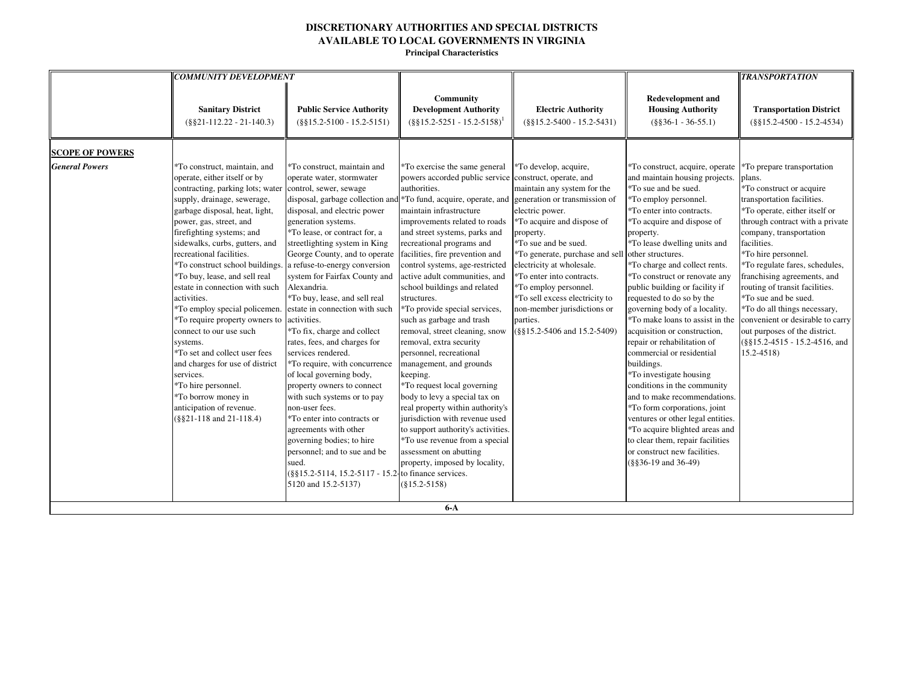|                        | <b>COMMUNITY DEVELOPMENT</b>                                                                                                                                                                                                                                                                                                                                                                                                                                                                                                                                                                                                                                                                                                                |                                                                                                                                                                                                                                                                                                                                                                                                                                                                                                                                                                                                                                                                                                                                                                                                                                                                |                                                                                                                                                                                                                                                                                                                                                                                                                                                                                                                                                                                                                                                                                                                                                                                                                                                                                                                                                      |                                                                                                                                                                                                                                                                                                                                                                                   |                                                                                                                                                                                                                                                                                                                                                                                                                                                                                                                                                                                                                                                                                                                                                                                                                                                               | <b>TRANSPORTATION</b>                                                                                                                                                                                                                                                                                                                                                                                                                                                                                                 |
|------------------------|---------------------------------------------------------------------------------------------------------------------------------------------------------------------------------------------------------------------------------------------------------------------------------------------------------------------------------------------------------------------------------------------------------------------------------------------------------------------------------------------------------------------------------------------------------------------------------------------------------------------------------------------------------------------------------------------------------------------------------------------|----------------------------------------------------------------------------------------------------------------------------------------------------------------------------------------------------------------------------------------------------------------------------------------------------------------------------------------------------------------------------------------------------------------------------------------------------------------------------------------------------------------------------------------------------------------------------------------------------------------------------------------------------------------------------------------------------------------------------------------------------------------------------------------------------------------------------------------------------------------|------------------------------------------------------------------------------------------------------------------------------------------------------------------------------------------------------------------------------------------------------------------------------------------------------------------------------------------------------------------------------------------------------------------------------------------------------------------------------------------------------------------------------------------------------------------------------------------------------------------------------------------------------------------------------------------------------------------------------------------------------------------------------------------------------------------------------------------------------------------------------------------------------------------------------------------------------|-----------------------------------------------------------------------------------------------------------------------------------------------------------------------------------------------------------------------------------------------------------------------------------------------------------------------------------------------------------------------------------|---------------------------------------------------------------------------------------------------------------------------------------------------------------------------------------------------------------------------------------------------------------------------------------------------------------------------------------------------------------------------------------------------------------------------------------------------------------------------------------------------------------------------------------------------------------------------------------------------------------------------------------------------------------------------------------------------------------------------------------------------------------------------------------------------------------------------------------------------------------|-----------------------------------------------------------------------------------------------------------------------------------------------------------------------------------------------------------------------------------------------------------------------------------------------------------------------------------------------------------------------------------------------------------------------------------------------------------------------------------------------------------------------|
|                        | <b>Sanitary District</b><br>$(\$§21-112.22-21-140.3)$                                                                                                                                                                                                                                                                                                                                                                                                                                                                                                                                                                                                                                                                                       | <b>Public Service Authority</b><br>$(\$§15.2-5100 - 15.2-5151)$                                                                                                                                                                                                                                                                                                                                                                                                                                                                                                                                                                                                                                                                                                                                                                                                | Community<br><b>Development Authority</b><br>$($ §§15.2-5251 - 15.2-5158) <sup>1</sup>                                                                                                                                                                                                                                                                                                                                                                                                                                                                                                                                                                                                                                                                                                                                                                                                                                                               | <b>Electric Authority</b><br>$(\$§15.2-5400 - 15.2-5431)$                                                                                                                                                                                                                                                                                                                         | <b>Redevelopment and</b><br><b>Housing Authority</b><br>$(\$§36-1 - 36-55.1)$                                                                                                                                                                                                                                                                                                                                                                                                                                                                                                                                                                                                                                                                                                                                                                                 | <b>Transportation District</b><br>$(\$§15.2-4500 - 15.2-4534)$                                                                                                                                                                                                                                                                                                                                                                                                                                                        |
| <b>SCOPE OF POWERS</b> |                                                                                                                                                                                                                                                                                                                                                                                                                                                                                                                                                                                                                                                                                                                                             |                                                                                                                                                                                                                                                                                                                                                                                                                                                                                                                                                                                                                                                                                                                                                                                                                                                                |                                                                                                                                                                                                                                                                                                                                                                                                                                                                                                                                                                                                                                                                                                                                                                                                                                                                                                                                                      |                                                                                                                                                                                                                                                                                                                                                                                   |                                                                                                                                                                                                                                                                                                                                                                                                                                                                                                                                                                                                                                                                                                                                                                                                                                                               |                                                                                                                                                                                                                                                                                                                                                                                                                                                                                                                       |
| <b>General Powers</b>  | *To construct, maintain, and<br>operate, either itself or by<br>contracting, parking lots; water<br>supply, drainage, sewerage,<br>garbage disposal, heat, light,<br>power, gas, street, and<br>firefighting systems; and<br>sidewalks, curbs, gutters, and<br>recreational facilities.<br>*To construct school buildings.<br>*To buy, lease, and sell real<br>estate in connection with such<br>activities.<br>*To employ special policemen. estate in connection with such<br>*To require property owners to<br>connect to our use such<br>systems.<br>*To set and collect user fees<br>and charges for use of district<br>services.<br>*To hire personnel.<br>*To borrow money in<br>anticipation of revenue.<br>(§§21-118 and 21-118.4) | *To construct, maintain and<br>operate water, stormwater<br>control, sewer, sewage<br>disposal, garbage collection and<br>disposal, and electric power<br>generation systems.<br>*To lease, or contract for, a<br>streetlighting system in King<br>George County, and to operate<br>a refuse-to-energy conversion<br>system for Fairfax County and<br>Alexandria.<br>*To buy, lease, and sell real<br>activities.<br>*To fix, charge and collect<br>rates, fees, and charges for<br>services rendered.<br>*To require, with concurrence<br>of local governing body,<br>property owners to connect<br>with such systems or to pay<br>non-user fees.<br>*To enter into contracts or<br>agreements with other<br>governing bodies; to hire<br>personnel; and to sue and be<br>sued.<br>(§§15.2-5114, 15.2-5117 - 15.2-to finance services.<br>5120 and 15.2-5137) | *To exercise the same general<br>powers accorded public service construct, operate, and<br>authorities.<br>1 *To fund, acquire, operate, and generation or transmission of<br>maintain infrastructure<br>improvements related to roads<br>and street systems, parks and<br>recreational programs and<br>facilities, fire prevention and<br>control systems, age-restricted<br>active adult communities, and<br>school buildings and related<br>structures.<br>*To provide special services,<br>such as garbage and trash<br>removal, street cleaning, snow<br>removal, extra security<br>personnel, recreational<br>management, and grounds<br>keeping.<br>*To request local governing<br>body to levy a special tax on<br>real property within authority's<br>jurisdiction with revenue used<br>to support authority's activities.<br>*To use revenue from a special<br>assessment on abutting<br>property, imposed by locality,<br>$(\$15.2-5158)$ | *To develop, acquire,<br>maintain any system for the<br>electric power.<br>*To acquire and dispose of<br>property.<br>*To sue and be sued.<br>*To generate, purchase and sell<br>electricity at wholesale.<br>*To enter into contracts.<br>*To employ personnel.<br>*To sell excess electricity to<br>non-member jurisdictions or<br>parties.<br>$(\$§15.2-5406$ and $15.2-5409)$ | *To construct, acquire, operate<br>and maintain housing projects.<br>*To sue and be sued.<br>*To employ personnel.<br>*To enter into contracts.<br>*To acquire and dispose of<br>property.<br>*To lease dwelling units and<br>other structures.<br>*To charge and collect rents.<br>*To construct or renovate any<br>public building or facility if<br>requested to do so by the<br>governing body of a locality.<br>*To make loans to assist in the<br>acquisition or construction,<br>repair or rehabilitation of<br>commercial or residential<br>buildings.<br>*To investigate housing<br>conditions in the community<br>and to make recommendations.<br>*To form corporations, joint<br>ventures or other legal entities.<br>*To acquire blighted areas and<br>to clear them, repair facilities<br>or construct new facilities.<br>$(\$§36-19$ and 36-49) | *To prepare transportation<br>plans.<br>*To construct or acquire<br>transportation facilities.<br>*To operate, either itself or<br>through contract with a private<br>company, transportation<br>facilities.<br>*To hire personnel.<br>*To regulate fares, schedules,<br>franchising agreements, and<br>routing of transit facilities.<br>*To sue and be sued.<br>*To do all things necessary,<br>convenient or desirable to carry<br>out purposes of the district.<br>(§§15.2-4515 - 15.2-4516, and<br>$15.2 - 4518$ |
|                        |                                                                                                                                                                                                                                                                                                                                                                                                                                                                                                                                                                                                                                                                                                                                             |                                                                                                                                                                                                                                                                                                                                                                                                                                                                                                                                                                                                                                                                                                                                                                                                                                                                | $6-A$                                                                                                                                                                                                                                                                                                                                                                                                                                                                                                                                                                                                                                                                                                                                                                                                                                                                                                                                                |                                                                                                                                                                                                                                                                                                                                                                                   |                                                                                                                                                                                                                                                                                                                                                                                                                                                                                                                                                                                                                                                                                                                                                                                                                                                               |                                                                                                                                                                                                                                                                                                                                                                                                                                                                                                                       |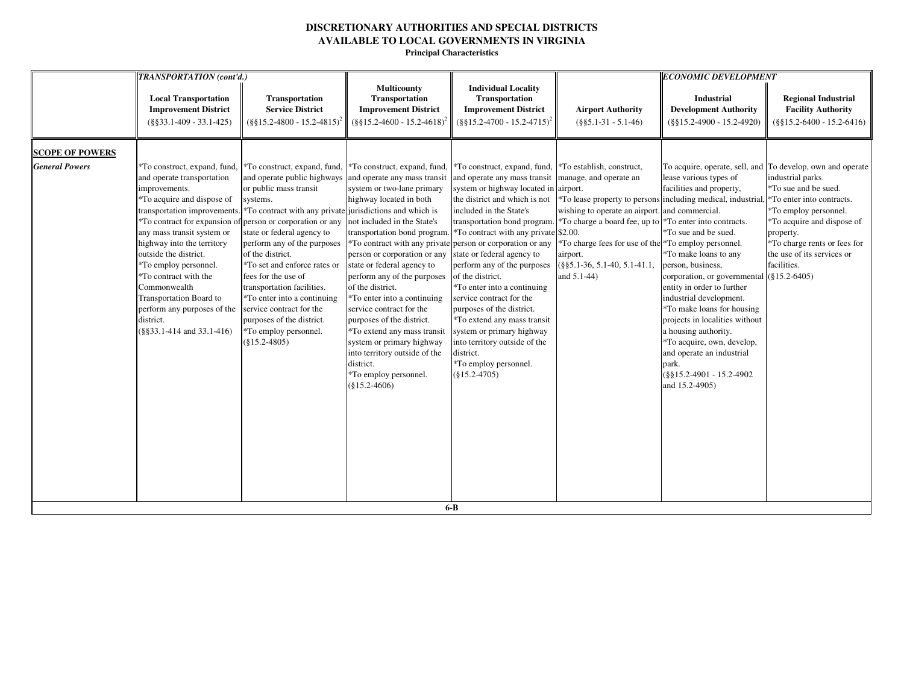|                        | TRANSPORTATION (cont'd.)                                                                                                                                                                                                                                                                                                                                                                           |                                                                                                                                                                                                                                                                                                                                                                                                                                                                                                                                                                                           |                                                                                                                                                                                                                                                                                                                                                                                                                                                                                                                    |                                                                                                                                                                                                                                                                                                                                                                                                                                                                                                                                                                                                                |                                                                                                                                                                                                                                                                    | <b>ECONOMIC DEVELOPMENT</b>                                                                                                                                                                                                                                                                                                                                                                                                                                                                                                                                       |                                                                                                                                                                                                                                                                                       |
|------------------------|----------------------------------------------------------------------------------------------------------------------------------------------------------------------------------------------------------------------------------------------------------------------------------------------------------------------------------------------------------------------------------------------------|-------------------------------------------------------------------------------------------------------------------------------------------------------------------------------------------------------------------------------------------------------------------------------------------------------------------------------------------------------------------------------------------------------------------------------------------------------------------------------------------------------------------------------------------------------------------------------------------|--------------------------------------------------------------------------------------------------------------------------------------------------------------------------------------------------------------------------------------------------------------------------------------------------------------------------------------------------------------------------------------------------------------------------------------------------------------------------------------------------------------------|----------------------------------------------------------------------------------------------------------------------------------------------------------------------------------------------------------------------------------------------------------------------------------------------------------------------------------------------------------------------------------------------------------------------------------------------------------------------------------------------------------------------------------------------------------------------------------------------------------------|--------------------------------------------------------------------------------------------------------------------------------------------------------------------------------------------------------------------------------------------------------------------|-------------------------------------------------------------------------------------------------------------------------------------------------------------------------------------------------------------------------------------------------------------------------------------------------------------------------------------------------------------------------------------------------------------------------------------------------------------------------------------------------------------------------------------------------------------------|---------------------------------------------------------------------------------------------------------------------------------------------------------------------------------------------------------------------------------------------------------------------------------------|
|                        | <b>Local Transportation</b><br><b>Improvement District</b><br>$(\$§33.1-409 - 33.1-425)$                                                                                                                                                                                                                                                                                                           | <b>Transportation</b><br><b>Service District</b><br>$(\frac{8}{315.2} - 4800 - 15.2 - 4815)^2$                                                                                                                                                                                                                                                                                                                                                                                                                                                                                            | <b>Multicounty</b><br><b>Transportation</b><br><b>Improvement District</b><br>$(\frac{8815.2 - 4600 - 15.2 - 4618)^2}{$                                                                                                                                                                                                                                                                                                                                                                                            | <b>Individual Locality</b><br>Transportation<br><b>Improvement District</b><br>$(\frac{8815.2-4700-15.2-4715)^2}{8815.2-4700}$                                                                                                                                                                                                                                                                                                                                                                                                                                                                                 | <b>Airport Authority</b><br>$(\$§5.1-31 - 5.1-46)$                                                                                                                                                                                                                 | <b>Industrial</b><br><b>Development Authority</b><br>$(\$§15.2-4900 - 15.2-4920)$                                                                                                                                                                                                                                                                                                                                                                                                                                                                                 | <b>Regional Industrial</b><br><b>Facility Authority</b><br>$(\$§15.2-6400 - 15.2-6416)$                                                                                                                                                                                               |
| <b>SCOPE OF POWERS</b> |                                                                                                                                                                                                                                                                                                                                                                                                    |                                                                                                                                                                                                                                                                                                                                                                                                                                                                                                                                                                                           |                                                                                                                                                                                                                                                                                                                                                                                                                                                                                                                    |                                                                                                                                                                                                                                                                                                                                                                                                                                                                                                                                                                                                                |                                                                                                                                                                                                                                                                    |                                                                                                                                                                                                                                                                                                                                                                                                                                                                                                                                                                   |                                                                                                                                                                                                                                                                                       |
| <b>General Powers</b>  | *To construct, expand, fund.<br>and operate transportation<br>improvements.<br>*To acquire and dispose of<br>any mass transit system or<br>highway into the territory<br>outside the district.<br>*To employ personnel.<br>*To contract with the<br>Commonwealth<br>Transportation Board to<br>perform any purposes of the service contract for the<br>district.<br>$(\$§33.1-414$ and $33.1-416)$ | To construct, expand, fund, <sup>*</sup> To construct, expand, fund,<br>and operate public highways<br>or public mass transit<br>systems.<br>transportation improvements. <sup>*</sup> To contract with any private jurisdictions and which is<br>To contract for expansion of person or corporation or any<br>state or federal agency to<br>perform any of the purposes<br>of the district.<br>*To set and enforce rates or<br>fees for the use of<br>transportation facilities.<br>*To enter into a continuing<br>purposes of the district.<br>*To employ personnel.<br>$(\$15.2-4805)$ | and operate any mass transit<br>system or two-lane primary<br>highway located in both<br>not included in the State's<br>transportation bond program<br>person or corporation or any<br>state or federal agency to<br>perform any of the purposes<br>of the district.<br>*To enter into a continuing<br>service contract for the<br>purposes of the district.<br>*To extend any mass transit<br>system or primary highway<br>into territory outside of the<br>district.<br>*To employ personnel.<br>$(\$15.2-4606)$ | *To construct, expand, fund,<br>and operate any mass transit<br>system or highway located in airport.<br>the district and which is not<br>included in the State's<br><i>*To contract with any private</i> \$2.00.<br>*To contract with any private person or corporation or any<br>state or federal agency to<br>perform any of the purposes<br>of the district.<br>*To enter into a continuing<br>service contract for the<br>purposes of the district.<br>*To extend any mass transit<br>system or primary highway<br>into territory outside of the<br>district.<br>*To employ personnel.<br>$(\$15.2-4705)$ | *To establish, construct,<br>manage, and operate an<br>wishing to operate an airport. and commercial.<br>transportation bond program. *To charge a board fee, up to<br>*To charge fees for use of the<br>airport.<br>$(\$§5.1-36, 5.1-40, 5.1-41.1$<br>and 5.1-44) | lease various types of<br>facilities and property,<br>*To lease property to persons including medical, industrial,<br>*To enter into contracts.<br>*To sue and be sued.<br>*To employ personnel.<br>*To make loans to any<br>person, business,<br>corporation, or governmental (§15.2-6405)<br>entity in order to further<br>industrial development.<br>*To make loans for housing<br>projects in localities without<br>a housing authority.<br>*To acquire, own, develop,<br>and operate an industrial<br>park.<br>$(\$§15.2-4901 - 15.2-4902$<br>and 15.2-4905) | To acquire, operate, sell, and To develop, own and operate<br>industrial parks.<br>*To sue and be sued.<br>*To enter into contracts.<br>*To employ personnel.<br>*To acquire and dispose of<br>property.<br>*To charge rents or fees for<br>the use of its services or<br>facilities. |
|                        |                                                                                                                                                                                                                                                                                                                                                                                                    |                                                                                                                                                                                                                                                                                                                                                                                                                                                                                                                                                                                           |                                                                                                                                                                                                                                                                                                                                                                                                                                                                                                                    | $6-B$                                                                                                                                                                                                                                                                                                                                                                                                                                                                                                                                                                                                          |                                                                                                                                                                                                                                                                    |                                                                                                                                                                                                                                                                                                                                                                                                                                                                                                                                                                   |                                                                                                                                                                                                                                                                                       |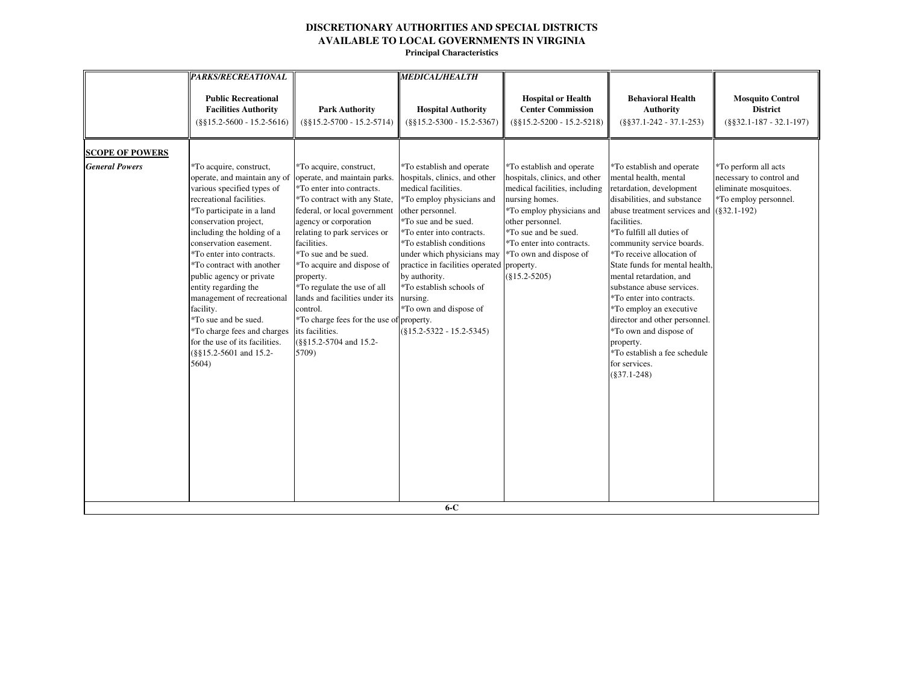|                        | <b>PARKS/RECREATIONAL</b>                                                                                                                                                                                                                                                                                                                                                                                                                                                                                            |                                                                                                                                                                                                                                                                                                                                                                                                                                                                                | <b>MEDICAL/HEALTH</b>                                                                                                                                                                                                                                                                                                                                                                                            |                                                                                                                                                                                                                                                                  |                                                                                                                                                                                                                                                                                                                                                                                                                                                                                                                                                                |                                                                                                    |
|------------------------|----------------------------------------------------------------------------------------------------------------------------------------------------------------------------------------------------------------------------------------------------------------------------------------------------------------------------------------------------------------------------------------------------------------------------------------------------------------------------------------------------------------------|--------------------------------------------------------------------------------------------------------------------------------------------------------------------------------------------------------------------------------------------------------------------------------------------------------------------------------------------------------------------------------------------------------------------------------------------------------------------------------|------------------------------------------------------------------------------------------------------------------------------------------------------------------------------------------------------------------------------------------------------------------------------------------------------------------------------------------------------------------------------------------------------------------|------------------------------------------------------------------------------------------------------------------------------------------------------------------------------------------------------------------------------------------------------------------|----------------------------------------------------------------------------------------------------------------------------------------------------------------------------------------------------------------------------------------------------------------------------------------------------------------------------------------------------------------------------------------------------------------------------------------------------------------------------------------------------------------------------------------------------------------|----------------------------------------------------------------------------------------------------|
|                        | <b>Public Recreational</b><br><b>Facilities Authority</b><br>$(\$§15.2-5600 - 15.2-5616)$                                                                                                                                                                                                                                                                                                                                                                                                                            | <b>Park Authority</b><br>$(\$§15.2-5700 - 15.2-5714)$                                                                                                                                                                                                                                                                                                                                                                                                                          | <b>Hospital Authority</b><br>$(\$§15.2-5300 - 15.2-5367)$                                                                                                                                                                                                                                                                                                                                                        | <b>Hospital or Health</b><br><b>Center Commission</b><br>$(\$§15.2-5200 - 15.2-5218)$                                                                                                                                                                            | <b>Behavioral Health</b><br><b>Authority</b><br>$(\$§37.1-242 - 37.1-253)$                                                                                                                                                                                                                                                                                                                                                                                                                                                                                     | <b>Mosquito Control</b><br><b>District</b><br>$(\$§32.1-187 - 32.1-197)$                           |
| <b>SCOPE OF POWERS</b> |                                                                                                                                                                                                                                                                                                                                                                                                                                                                                                                      |                                                                                                                                                                                                                                                                                                                                                                                                                                                                                |                                                                                                                                                                                                                                                                                                                                                                                                                  |                                                                                                                                                                                                                                                                  |                                                                                                                                                                                                                                                                                                                                                                                                                                                                                                                                                                |                                                                                                    |
| <b>General Powers</b>  | *To acquire, construct,<br>operate, and maintain any of<br>various specified types of<br>recreational facilities.<br>*To participate in a land<br>conservation project,<br>including the holding of a<br>conservation easement.<br>*To enter into contracts.<br>*To contract with another<br>public agency or private<br>entity regarding the<br>management of recreational<br>facility.<br>*To sue and be sued.<br>*To charge fees and charges<br>for the use of its facilities.<br>(§§15.2-5601 and 15.2-<br>5604) | *To acquire, construct,<br>operate, and maintain parks.<br>*To enter into contracts.<br>*To contract with any State,<br>federal, or local government<br>agency or corporation<br>relating to park services or<br>facilities.<br>*To sue and be sued.<br>*To acquire and dispose of<br>property.<br>*To regulate the use of all<br>lands and facilities under its<br>control.<br>*To charge fees for the use of property.<br>its facilities.<br>(§§15.2-5704 and 15.2-<br>5709) | *To establish and operate<br>hospitals, clinics, and other<br>medical facilities.<br>*To employ physicians and<br>other personnel.<br>*To sue and be sued.<br>*To enter into contracts.<br>*To establish conditions<br>under which physicians may<br>practice in facilities operated property.<br>by authority.<br>*To establish schools of<br>nursing.<br>*To own and dispose of<br>$(\$15.2-5322 - 15.2-5345)$ | *To establish and operate<br>hospitals, clinics, and other<br>medical facilities, including<br>nursing homes.<br>*To employ physicians and<br>other personnel.<br>*To sue and be sued.<br>*To enter into contracts.<br>*To own and dispose of<br>$(\$15.2-5205)$ | *To establish and operate<br>mental health, mental<br>retardation, development<br>disabilities, and substance<br>abuse treatment services and $(§32.1-192)$<br>facilities.<br>*To fulfill all duties of<br>community service boards.<br>*To receive allocation of<br>State funds for mental health,<br>mental retardation, and<br>substance abuse services.<br>*To enter into contracts.<br>*To employ an executive<br>director and other personnel.<br>*To own and dispose of<br>property.<br>*To establish a fee schedule<br>for services.<br>$(\$37.1-248)$ | *To perform all acts<br>necessary to control and<br>eliminate mosquitoes.<br>*To employ personnel. |
|                        |                                                                                                                                                                                                                                                                                                                                                                                                                                                                                                                      |                                                                                                                                                                                                                                                                                                                                                                                                                                                                                | $6-C$                                                                                                                                                                                                                                                                                                                                                                                                            |                                                                                                                                                                                                                                                                  |                                                                                                                                                                                                                                                                                                                                                                                                                                                                                                                                                                |                                                                                                    |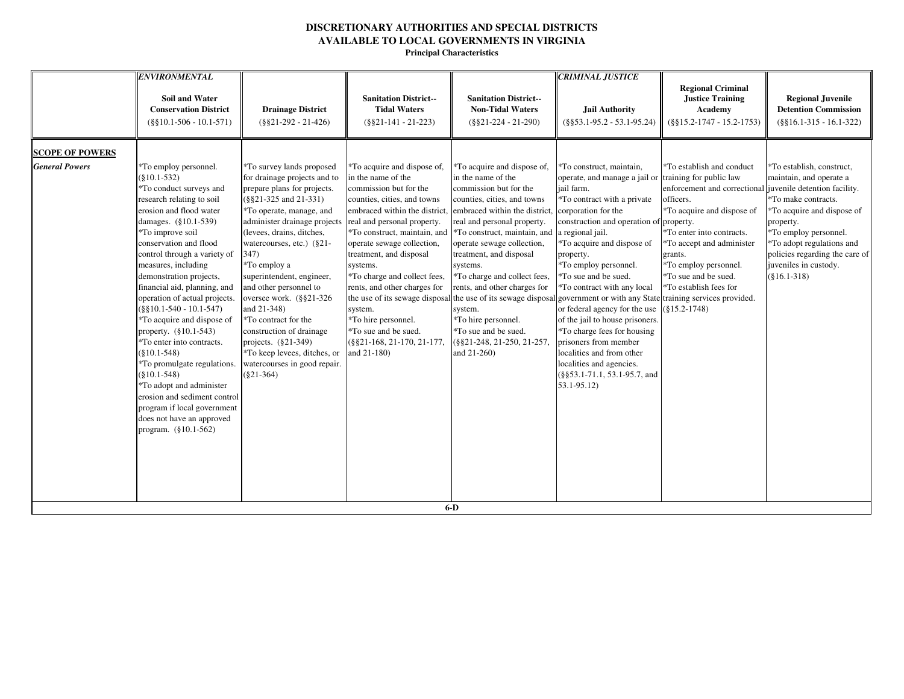**Principal Characteristics**

| <b>Soil and Water</b><br><b>Conservation District</b><br>$(\$§10.1-506 - 10.1-571)$                                                                                                                                                                                                                                                                                                                                                                                                                                                                                                                                                                                                                                                                       | <b>Drainage District</b><br>$(\$§21-292 - 21-426)$                                                                                                                                                                                                                                                                                                                                                                                                                                                                          | <b>Sanitation District--</b><br><b>Tidal Waters</b><br>$(\$§21-141 - 21-223)$                                                                                                                                                                                                                                                                                                                                                                          | <b>Sanitation District--</b><br><b>Non-Tidal Waters</b><br>$(\$§21-224 - 21-290)$                                                                                                                                                                                                                                                                                                                                                                                                                                                                                                      | <b>CRIMINAL JUSTICE</b><br><b>Jail Authority</b><br>$(\$§53.1-95.2 - 53.1-95.24)$                                                                                                                                                                                                                                                                                                                                                                                                                                                                              | <b>Regional Criminal</b><br><b>Justice Training</b><br>Academy<br>$(\$§15.2-1747 - 15.2-1753)$                                                                                                                                                                                                                                  | <b>Regional Juvenile</b><br><b>Detention Commission</b><br>$(\$§16.1-315 - 16.1-322)$                                                                                                                                                                     |
|-----------------------------------------------------------------------------------------------------------------------------------------------------------------------------------------------------------------------------------------------------------------------------------------------------------------------------------------------------------------------------------------------------------------------------------------------------------------------------------------------------------------------------------------------------------------------------------------------------------------------------------------------------------------------------------------------------------------------------------------------------------|-----------------------------------------------------------------------------------------------------------------------------------------------------------------------------------------------------------------------------------------------------------------------------------------------------------------------------------------------------------------------------------------------------------------------------------------------------------------------------------------------------------------------------|--------------------------------------------------------------------------------------------------------------------------------------------------------------------------------------------------------------------------------------------------------------------------------------------------------------------------------------------------------------------------------------------------------------------------------------------------------|----------------------------------------------------------------------------------------------------------------------------------------------------------------------------------------------------------------------------------------------------------------------------------------------------------------------------------------------------------------------------------------------------------------------------------------------------------------------------------------------------------------------------------------------------------------------------------------|----------------------------------------------------------------------------------------------------------------------------------------------------------------------------------------------------------------------------------------------------------------------------------------------------------------------------------------------------------------------------------------------------------------------------------------------------------------------------------------------------------------------------------------------------------------|---------------------------------------------------------------------------------------------------------------------------------------------------------------------------------------------------------------------------------------------------------------------------------------------------------------------------------|-----------------------------------------------------------------------------------------------------------------------------------------------------------------------------------------------------------------------------------------------------------|
| <b>SCOPE OF POWERS</b><br><b>General Powers</b><br>*To employ personnel.<br>$(\$10.1-532)$<br>*To conduct surveys and<br>research relating to soil<br>erosion and flood water<br>damages. (§10.1-539)<br>*To improve soil<br>conservation and flood<br>control through a variety of<br>347)<br>measures, including<br>demonstration projects,<br>financial aid, planning, and<br>operation of actual projects.<br>$(\$§10.1-540 - 10.1-547)$<br>*To acquire and dispose of<br>property. $(\S 10.1 - 543)$<br>*To enter into contracts.<br>$(\$10.1-548)$<br>*To promulgate regulations.<br>$(\$10.1-548)$<br>*To adopt and administer<br>erosion and sediment control<br>program if local government<br>does not have an approved<br>program. (§10.1-562) | *To survey lands proposed<br>for drainage projects and to<br>prepare plans for projects.<br>$(\$§21-325$ and $21-331)$<br>*To operate, manage, and<br>administer drainage projects<br>(levees, drains, ditches,<br>watercourses, etc.) (§21-<br>*To employ a<br>superintendent, engineer,<br>and other personnel to<br>oversee work. (§§21-326<br>and 21-348)<br>*To contract for the<br>construction of drainage<br>projects. $(\S21-349)$<br>*To keep levees, ditches, or<br>watercourses in good repair.<br>$(\$21-364)$ | *To acquire and dispose of,<br>in the name of the<br>commission but for the<br>counties, cities, and towns<br>embraced within the district,<br>real and personal property.<br>*To construct, maintain, and<br>operate sewage collection,<br>treatment, and disposal<br>systems.<br>*To charge and collect fees,<br>rents, and other charges for<br>system.<br>*To hire personnel.<br>*To sue and be sued.<br>(§§21-168, 21-170, 21-177,<br>and 21-180) | *To acquire and dispose of,<br>in the name of the<br>commission but for the<br>counties, cities, and towns<br>embraced within the district<br>real and personal property.<br>*To construct, maintain, and<br>operate sewage collection,<br>treatment, and disposal<br>systems.<br>*To charge and collect fees,<br>rents, and other charges for<br>the use of its sewage disposal the use of its sewage disposal government or with any State training services provided.<br>system.<br>*To hire personnel.<br>*To sue and be sued.<br>(§§21-248, 21-250, 21-257.<br>and 21-260)<br>6.5 | *To construct, maintain,<br>operate, and manage a jail or<br>jail farm.<br>*To contract with a private<br>corporation for the<br>construction and operation of property.<br>a regional jail.<br>*To acquire and dispose of<br>property.<br>*To employ personnel.<br>*To sue and be sued.<br>*To contract with any local<br>or federal agency for the use<br>of the jail to house prisoners.<br>*To charge fees for housing<br>prisoners from member<br>localities and from other<br>localities and agencies.<br>(§§53.1-71.1, 53.1-95.7, and<br>$53.1 - 95.12$ | *To establish and conduct<br>training for public law<br>enforcement and correctional juvenile detention facility.<br>officers.<br>*To acquire and dispose of<br>*To enter into contracts.<br>*To accept and administer<br>grants.<br>*To employ personnel.<br>*To sue and be sued.<br>*To establish fees for<br>$(\$15.2-1748)$ | *To establish, construct,<br>maintain, and operate a<br>*To make contracts.<br>*To acquire and dispose of<br>property.<br>*To employ personnel.<br>*To adopt regulations and<br>policies regarding the care of<br>juveniles in custody.<br>$(\$16.1-318)$ |

**6-D**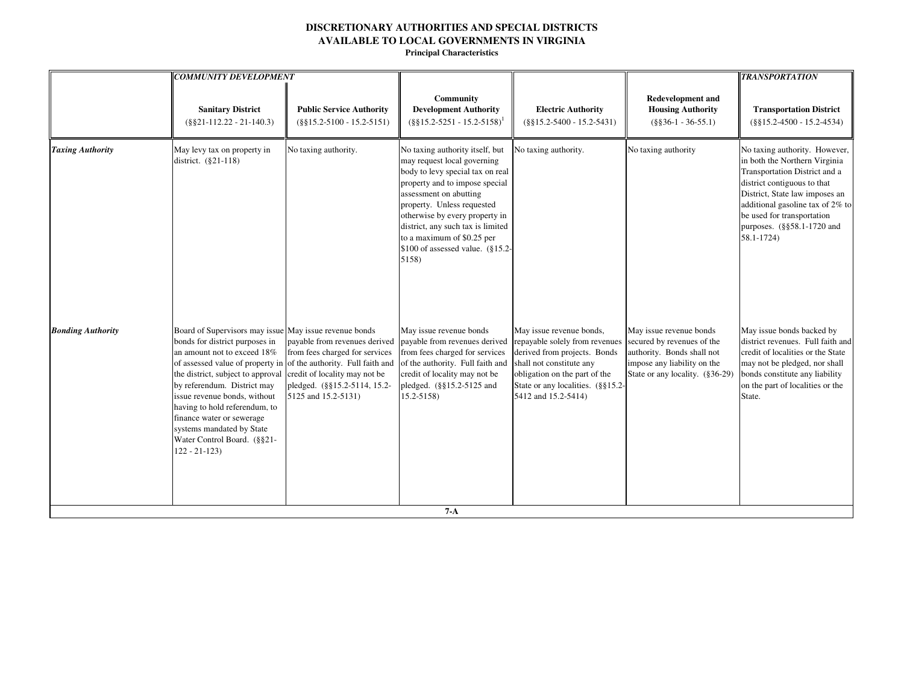|                          | <b>COMMUNITY DEVELOPMENT</b>                                                                                                                                                                                                                                                                                                                                                                                                                   |                                                                                                                                                         |                                                                                                                                                                                                                                                                                                                                                     |                                                                                                                                                                                                                     |                                                                                                                                                       | <b>TRANSPORTATION</b>                                                                                                                                                                                                                                                          |
|--------------------------|------------------------------------------------------------------------------------------------------------------------------------------------------------------------------------------------------------------------------------------------------------------------------------------------------------------------------------------------------------------------------------------------------------------------------------------------|---------------------------------------------------------------------------------------------------------------------------------------------------------|-----------------------------------------------------------------------------------------------------------------------------------------------------------------------------------------------------------------------------------------------------------------------------------------------------------------------------------------------------|---------------------------------------------------------------------------------------------------------------------------------------------------------------------------------------------------------------------|-------------------------------------------------------------------------------------------------------------------------------------------------------|--------------------------------------------------------------------------------------------------------------------------------------------------------------------------------------------------------------------------------------------------------------------------------|
|                          | <b>Sanitary District</b><br>$(\$§21-112.22 - 21-140.3)$                                                                                                                                                                                                                                                                                                                                                                                        | <b>Public Service Authority</b><br>$(\$§15.2-5100 - 15.2-5151)$                                                                                         | <b>Community</b><br><b>Development Authority</b><br>$($ §§15.2-5251 - 15.2-5158) <sup>1</sup>                                                                                                                                                                                                                                                       | <b>Electric Authority</b><br>$(\$§15.2-5400 - 15.2-5431)$                                                                                                                                                           | <b>Redevelopment and</b><br><b>Housing Authority</b><br>$(\$§36-1 - 36-55.1)$                                                                         | <b>Transportation District</b><br>$(\$§15.2-4500 - 15.2-4534)$                                                                                                                                                                                                                 |
| <b>Taxing Authority</b>  | May levy tax on property in<br>district. (§21-118)                                                                                                                                                                                                                                                                                                                                                                                             | No taxing authority.                                                                                                                                    | No taxing authority itself, but<br>may request local governing<br>body to levy special tax on real<br>property and to impose special<br>assessment on abutting<br>property. Unless requested<br>otherwise by every property in<br>district, any such tax is limited<br>to a maximum of \$0.25 per<br>$$100$ of assessed value. ( $$15.2$ )<br>5158) | No taxing authority.                                                                                                                                                                                                | No taxing authority                                                                                                                                   | No taxing authority. However,<br>in both the Northern Virginia<br>Transportation District and a<br>district contiguous to that<br>District, State law imposes an<br>additional gasoline tax of 2% to<br>be used for transportation<br>purposes. (§§58.1-1720 and<br>58.1-1724) |
| <b>Bonding Authority</b> | Board of Supervisors may issue May issue revenue bonds<br>bonds for district purposes in<br>an amount not to exceed 18%<br>of assessed value of property in of the authority. Full faith and<br>the district, subject to approval<br>by referendum. District may<br>issue revenue bonds, without<br>having to hold referendum, to<br>finance water or sewerage<br>systems mandated by State<br>Water Control Board. (§§21-<br>$122 - 21 - 123$ | payable from revenues derived<br>from fees charged for services<br>credit of locality may not be<br>pledged. (§§15.2-5114, 15.2-<br>5125 and 15.2-5131) | May issue revenue bonds<br>payable from revenues derived<br>from fees charged for services<br>of the authority. Full faith and<br>credit of locality may not be<br>pledged. (§§15.2-5125 and<br>$15.2 - 5158$                                                                                                                                       | May issue revenue bonds,<br>repayable solely from revenues<br>derived from projects. Bonds<br>shall not constitute any<br>obligation on the part of the<br>State or any localities. (§§15.2-<br>5412 and 15.2-5414) | May issue revenue bonds<br>secured by revenues of the<br>authority. Bonds shall not<br>impose any liability on the<br>State or any locality. (§36-29) | May issue bonds backed by<br>district revenues. Full faith and<br>credit of localities or the State<br>may not be pledged, nor shall<br>bonds constitute any liability<br>on the part of localities or the<br>State.                                                           |
|                          |                                                                                                                                                                                                                                                                                                                                                                                                                                                |                                                                                                                                                         | $7 - A$                                                                                                                                                                                                                                                                                                                                             |                                                                                                                                                                                                                     |                                                                                                                                                       |                                                                                                                                                                                                                                                                                |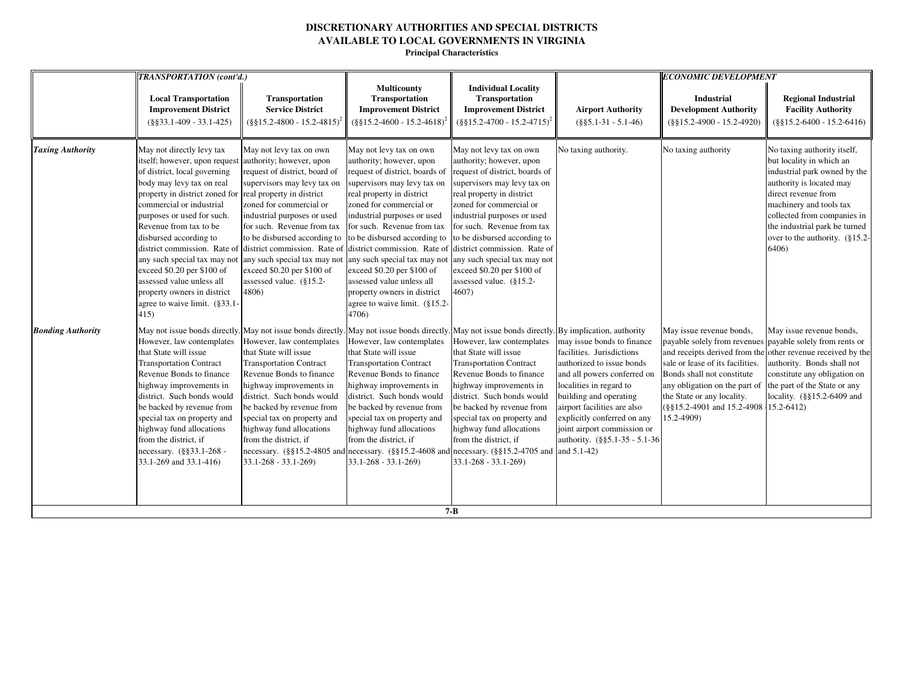|                          | <b>TRANSPORTATION</b> (cont'd.)                                                                                                                                                                                                                                                                                                                                                                                                                                                                                               |                                                                                                                                                                                                                                                                                                                                                                                                                                                                                                                                                                     |                                                                                                                                                                                                                                                                                                                                                                                                                                                                                                            |                                                                                                                                                                                                                                                                                                                                                                             |                                                                                                                                                                                                                                                                                                                       | <b>ECONOMIC DEVELOPMENT</b>                                                                                                                                                                                                                                                   |                                                                                                                                                                                                                                                                                       |
|--------------------------|-------------------------------------------------------------------------------------------------------------------------------------------------------------------------------------------------------------------------------------------------------------------------------------------------------------------------------------------------------------------------------------------------------------------------------------------------------------------------------------------------------------------------------|---------------------------------------------------------------------------------------------------------------------------------------------------------------------------------------------------------------------------------------------------------------------------------------------------------------------------------------------------------------------------------------------------------------------------------------------------------------------------------------------------------------------------------------------------------------------|------------------------------------------------------------------------------------------------------------------------------------------------------------------------------------------------------------------------------------------------------------------------------------------------------------------------------------------------------------------------------------------------------------------------------------------------------------------------------------------------------------|-----------------------------------------------------------------------------------------------------------------------------------------------------------------------------------------------------------------------------------------------------------------------------------------------------------------------------------------------------------------------------|-----------------------------------------------------------------------------------------------------------------------------------------------------------------------------------------------------------------------------------------------------------------------------------------------------------------------|-------------------------------------------------------------------------------------------------------------------------------------------------------------------------------------------------------------------------------------------------------------------------------|---------------------------------------------------------------------------------------------------------------------------------------------------------------------------------------------------------------------------------------------------------------------------------------|
|                          | <b>Local Transportation</b><br><b>Improvement District</b><br>$(\$§33.1-409 - 33.1-425)$                                                                                                                                                                                                                                                                                                                                                                                                                                      | <b>Transportation</b><br><b>Service District</b><br>$(\frac{8815.2 - 4800 - 15.2 - 4815)^2}{$                                                                                                                                                                                                                                                                                                                                                                                                                                                                       | <b>Multicounty</b><br><b>Transportation</b><br><b>Improvement District</b><br>$(\frac{6515.2 - 4600 - 15.2 - 4618)^2}{$                                                                                                                                                                                                                                                                                                                                                                                    | <b>Individual Locality</b><br><b>Transportation</b><br><b>Improvement District</b><br>$(\frac{8815.2-4700-15.2-4715)^2}{8}$                                                                                                                                                                                                                                                 | <b>Airport Authority</b><br>$(\$§5.1-31 - 5.1-46)$                                                                                                                                                                                                                                                                    | Industrial<br><b>Development Authority</b><br>$(\$§15.2-4900 - 15.2-4920)$                                                                                                                                                                                                    | <b>Regional Industrial</b><br><b>Facility Authority</b><br>$(\$§15.2-6400 - 15.2-6416)$                                                                                                                                                                                               |
| <b>Taxing Authority</b>  | May not directly levy tax<br>itself; however, upon request authority; however, upon<br>of district, local governing<br>body may levy tax on real<br>property in district zoned for real property in district<br>commercial or industrial<br>purposes or used for such.<br>Revenue from tax to be<br>disbursed according to<br>district commission. Rate of<br>any such special tax may not<br>exceed \$0.20 per \$100 of<br>assessed value unless all<br>property owners in district<br>agree to waive limit. (§33.1-<br>415) | May not levy tax on own<br>request of district, board of<br>supervisors may levy tax on<br>zoned for commercial or<br>industrial purposes or used<br>for such. Revenue from tax<br>to be disbursed according to<br>district commission. Rate of<br>any such special tax may not<br>exceed \$0.20 per \$100 of<br>assessed value. (§15.2-<br>4806)                                                                                                                                                                                                                   | May not levy tax on own<br>authority; however, upon<br>request of district, boards of<br>supervisors may levy tax on<br>real property in district<br>zoned for commercial or<br>industrial purposes or used<br>for such. Revenue from tax<br>to be disbursed according to<br>district commission. Rate of district commission. Rate of<br>any such special tax may not<br>exceed \$0.20 per \$100 of<br>assessed value unless all<br>property owners in district<br>agree to waive limit. (§15.2-<br>4706) | May not levy tax on own<br>authority; however, upon<br>request of district, boards of<br>supervisors may levy tax on<br>real property in district<br>zoned for commercial or<br>industrial purposes or used<br>for such. Revenue from tax<br>to be disbursed according to<br>any such special tax may not<br>exceed \$0.20 per \$100 of<br>assessed value. (§15.2-<br>4607) | No taxing authority.                                                                                                                                                                                                                                                                                                  | No taxing authority                                                                                                                                                                                                                                                           | No taxing authority itself,<br>but locality in which an<br>industrial park owned by the<br>authority is located may<br>direct revenue from<br>machinery and tools tax<br>collected from companies in<br>the industrial park be turned<br>over to the authority. $(\S 15.2 -$<br>6406) |
| <b>Bonding Authority</b> | However, law contemplates<br>that State will issue<br><b>Transportation Contract</b><br>Revenue Bonds to finance<br>highway improvements in<br>district. Such bonds would<br>be backed by revenue from<br>special tax on property and<br>highway fund allocations<br>from the district, if<br>necessary. (§§33.1-268 -<br>33.1-269 and 33.1-416)                                                                                                                                                                              | May not issue bonds directly. May not issue bonds directly. May not issue bonds directly. May not issue bonds directly. By implication, authority<br>However, law contemplates<br>that State will issue<br><b>Transportation Contract</b><br>Revenue Bonds to finance<br>highway improvements in<br>district. Such bonds would<br>be backed by revenue from<br>special tax on property and<br>highway fund allocations<br>from the district, if<br>necessary. $(\frac{8}{5}15.2 - 4805)$ and necessary. $(\frac{8}{5}15.2 - 4608)$ and<br>$33.1 - 268 - 33.1 - 269$ | However, law contemplates<br>that State will issue<br><b>Transportation Contract</b><br>Revenue Bonds to finance<br>highway improvements in<br>district. Such bonds would<br>be backed by revenue from<br>special tax on property and<br>highway fund allocations<br>from the district, if<br>$33.1 - 268 - 33.1 - 269$                                                                                                                                                                                    | However, law contemplates<br>that State will issue<br><b>Transportation Contract</b><br>Revenue Bonds to finance<br>highway improvements in<br>district. Such bonds would<br>be backed by revenue from<br>special tax on property and<br>highway fund allocations<br>from the district, if<br>necessary. (§§15.2-4705 and<br>$33.1 - 268 - 33.1 - 269$<br>$7 - B$           | may issue bonds to finance<br>facilities. Jurisdictions<br>authorized to issue bonds<br>and all powers conferred on<br>localities in regard to<br>building and operating<br>airport facilities are also<br>explicitly conferred on any<br>joint airport commission or<br>authority. (§§5.1-35 - 5.1-36<br>and 5.1-42) | May issue revenue bonds,<br>payable solely from revenues payable solely from rents or<br>sale or lease of its facilities.<br>Bonds shall not constitute<br>any obligation on the part of<br>the State or any locality.<br>(§§15.2-4901 and 15.2-4908 15.2-6412)<br>15.2-4909) | May issue revenue bonds,<br>and receipts derived from the other revenue received by the<br>authority. Bonds shall not<br>constitute any obligation on<br>the part of the State or any<br>locality. (§§15.2-6409 and                                                                   |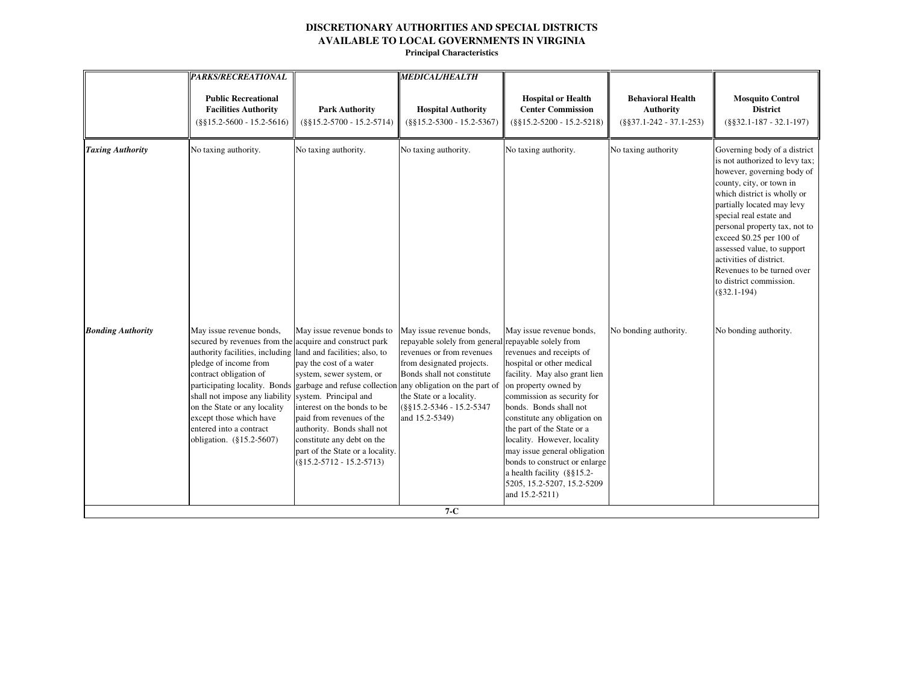|                          | <b>PARKS/RECREATIONAL</b>                                                                                                                                                                                                                                                                                                                                                                                                                                                      |                                                                                                                                                                                                                                                                            | <b>MEDICAL/HEALTH</b>                                                                                                                                                                                                                                      |                                                                                                                                                                                                                                                                                                                                                                                                                                                       |                                                                            |                                                                                                                                                                                                                                                                                                                                                                                                                   |
|--------------------------|--------------------------------------------------------------------------------------------------------------------------------------------------------------------------------------------------------------------------------------------------------------------------------------------------------------------------------------------------------------------------------------------------------------------------------------------------------------------------------|----------------------------------------------------------------------------------------------------------------------------------------------------------------------------------------------------------------------------------------------------------------------------|------------------------------------------------------------------------------------------------------------------------------------------------------------------------------------------------------------------------------------------------------------|-------------------------------------------------------------------------------------------------------------------------------------------------------------------------------------------------------------------------------------------------------------------------------------------------------------------------------------------------------------------------------------------------------------------------------------------------------|----------------------------------------------------------------------------|-------------------------------------------------------------------------------------------------------------------------------------------------------------------------------------------------------------------------------------------------------------------------------------------------------------------------------------------------------------------------------------------------------------------|
|                          | <b>Public Recreational</b><br><b>Facilities Authority</b><br>$(\$§15.2-5600 - 15.2-5616)$                                                                                                                                                                                                                                                                                                                                                                                      | <b>Park Authority</b><br>$(\$§15.2-5700 - 15.2-5714)$                                                                                                                                                                                                                      | <b>Hospital Authority</b><br>$(\$§15.2-5300 - 15.2-5367)$                                                                                                                                                                                                  | <b>Hospital or Health</b><br><b>Center Commission</b><br>$(\$§15.2-5200 - 15.2-5218)$                                                                                                                                                                                                                                                                                                                                                                 | <b>Behavioral Health</b><br><b>Authority</b><br>$(\$§37.1-242 - 37.1-253)$ | <b>Mosquito Control</b><br><b>District</b><br>$(\$§32.1-187 - 32.1-197)$                                                                                                                                                                                                                                                                                                                                          |
| <b>Taxing Authority</b>  | No taxing authority.                                                                                                                                                                                                                                                                                                                                                                                                                                                           | No taxing authority.                                                                                                                                                                                                                                                       | No taxing authority.                                                                                                                                                                                                                                       | No taxing authority.                                                                                                                                                                                                                                                                                                                                                                                                                                  | No taxing authority                                                        | Governing body of a district<br>is not authorized to levy tax;<br>however, governing body of<br>county, city, or town in<br>which district is wholly or<br>partially located may levy<br>special real estate and<br>personal property tax, not to<br>exceed \$0.25 per 100 of<br>assessed value, to support<br>activities of district.<br>Revenues to be turned over<br>to district commission.<br>$(\$32.1-194)$ |
| <b>Bonding Authority</b> | May issue revenue bonds,<br>secured by revenues from the acquire and construct park<br>authority facilities, including land and facilities; also, to<br>pledge of income from<br>contract obligation of<br>participating locality. Bonds garbage and refuse collection any obligation on the part of<br>shall not impose any liability system. Principal and<br>on the State or any locality<br>except those which have<br>entered into a contract<br>obligation. (§15.2-5607) | May issue revenue bonds to<br>pay the cost of a water<br>system, sewer system, or<br>interest on the bonds to be<br>paid from revenues of the<br>authority. Bonds shall not<br>constitute any debt on the<br>part of the State or a locality.<br>$(\$15.2-5712-15.2-5713)$ | May issue revenue bonds,<br>repayable solely from general repayable solely from<br>revenues or from revenues<br>from designated projects.<br>Bonds shall not constitute<br>the State or a locality.<br>(§§15.2-5346 - 15.2-5347<br>and 15.2-5349)<br>$7-C$ | May issue revenue bonds,<br>revenues and receipts of<br>hospital or other medical<br>facility. May also grant lien<br>on property owned by<br>commission as security for<br>bonds. Bonds shall not<br>constitute any obligation on<br>the part of the State or a<br>locality. However, locality<br>may issue general obligation<br>bonds to construct or enlarge<br>a health facility $(\S \S 15.2 -$<br>5205, 15.2-5207, 15.2-5209<br>and 15.2-5211) | No bonding authority.                                                      | No bonding authority.                                                                                                                                                                                                                                                                                                                                                                                             |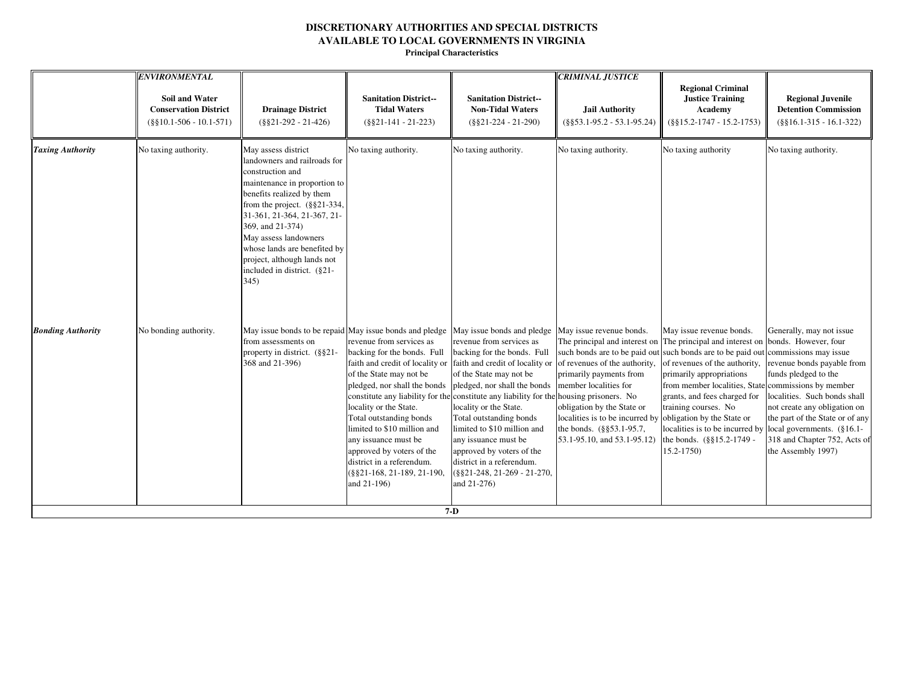|                          | <b>ENVIRONMENTAL</b><br><b>Soil and Water</b><br><b>Conservation District</b><br>$(\$§10.1-506 - 10.1-571)$ | <b>Drainage District</b><br>$(\$§21-292 - 21-426)$                                                                                                                                                                                                                                                                                                         | <b>Sanitation District--</b><br><b>Tidal Waters</b><br>$(\$§21-141 - 21-223)$                                                                                                                                                                                                                                                                                                                                                                                                                                               | <b>Sanitation District--</b><br><b>Non-Tidal Waters</b><br>$(\$§21-224 - 21-290)$                                                                                                                                                                                                                                                                                                                                                                                          | <b>CRIMINAL JUSTICE</b><br><b>Jail Authority</b><br>$(\$§53.1-95.2 - 53.1-95.24)$                                                                                                                                                                                                                                                                     | <b>Regional Criminal</b><br><b>Justice Training</b><br>Academy<br>$(\$§15.2-1747 - 15.2-1753)$                                                                                                                                                                                                                                                      | <b>Regional Juvenile</b><br><b>Detention Commission</b><br>$(\$§16.1-315 - 16.1-322)$                                                                                                                                                   |
|--------------------------|-------------------------------------------------------------------------------------------------------------|------------------------------------------------------------------------------------------------------------------------------------------------------------------------------------------------------------------------------------------------------------------------------------------------------------------------------------------------------------|-----------------------------------------------------------------------------------------------------------------------------------------------------------------------------------------------------------------------------------------------------------------------------------------------------------------------------------------------------------------------------------------------------------------------------------------------------------------------------------------------------------------------------|----------------------------------------------------------------------------------------------------------------------------------------------------------------------------------------------------------------------------------------------------------------------------------------------------------------------------------------------------------------------------------------------------------------------------------------------------------------------------|-------------------------------------------------------------------------------------------------------------------------------------------------------------------------------------------------------------------------------------------------------------------------------------------------------------------------------------------------------|-----------------------------------------------------------------------------------------------------------------------------------------------------------------------------------------------------------------------------------------------------------------------------------------------------------------------------------------------------|-----------------------------------------------------------------------------------------------------------------------------------------------------------------------------------------------------------------------------------------|
| <b>Taxing Authority</b>  | No taxing authority.                                                                                        | May assess district<br>landowners and railroads for<br>construction and<br>maintenance in proportion to<br>benefits realized by them<br>from the project. $(\S$ §21-334,<br>31-361, 21-364, 21-367, 21-<br>369, and 21-374)<br>May assess landowners<br>whose lands are benefited by<br>project, although lands not<br>included in district. (§21-<br>345) | No taxing authority.                                                                                                                                                                                                                                                                                                                                                                                                                                                                                                        | No taxing authority.                                                                                                                                                                                                                                                                                                                                                                                                                                                       | No taxing authority.                                                                                                                                                                                                                                                                                                                                  | No taxing authority                                                                                                                                                                                                                                                                                                                                 | No taxing authority.                                                                                                                                                                                                                    |
| <b>Bonding Authority</b> | No bonding authority.                                                                                       | from assessments on<br>property in district. (§§21-<br>368 and 21-396)                                                                                                                                                                                                                                                                                     | May issue bonds to be repaid May issue bonds and pledge May issue bonds and pledge May issue revenue bonds.<br>revenue from services as<br>backing for the bonds. Full<br>faith and credit of locality or<br>of the State may not be<br>pledged, nor shall the bonds<br>constitute any liability for the<br>locality or the State.<br>Total outstanding bonds<br>limited to \$10 million and<br>any issuance must be<br>approved by voters of the<br>district in a referendum.<br>(§§21-168, 21-189, 21-190,<br>and 21-196) | revenue from services as<br>backing for the bonds. Full<br>faith and credit of locality or of revenues of the authority,<br>of the State may not be<br>pledged, nor shall the bonds<br>constitute any liability for the housing prisoners. No<br>locality or the State.<br>Total outstanding bonds<br>limited to \$10 million and<br>any issuance must be<br>approved by voters of the<br>district in a referendum.<br>(§§21-248, 21-269 - 21-270,<br>and 21-276)<br>$7-D$ | The principal and interest on The principal and interest on bonds. However, four<br>such bonds are to be paid out such bonds are to be paid out commissions may issue<br>primarily payments from<br>member localities for<br>obligation by the State or<br>localities is to be incurred by<br>the bonds. (§§53.1-95.7,<br>53.1-95.10, and 53.1-95.12) | May issue revenue bonds.<br>of revenues of the authority,<br>primarily appropriations<br>from member localities, State commissions by member<br>grants, and fees charged for<br>training courses. No<br>obligation by the State or<br>localities is to be incurred by local governments. $(\S 16.1 -$<br>the bonds. (§§15.2-1749 -<br>$15.2 - 1750$ | Generally, may not issue<br>revenue bonds payable from<br>funds pledged to the<br>localities. Such bonds shall<br>not create any obligation on<br>the part of the State or of any<br>318 and Chapter 752, Acts of<br>the Assembly 1997) |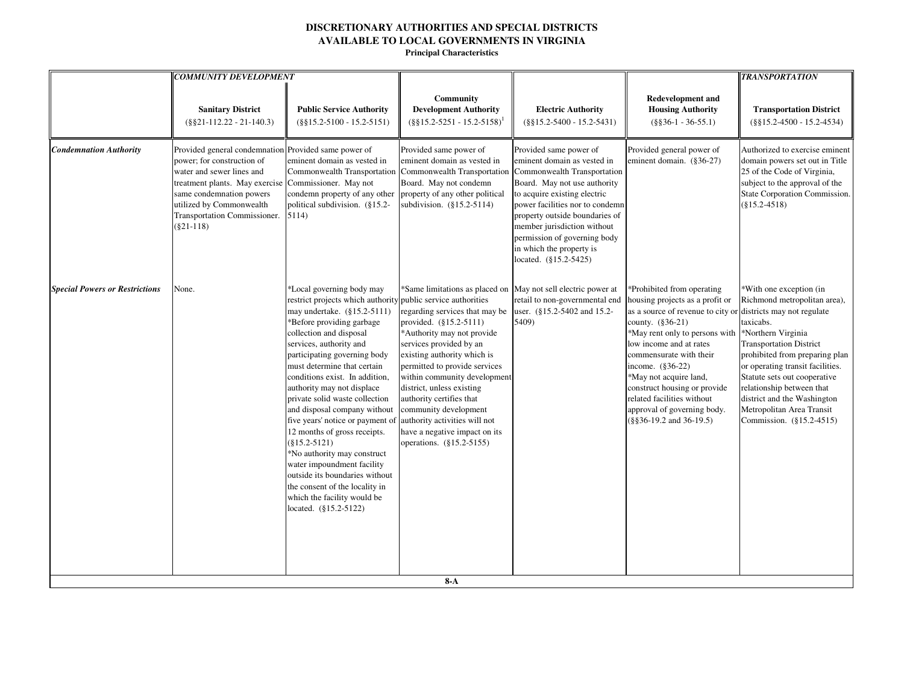| <b>Sanitary District</b><br>$(\$§21-112.22-21-140.3)$<br>Provided general condemnation Provided same power of<br><b>Condemnation Authority</b><br>power; for construction of<br>water and sewer lines and<br>treatment plants. May exercise Commissioner. May not<br>same condemnation powers<br>utilized by Commonwealth<br>Transportation Commissioner.<br>$(\$21-118)$<br><b>Special Powers or Restrictions</b><br>None. | <b>Public Service Authority</b><br>$(\$§15.2-5100 - 15.2-5151)$                                                                                                                                                                                                                                                                                                                                                                                                                                                                                                                                                                                                                              | Community<br><b>Development Authority</b><br>$(\S\S15.2 - 5251 - 15.2 - 5158)^1$                                                                                                                                                                                                                                                                                                                                                    | <b>Electric Authority</b>                                                                                                                                                                                                                                                                                      | <b>Redevelopment and</b>                                                                                                                                                                                                                                                                                                                                                                      |                                                                                                                                                                                                                                                                                                                                                                                       |
|-----------------------------------------------------------------------------------------------------------------------------------------------------------------------------------------------------------------------------------------------------------------------------------------------------------------------------------------------------------------------------------------------------------------------------|----------------------------------------------------------------------------------------------------------------------------------------------------------------------------------------------------------------------------------------------------------------------------------------------------------------------------------------------------------------------------------------------------------------------------------------------------------------------------------------------------------------------------------------------------------------------------------------------------------------------------------------------------------------------------------------------|-------------------------------------------------------------------------------------------------------------------------------------------------------------------------------------------------------------------------------------------------------------------------------------------------------------------------------------------------------------------------------------------------------------------------------------|----------------------------------------------------------------------------------------------------------------------------------------------------------------------------------------------------------------------------------------------------------------------------------------------------------------|-----------------------------------------------------------------------------------------------------------------------------------------------------------------------------------------------------------------------------------------------------------------------------------------------------------------------------------------------------------------------------------------------|---------------------------------------------------------------------------------------------------------------------------------------------------------------------------------------------------------------------------------------------------------------------------------------------------------------------------------------------------------------------------------------|
|                                                                                                                                                                                                                                                                                                                                                                                                                             |                                                                                                                                                                                                                                                                                                                                                                                                                                                                                                                                                                                                                                                                                              |                                                                                                                                                                                                                                                                                                                                                                                                                                     | $(\$§15.2-5400 - 15.2-5431)$                                                                                                                                                                                                                                                                                   | <b>Housing Authority</b><br>$(\$§36-1 - 36-55.1)$                                                                                                                                                                                                                                                                                                                                             | <b>Transportation District</b><br>$(\$§15.2-4500 - 15.2-4534)$                                                                                                                                                                                                                                                                                                                        |
|                                                                                                                                                                                                                                                                                                                                                                                                                             | eminent domain as vested in<br>Commonwealth Transportation<br>condemn property of any other<br>political subdivision. (§15.2-<br>5114)                                                                                                                                                                                                                                                                                                                                                                                                                                                                                                                                                       | Provided same power of<br>eminent domain as vested in<br>Commonwealth Transportation Commonwealth Transportation<br>Board. May not condemn<br>property of any other political<br>subdivision. (§15.2-5114)                                                                                                                                                                                                                          | Provided same power of<br>eminent domain as vested in<br>Board. May not use authority<br>to acquire existing electric<br>power facilities nor to condemn<br>property outside boundaries of<br>member jurisdiction without<br>permission of governing body<br>in which the property is<br>located. (§15.2-5425) | Provided general power of<br>eminent domain. (§36-27)                                                                                                                                                                                                                                                                                                                                         | Authorized to exercise eminent<br>domain powers set out in Title<br>25 of the Code of Virginia,<br>subject to the approval of the<br>State Corporation Commission.<br>$(\$15.2-4518)$                                                                                                                                                                                                 |
|                                                                                                                                                                                                                                                                                                                                                                                                                             | *Local governing body may<br>restrict projects which authority public service authorities<br>may undertake. (§15.2-5111)<br>*Before providing garbage<br>collection and disposal<br>services, authority and<br>participating governing body<br>must determine that certain<br>conditions exist. In addition,<br>authority may not displace<br>private solid waste collection<br>and disposal company without<br>five years' notice or payment of<br>12 months of gross receipts.<br>$(\$15.2-5121)$<br>*No authority may construct<br>water impoundment facility<br>outside its boundaries without<br>the consent of the locality in<br>which the facility would be<br>located. (§15.2-5122) | *Same limitations as placed on<br>regarding services that may be<br>provided. (§15.2-5111)<br>*Authority may not provide<br>services provided by an<br>existing authority which is<br>permitted to provide services<br>within community development<br>district, unless existing<br>authority certifies that<br>community development<br>authority activities will not<br>have a negative impact on its<br>operations. (§15.2-5155) | May not sell electric power at<br>retail to non-governmental end<br>user. (§15.2-5402 and 15.2-<br>5409)                                                                                                                                                                                                       | *Prohibited from operating<br>housing projects as a profit or<br>as a source of revenue to city or<br>county. $(\$36-21)$<br>*May rent only to persons with<br>low income and at rates<br>commensurate with their<br>income. $(\$36-22)$<br>*May not acquire land,<br>construct housing or provide<br>related facilities without<br>approval of governing body.<br>$(\$§36-19.2$ and 36-19.5) | *With one exception (in<br>Richmond metropolitan area),<br>districts may not regulate<br>taxicabs.<br>*Northern Virginia<br><b>Transportation District</b><br>prohibited from preparing plan<br>or operating transit facilities.<br>Statute sets out cooperative<br>relationship between that<br>district and the Washington<br>Metropolitan Area Transit<br>Commission. (§15.2-4515) |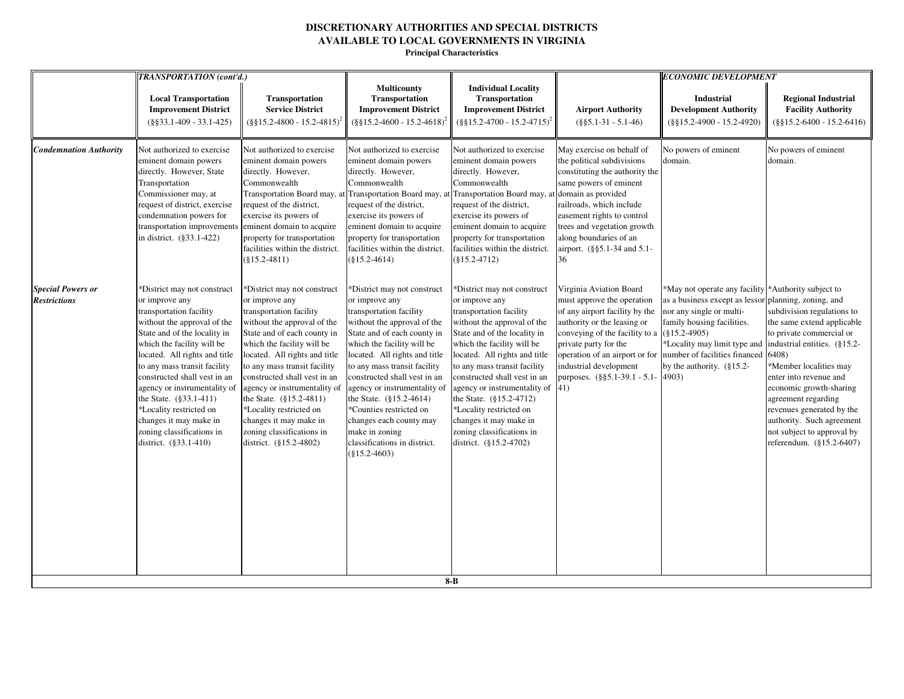|                                                 | TRANSPORTATION (cont'd.)                                                                                                                                                                                                                                                                                                                                                                                                                    |                                                                                                                                                                                                                                                                                                                                                                                                                                              |                                                                                                                                                                                                                                                                                                                                                                                                                                                                  |                                                                                                                                                                                                                                                                                                                                                                                                                                               |                                                                                                                                                                                                                                                                                                                                         | <b>ECONOMIC DEVELOPMENT</b>                                                                                                                                                                                       |                                                                                                                                                                                                                                                                                                                                                                                  |
|-------------------------------------------------|---------------------------------------------------------------------------------------------------------------------------------------------------------------------------------------------------------------------------------------------------------------------------------------------------------------------------------------------------------------------------------------------------------------------------------------------|----------------------------------------------------------------------------------------------------------------------------------------------------------------------------------------------------------------------------------------------------------------------------------------------------------------------------------------------------------------------------------------------------------------------------------------------|------------------------------------------------------------------------------------------------------------------------------------------------------------------------------------------------------------------------------------------------------------------------------------------------------------------------------------------------------------------------------------------------------------------------------------------------------------------|-----------------------------------------------------------------------------------------------------------------------------------------------------------------------------------------------------------------------------------------------------------------------------------------------------------------------------------------------------------------------------------------------------------------------------------------------|-----------------------------------------------------------------------------------------------------------------------------------------------------------------------------------------------------------------------------------------------------------------------------------------------------------------------------------------|-------------------------------------------------------------------------------------------------------------------------------------------------------------------------------------------------------------------|----------------------------------------------------------------------------------------------------------------------------------------------------------------------------------------------------------------------------------------------------------------------------------------------------------------------------------------------------------------------------------|
|                                                 | <b>Local Transportation</b><br><b>Improvement District</b><br>$(\$§33.1-409 - 33.1-425)$                                                                                                                                                                                                                                                                                                                                                    | <b>Transportation</b><br><b>Service District</b><br>$(\frac{8815.2 - 4800 - 15.2 - 4815)^2}{$                                                                                                                                                                                                                                                                                                                                                | <b>Multicounty</b><br>Transportation<br><b>Improvement District</b><br>$(\frac{8815.2 - 4600 - 15.2 - 4618)^2}{$                                                                                                                                                                                                                                                                                                                                                 | <b>Individual Locality</b><br><b>Transportation</b><br><b>Improvement District</b><br>$(\frac{8815.2-4700-15.2-4715)^2}{8815.2-4700}$                                                                                                                                                                                                                                                                                                         | <b>Airport Authority</b><br>$(\$§5.1-31 - 5.1-46)$                                                                                                                                                                                                                                                                                      | <b>Industrial</b><br><b>Development Authority</b><br>$(\$§15.2-4900 - 15.2-4920)$                                                                                                                                 | <b>Regional Industrial</b><br><b>Facility Authority</b><br>$(\$§15.2-6400 - 15.2-6416)$                                                                                                                                                                                                                                                                                          |
| <b>Condemnation Authority</b>                   | Not authorized to exercise<br>eminent domain powers<br>directly. However, State<br>Transportation<br>Commissioner may, at<br>request of district, exercise<br>condemnation powers for<br>transportation improvements eminent domain to acquire<br>in district. (§33.1-422)                                                                                                                                                                  | Not authorized to exercise<br>eminent domain powers<br>directly. However,<br>Commonwealth<br>Transportation Board may, at Transportation Board may, at Transportation Board may, at domain as provided<br>request of the district,<br>exercise its powers of<br>property for transportation<br>facilities within the district.<br>$(\$15.2-4811)$                                                                                            | Not authorized to exercise<br>eminent domain powers<br>directly. However,<br>Commonwealth<br>request of the district,<br>exercise its powers of<br>eminent domain to acquire<br>property for transportation<br>facilities within the district.<br>$(\$15.2-4614)$                                                                                                                                                                                                | Not authorized to exercise<br>eminent domain powers<br>directly. However,<br>Commonwealth<br>request of the district,<br>exercise its powers of<br>eminent domain to acquire<br>property for transportation<br>facilities within the district.<br>$(\$15.2-4712)$                                                                                                                                                                             | May exercise on behalf of<br>the political subdivisions<br>constituting the authority the<br>same powers of eminent<br>railroads, which include<br>easement rights to control<br>trees and vegetation growth<br>along boundaries of an<br>airport. (§§5.1-34 and 5.1-<br>36                                                             | No powers of eminent<br>domain.                                                                                                                                                                                   | No powers of eminent<br>domain.                                                                                                                                                                                                                                                                                                                                                  |
| <b>Special Powers or</b><br><b>Restrictions</b> | *District may not construct<br>or improve any<br>transportation facility<br>without the approval of the<br>State and of the locality in<br>which the facility will be<br>located. All rights and title<br>to any mass transit facility<br>constructed shall vest in an<br>agency or instrumentality of<br>the State. (§33.1-411)<br>*Locality restricted on<br>changes it may make in<br>zoning classifications in<br>district. (§33.1-410) | *District may not construct<br>or improve any<br>transportation facility<br>without the approval of the<br>State and of each county in<br>which the facility will be<br>located. All rights and title<br>to any mass transit facility<br>constructed shall vest in an<br>agency or instrumentality of<br>the State. (§15.2-4811)<br>*Locality restricted on<br>changes it may make in<br>zoning classifications in<br>district. (§15.2-4802) | *District may not construct<br>or improve any<br>transportation facility<br>without the approval of the<br>State and of each county in<br>which the facility will be<br>located. All rights and title<br>to any mass transit facility<br>constructed shall vest in an<br>agency or instrumentality of<br>the State. $(\S15.2 - 4614)$<br>*Counties restricted on<br>changes each county may<br>make in zoning<br>classifications in district.<br>$(\$15.2-4603)$ | *District may not construct<br>or improve any<br>transportation facility<br>without the approval of the<br>State and of the locality in<br>which the facility will be<br>located. All rights and title<br>to any mass transit facility<br>constructed shall vest in an<br>agency or instrumentality of<br>the State. (§15.2-4712)<br>*Locality restricted on<br>changes it may make in<br>zoning classifications in<br>district. (§15.2-4702) | Virginia Aviation Board<br>must approve the operation<br>of any airport facility by the<br>authority or the leasing or<br>conveying of the facility to a $(§15.2-4905)$<br>private party for the<br>operation of an airport or for number of facilities financed<br>industrial development<br>purposes. (§§5.1-39.1 - 5.1- 4903)<br>41) | *May not operate any facility *Authority subject to<br>as a business except as lessor<br>nor any single or multi-<br>family housing facilities.<br>*Locality may limit type and<br>by the authority. $(\S 15.2 -$ | planning, zoning, and<br>subdivision regulations to<br>the same extend applicable<br>to private commercial or<br>industrial entities. (§15.2-<br>6408)<br>*Member localities may<br>enter into revenue and<br>economic growth-sharing<br>agreement regarding<br>revenues generated by the<br>authority. Such agreement<br>not subject to approval by<br>referendum. (§15.2-6407) |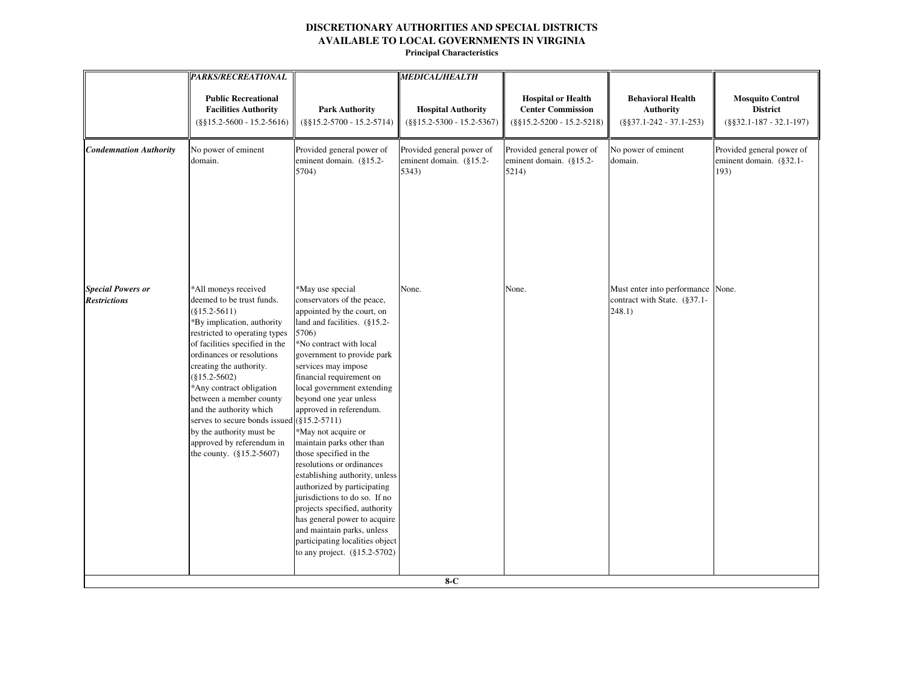|                                                 | <b>PARKS/RECREATIONAL</b>                                                                                                                                                                                                                                                                                                                                                                                                                                                  |                                                                                                                                                                                                                                                                                                                                                                                                                                                                                                                                                                                                                                                                                                     | <b>MEDICAL/HEALTH</b>                                         |                                                                                       |                                                                             |                                                                          |
|-------------------------------------------------|----------------------------------------------------------------------------------------------------------------------------------------------------------------------------------------------------------------------------------------------------------------------------------------------------------------------------------------------------------------------------------------------------------------------------------------------------------------------------|-----------------------------------------------------------------------------------------------------------------------------------------------------------------------------------------------------------------------------------------------------------------------------------------------------------------------------------------------------------------------------------------------------------------------------------------------------------------------------------------------------------------------------------------------------------------------------------------------------------------------------------------------------------------------------------------------------|---------------------------------------------------------------|---------------------------------------------------------------------------------------|-----------------------------------------------------------------------------|--------------------------------------------------------------------------|
|                                                 | <b>Public Recreational</b><br><b>Facilities Authority</b><br>$(\$§15.2-5600 - 15.2-5616)$                                                                                                                                                                                                                                                                                                                                                                                  | <b>Park Authority</b><br>$(\$§15.2-5700 - 15.2-5714)$                                                                                                                                                                                                                                                                                                                                                                                                                                                                                                                                                                                                                                               | <b>Hospital Authority</b><br>$(\$§15.2-5300 - 15.2-5367)$     | <b>Hospital or Health</b><br><b>Center Commission</b><br>$(\$§15.2-5200 - 15.2-5218)$ | <b>Behavioral Health</b><br><b>Authority</b><br>$(\$§37.1-242 - 37.1-253)$  | <b>Mosquito Control</b><br><b>District</b><br>$(\$§32.1-187 - 32.1-197)$ |
| <b>Condemnation Authority</b>                   | No power of eminent<br>domain.                                                                                                                                                                                                                                                                                                                                                                                                                                             | Provided general power of<br>eminent domain. (§15.2-<br>5704)                                                                                                                                                                                                                                                                                                                                                                                                                                                                                                                                                                                                                                       | Provided general power of<br>eminent domain. (§15.2-<br>5343) | Provided general power of<br>eminent domain. (§15.2-<br>5214)                         | No power of eminent<br>domain.                                              | Provided general power of<br>eminent domain. (§32.1-<br>193)             |
| <b>Special Powers or</b><br><b>Restrictions</b> | *All moneys received<br>deemed to be trust funds.<br>$(\$15.2-5611)$<br>*By implication, authority<br>restricted to operating types<br>of facilities specified in the<br>ordinances or resolutions<br>creating the authority.<br>$(\$15.2-5602)$<br>*Any contract obligation<br>between a member county<br>and the authority which<br>serves to secure bonds issued $(§15.2-5711)$<br>by the authority must be<br>approved by referendum in<br>the county. $(\$15.2-5607)$ | *May use special<br>conservators of the peace,<br>appointed by the court, on<br>land and facilities. (§15.2-<br>5706)<br>*No contract with local<br>government to provide park<br>services may impose<br>financial requirement on<br>local government extending<br>beyond one year unless<br>approved in referendum.<br>*May not acquire or<br>maintain parks other than<br>those specified in the<br>resolutions or ordinances<br>establishing authority, unless<br>authorized by participating<br>jurisdictions to do so. If no<br>projects specified, authority<br>has general power to acquire<br>and maintain parks, unless<br>participating localities object<br>to any project. (§15.2-5702) | None.                                                         | None.                                                                                 | Must enter into performance None.<br>contract with State. (§37.1-<br>248.1) |                                                                          |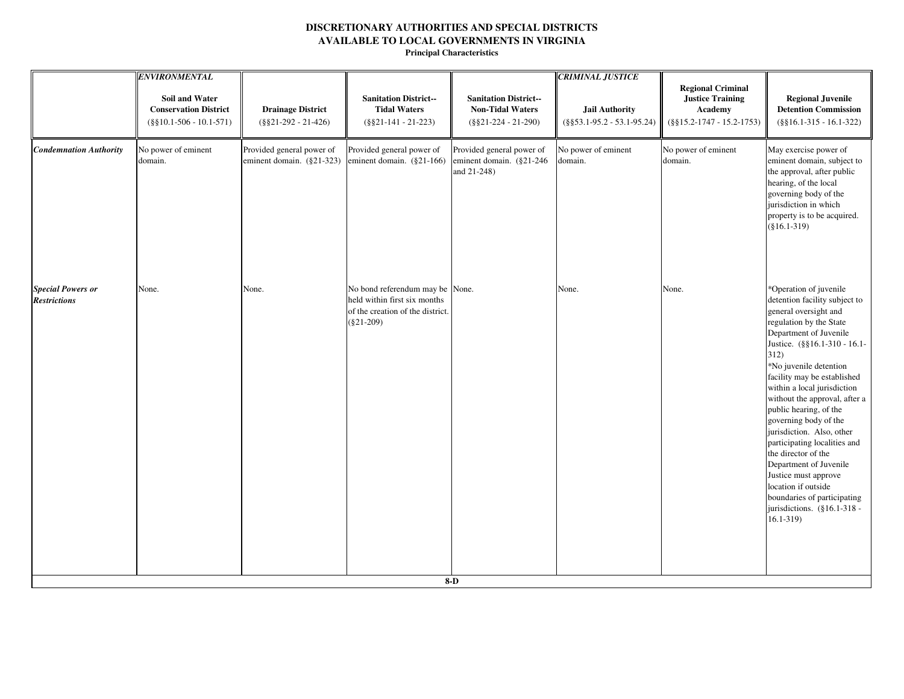|                                                 | <b>ENVIRONMENTAL</b>                                                                |                                                        |                                                                                                                     |                                                                                   | <b>CRIMINAL JUSTICE</b>                                |                                                                                                |                                                                                                                                                                                                                                                                                                                                                                                                                                                                                                                                                                                                      |
|-------------------------------------------------|-------------------------------------------------------------------------------------|--------------------------------------------------------|---------------------------------------------------------------------------------------------------------------------|-----------------------------------------------------------------------------------|--------------------------------------------------------|------------------------------------------------------------------------------------------------|------------------------------------------------------------------------------------------------------------------------------------------------------------------------------------------------------------------------------------------------------------------------------------------------------------------------------------------------------------------------------------------------------------------------------------------------------------------------------------------------------------------------------------------------------------------------------------------------------|
|                                                 | <b>Soil and Water</b><br><b>Conservation District</b><br>$(\$§10.1-506 - 10.1-571)$ | <b>Drainage District</b><br>$(\$§21-292 - 21-426)$     | <b>Sanitation District--</b><br><b>Tidal Waters</b><br>$(\$§21-141 - 21-223)$                                       | <b>Sanitation District--</b><br><b>Non-Tidal Waters</b><br>$(\$§21-224 - 21-290)$ | <b>Jail Authority</b><br>$(\$§53.1-95.2 - 53.1-95.24)$ | <b>Regional Criminal</b><br><b>Justice Training</b><br>Academy<br>$(\$§15.2-1747 - 15.2-1753)$ | <b>Regional Juvenile</b><br><b>Detention Commission</b><br>$(\$§16.1-315 - 16.1-322)$                                                                                                                                                                                                                                                                                                                                                                                                                                                                                                                |
| <b>Condemnation Authority</b>                   | No power of eminent<br>domain.                                                      | Provided general power of<br>eminent domain. (§21-323) | Provided general power of<br>eminent domain. $(\S21-166)$                                                           | Provided general power of<br>eminent domain. (§21-246)<br>and 21-248)             | No power of eminent<br>domain.                         | No power of eminent<br>domain.                                                                 | May exercise power of<br>eminent domain, subject to<br>the approval, after public<br>hearing, of the local<br>governing body of the<br>jurisdiction in which<br>property is to be acquired.<br>$(\$16.1-319)$                                                                                                                                                                                                                                                                                                                                                                                        |
| <b>Special Powers or</b><br><b>Restrictions</b> | None.                                                                               | None.                                                  | No bond referendum may be None.<br>held within first six months<br>of the creation of the district.<br>$(\$21-209)$ |                                                                                   | None.                                                  | None.                                                                                          | *Operation of juvenile<br>detention facility subject to<br>general oversight and<br>regulation by the State<br>Department of Juvenile<br>Justice. (§§16.1-310 - 16.1-<br>312)<br>*No juvenile detention<br>facility may be established<br>within a local jurisdiction<br>without the approval, after a<br>public hearing, of the<br>governing body of the<br>jurisdiction. Also, other<br>participating localities and<br>the director of the<br>Department of Juvenile<br>Justice must approve<br>location if outside<br>boundaries of participating<br>jurisdictions. (§16.1-318 -<br>$16.1 - 319$ |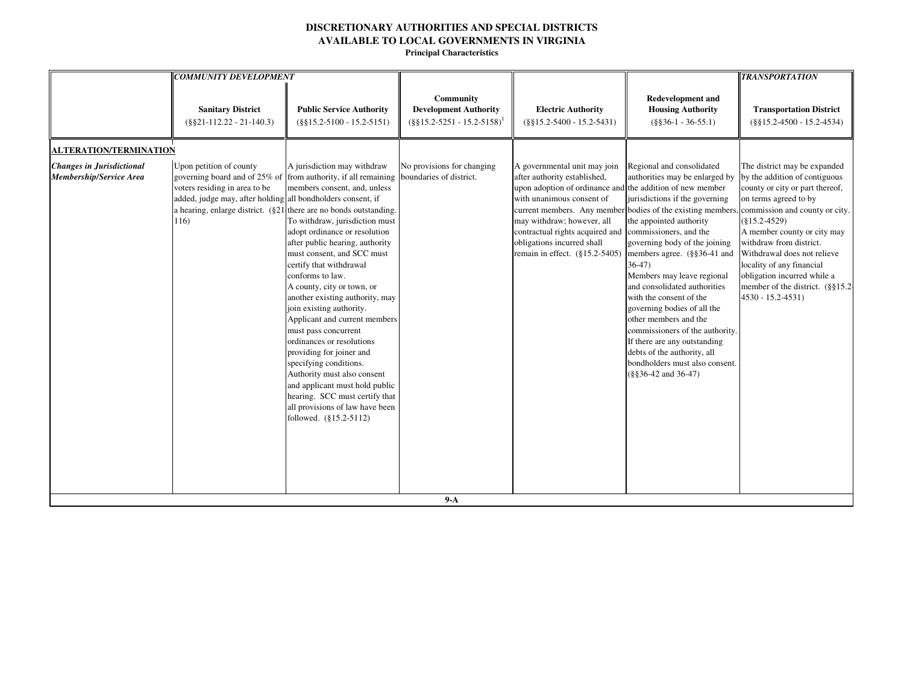|                                                             | <b>COMMUNITY DEVELOPMENT</b>                                                                                                    |                                                                                                                                                                                                                                                                                                                                                                                                                                                                                                                                                                                                                                                                                                                                                                                                     |                                                                                    |                                                                                                                                                                                                                                                                                                                |                                                                                                                                                                                                                                                                                                                                                                                                                                                                                                                                                                                     | <b>TRANSPORTATION</b>                                                                                                                                                                                                                                                                                                                                                                           |
|-------------------------------------------------------------|---------------------------------------------------------------------------------------------------------------------------------|-----------------------------------------------------------------------------------------------------------------------------------------------------------------------------------------------------------------------------------------------------------------------------------------------------------------------------------------------------------------------------------------------------------------------------------------------------------------------------------------------------------------------------------------------------------------------------------------------------------------------------------------------------------------------------------------------------------------------------------------------------------------------------------------------------|------------------------------------------------------------------------------------|----------------------------------------------------------------------------------------------------------------------------------------------------------------------------------------------------------------------------------------------------------------------------------------------------------------|-------------------------------------------------------------------------------------------------------------------------------------------------------------------------------------------------------------------------------------------------------------------------------------------------------------------------------------------------------------------------------------------------------------------------------------------------------------------------------------------------------------------------------------------------------------------------------------|-------------------------------------------------------------------------------------------------------------------------------------------------------------------------------------------------------------------------------------------------------------------------------------------------------------------------------------------------------------------------------------------------|
|                                                             | <b>Sanitary District</b><br>$(\$§21-112.22-21-140.3)$                                                                           | <b>Public Service Authority</b><br>$(\$§15.2-5100 - 15.2-5151)$                                                                                                                                                                                                                                                                                                                                                                                                                                                                                                                                                                                                                                                                                                                                     | Community<br><b>Development Authority</b><br>$(\S \S 15.2 - 5251 - 15.2 - 5158)^1$ | <b>Electric Authority</b><br>$(\$§15.2-5400 - 15.2-5431)$                                                                                                                                                                                                                                                      | Redevelopment and<br><b>Housing Authority</b><br>$(\$§36-1 - 36-55.1)$                                                                                                                                                                                                                                                                                                                                                                                                                                                                                                              | <b>Transportation District</b><br>$(\$§15.2-4500 - 15.2-4534)$                                                                                                                                                                                                                                                                                                                                  |
| <b>ALTERATION/TERMINATION</b>                               |                                                                                                                                 |                                                                                                                                                                                                                                                                                                                                                                                                                                                                                                                                                                                                                                                                                                                                                                                                     |                                                                                    |                                                                                                                                                                                                                                                                                                                |                                                                                                                                                                                                                                                                                                                                                                                                                                                                                                                                                                                     |                                                                                                                                                                                                                                                                                                                                                                                                 |
| <b>Changes in Jurisdictional</b><br>Membership/Service Area | Upon petition of county<br>voters residing in area to be<br>added, judge may, after holding all bondholders consent, if<br>116) | A jurisdiction may withdraw<br>governing board and of 25% of from authority, if all remaining<br>members consent, and, unless<br>a hearing, enlarge district. $(\S 21)$ there are no bonds outstanding.<br>To withdraw, jurisdiction must<br>adopt ordinance or resolution<br>after public hearing, authority<br>must consent, and SCC must<br>certify that withdrawal<br>conforms to law.<br>A county, city or town, or<br>another existing authority, may<br>join existing authority.<br>Applicant and current members<br>must pass concurrent<br>ordinances or resolutions<br>providing for joiner and<br>specifying conditions.<br>Authority must also consent<br>and applicant must hold public<br>hearing. SCC must certify that<br>all provisions of law have been<br>followed. (§15.2-5112) | No provisions for changing<br>boundaries of district.                              | A governmental unit may join<br>after authority established,<br>upon adoption of ordinance and the addition of new member<br>with unanimous consent of<br>may withdraw; however, all<br>contractual rights acquired and commissioners, and the<br>obligations incurred shall<br>remain in effect. (§15.2-5405) | Regional and consolidated<br>authorities may be enlarged by<br>jurisdictions if the governing<br>current members. Any member bodies of the existing members.<br>the appointed authority<br>governing body of the joining<br>members agree. (§§36-41 and<br>$36-47$<br>Members may leave regional<br>and consolidated authorities<br>with the consent of the<br>governing bodies of all the<br>other members and the<br>commissioners of the authority.<br>If there are any outstanding<br>debts of the authority, all<br>bondholders must also consent.<br>$(\$§36-42$ and $36-47)$ | The district may be expanded<br>by the addition of contiguous<br>county or city or part thereof,<br>on terms agreed to by<br>commission and county or city.<br>$(\$15.2-4529)$<br>A member county or city may<br>withdraw from district.<br>Withdrawal does not relieve<br>locality of any financial<br>obligation incurred while a<br>member of the district. (§§15.2-<br>$4530 - 15.2 - 4531$ |
|                                                             |                                                                                                                                 |                                                                                                                                                                                                                                                                                                                                                                                                                                                                                                                                                                                                                                                                                                                                                                                                     | $9-A$                                                                              |                                                                                                                                                                                                                                                                                                                |                                                                                                                                                                                                                                                                                                                                                                                                                                                                                                                                                                                     |                                                                                                                                                                                                                                                                                                                                                                                                 |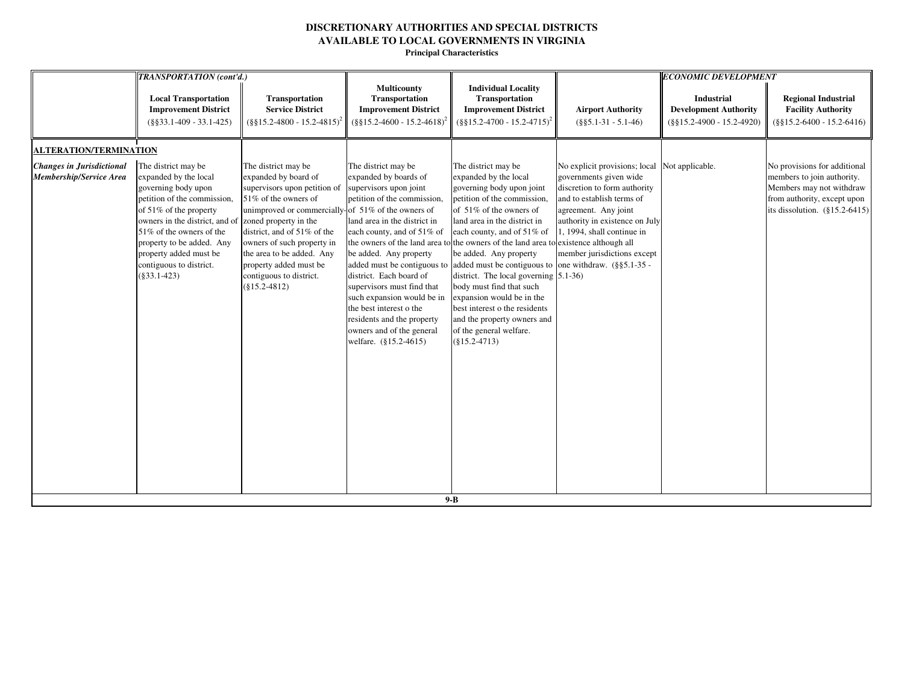| TRANSPORTATION (cont'd.)                                                                                                                                                                                                                                                                                                                                         |                                                                                                                                                                                                                                                                                                                               |                                                                                                                                                                                                                                                                                                                                                                                                                                |                                                                                                                                                                                                                                                                                                                                                                                                                                                                                                                                                                                                                                               |                                                                                                                                                                                                                                                             | <b>ECONOMIC DEVELOPMENT</b>                                                |                                                                                                                                                           |
|------------------------------------------------------------------------------------------------------------------------------------------------------------------------------------------------------------------------------------------------------------------------------------------------------------------------------------------------------------------|-------------------------------------------------------------------------------------------------------------------------------------------------------------------------------------------------------------------------------------------------------------------------------------------------------------------------------|--------------------------------------------------------------------------------------------------------------------------------------------------------------------------------------------------------------------------------------------------------------------------------------------------------------------------------------------------------------------------------------------------------------------------------|-----------------------------------------------------------------------------------------------------------------------------------------------------------------------------------------------------------------------------------------------------------------------------------------------------------------------------------------------------------------------------------------------------------------------------------------------------------------------------------------------------------------------------------------------------------------------------------------------------------------------------------------------|-------------------------------------------------------------------------------------------------------------------------------------------------------------------------------------------------------------------------------------------------------------|----------------------------------------------------------------------------|-----------------------------------------------------------------------------------------------------------------------------------------------------------|
| <b>Local Transportation</b><br><b>Improvement District</b><br>$(\$§33.1-409 - 33.1-425)$                                                                                                                                                                                                                                                                         | Transportation<br><b>Service District</b><br>$(\frac{8815.2 - 4800 - 15.2 - 4815)^2}{$                                                                                                                                                                                                                                        | Multicounty<br>Transportation<br><b>Improvement District</b><br>$(\$§15.2-4600 - 15.2-4618)$                                                                                                                                                                                                                                                                                                                                   | <b>Individual Locality</b><br>Transportation<br><b>Improvement District</b><br>$(\frac{8815.2-4700-15.2-4715)^2}{8815.2-4700}$                                                                                                                                                                                                                                                                                                                                                                                                                                                                                                                | <b>Airport Authority</b><br>$(\$§5.1-31 - 5.1-46)$                                                                                                                                                                                                          | Industrial<br><b>Development Authority</b><br>$(\$§15.2-4900 - 15.2-4920)$ | <b>Regional Industrial</b><br><b>Facility Authority</b><br>$(\$§15.2-6400 - 15.2-6416)$                                                                   |
| <b>ALTERATION/TERMINATION</b>                                                                                                                                                                                                                                                                                                                                    |                                                                                                                                                                                                                                                                                                                               |                                                                                                                                                                                                                                                                                                                                                                                                                                |                                                                                                                                                                                                                                                                                                                                                                                                                                                                                                                                                                                                                                               |                                                                                                                                                                                                                                                             |                                                                            |                                                                                                                                                           |
| <b>Changes in Jurisdictional</b><br>The district may be<br>expanded by the local<br>Membership/Service Area<br>governing body upon<br>petition of the commission,<br>of $51\%$ of the property<br>owners in the district, and of<br>51% of the owners of the<br>property to be added. Any<br>property added must be<br>contiguous to district.<br>$(\$33.1-423)$ | The district may be<br>expanded by board of<br>supervisors upon petition of<br>51% of the owners of<br>unimproved or commercially-<br>zoned property in the<br>district, and of 51% of the<br>owners of such property in<br>the area to be added. Any<br>property added must be<br>contiguous to district.<br>$(\$15.2-4812)$ | The district may be<br>expanded by boards of<br>supervisors upon joint<br>petition of the commission,<br>of 51% of the owners of<br>land area in the district in<br>each county, and of 51% of<br>be added. Any property<br>district. Each board of<br>supervisors must find that<br>such expansion would be in<br>the best interest o the<br>residents and the property<br>owners and of the general<br>welfare. (§15.2-4615) | The district may be<br>expanded by the local<br>governing body upon joint<br>petition of the commission,<br>of 51% of the owners of<br>land area in the district in<br>each county, and of 51% of<br>the owners of the land area to the owners of the land area to existence although all<br>be added. Any property<br>added must be contiguous to added must be contiguous to one withdraw. $(\frac{85.1-35}{9})$<br>district. The local governing $(5.1-36)$<br>body must find that such<br>expansion would be in the<br>best interest o the residents<br>and the property owners and<br>of the general welfare.<br>$(§15.2-4713)$<br>$9-B$ | No explicit provisions; local Not applicable.<br>governments given wide<br>discretion to form authority<br>and to establish terms of<br>agreement. Any joint<br>authority in existence on July<br>1, 1994, shall continue in<br>member jurisdictions except |                                                                            | No provisions for additional<br>members to join authority.<br>Members may not withdraw<br>from authority, except upon<br>its dissolution. $(\S15.2-6415)$ |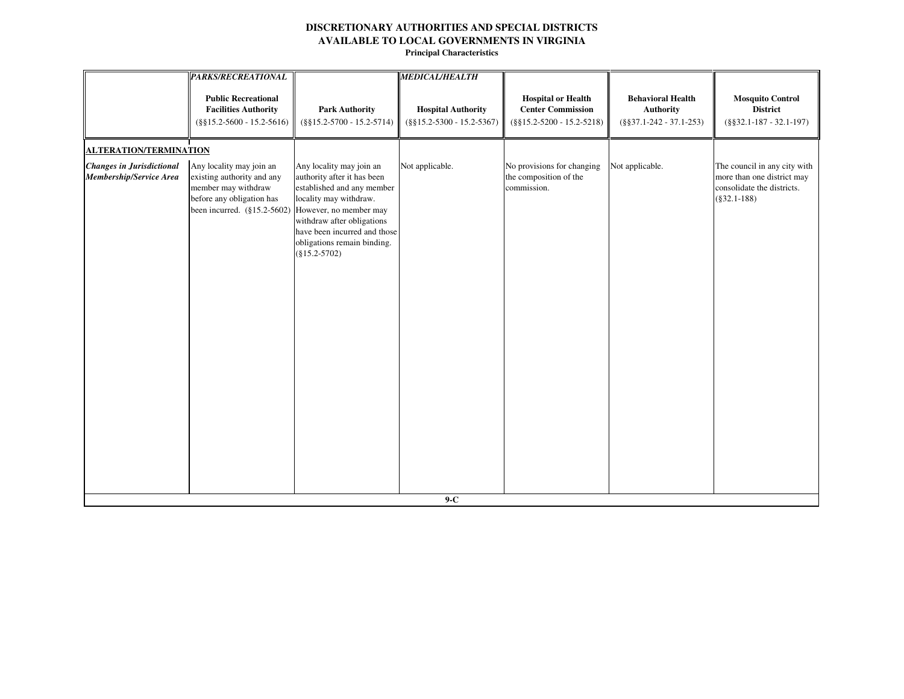|                                                             | <b>PARKS/RECREATIONAL</b>                                                                                                                 |                                                                                                                                                                                                                                                           | <b>MEDICAL/HEALTH</b>                                     |                                                                                       |                                                                            |                                                                                                            |
|-------------------------------------------------------------|-------------------------------------------------------------------------------------------------------------------------------------------|-----------------------------------------------------------------------------------------------------------------------------------------------------------------------------------------------------------------------------------------------------------|-----------------------------------------------------------|---------------------------------------------------------------------------------------|----------------------------------------------------------------------------|------------------------------------------------------------------------------------------------------------|
|                                                             | <b>Public Recreational</b><br><b>Facilities Authority</b><br>$(\$§15.2-5600 - 15.2-5616)$                                                 | <b>Park Authority</b><br>$(\$§15.2-5700 - 15.2-5714)$                                                                                                                                                                                                     | <b>Hospital Authority</b><br>$(\$§15.2-5300 - 15.2-5367)$ | <b>Hospital or Health</b><br><b>Center Commission</b><br>$(\$§15.2-5200 - 15.2-5218)$ | <b>Behavioral Health</b><br><b>Authority</b><br>$(\$§37.1-242 - 37.1-253)$ | <b>Mosquito Control</b><br><b>District</b><br>$(\$§32.1-187 - 32.1-197)$                                   |
| <b>ALTERATION/TERMINATION</b>                               |                                                                                                                                           |                                                                                                                                                                                                                                                           |                                                           |                                                                                       |                                                                            |                                                                                                            |
| <b>Changes in Jurisdictional</b><br>Membership/Service Area | Any locality may join an<br>existing authority and any<br>member may withdraw<br>before any obligation has<br>been incurred. (§15.2-5602) | Any locality may join an<br>authority after it has been<br>established and any member<br>locality may withdraw.<br>However, no member may<br>withdraw after obligations<br>have been incurred and those<br>obligations remain binding.<br>$(\$15.2-5702)$ | Not applicable.                                           | No provisions for changing<br>the composition of the<br>commission.                   | Not applicable.                                                            | The council in any city with<br>more than one district may<br>consolidate the districts.<br>$(\$32.1-188)$ |
|                                                             |                                                                                                                                           |                                                                                                                                                                                                                                                           | $9-C$                                                     |                                                                                       |                                                                            |                                                                                                            |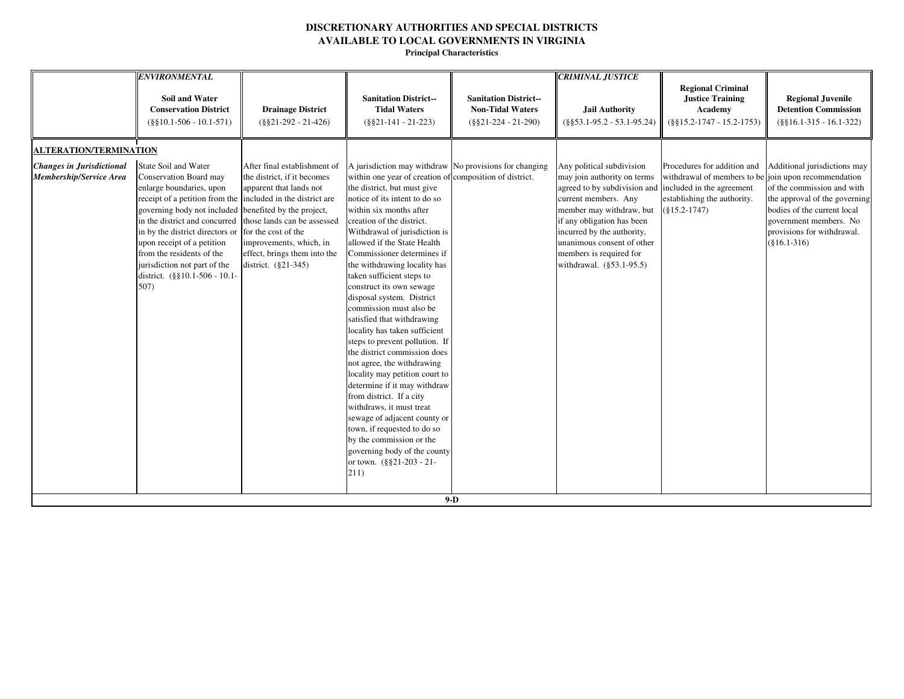|                                                                    | <b>ENVIRONMENTAL</b>                                                                                                                                                                                                                                                                                                                                                                                        |                                                                                                                                                                                                                                      |                                                                                                                                                                                                                                                                                                                                                                                                                                                                                                                                                                                                                                                                                                                                                                                                                                                                                                                                                  |                                                                                   | <b>CRIMINAL JUSTICE</b>                                                                                                                                                                                                                                                                       |                                                                                                                                                                   |                                                                                                                                                                                                      |
|--------------------------------------------------------------------|-------------------------------------------------------------------------------------------------------------------------------------------------------------------------------------------------------------------------------------------------------------------------------------------------------------------------------------------------------------------------------------------------------------|--------------------------------------------------------------------------------------------------------------------------------------------------------------------------------------------------------------------------------------|--------------------------------------------------------------------------------------------------------------------------------------------------------------------------------------------------------------------------------------------------------------------------------------------------------------------------------------------------------------------------------------------------------------------------------------------------------------------------------------------------------------------------------------------------------------------------------------------------------------------------------------------------------------------------------------------------------------------------------------------------------------------------------------------------------------------------------------------------------------------------------------------------------------------------------------------------|-----------------------------------------------------------------------------------|-----------------------------------------------------------------------------------------------------------------------------------------------------------------------------------------------------------------------------------------------------------------------------------------------|-------------------------------------------------------------------------------------------------------------------------------------------------------------------|------------------------------------------------------------------------------------------------------------------------------------------------------------------------------------------------------|
|                                                                    | Soil and Water<br><b>Conservation District</b><br>$(\$§10.1-506 - 10.1-571)$                                                                                                                                                                                                                                                                                                                                | <b>Drainage District</b><br>$(\$§21-292 - 21-426)$                                                                                                                                                                                   | <b>Sanitation District--</b><br><b>Tidal Waters</b><br>$(\$§21-141 - 21-223)$                                                                                                                                                                                                                                                                                                                                                                                                                                                                                                                                                                                                                                                                                                                                                                                                                                                                    | <b>Sanitation District--</b><br><b>Non-Tidal Waters</b><br>$(\$§21-224 - 21-290)$ | <b>Jail Authority</b><br>$(\$§53.1-95.2 - 53.1-95.24)$                                                                                                                                                                                                                                        | <b>Regional Criminal</b><br><b>Justice Training</b><br>Academy<br>$(\$§15.2-1747 - 15.2-1753)$                                                                    | <b>Regional Juvenile</b><br><b>Detention Commission</b><br>$(\$§16.1-315 - 16.1-322)$                                                                                                                |
| <b>ALTERATION/TERMINATION</b>                                      |                                                                                                                                                                                                                                                                                                                                                                                                             |                                                                                                                                                                                                                                      |                                                                                                                                                                                                                                                                                                                                                                                                                                                                                                                                                                                                                                                                                                                                                                                                                                                                                                                                                  |                                                                                   |                                                                                                                                                                                                                                                                                               |                                                                                                                                                                   |                                                                                                                                                                                                      |
| <b>Changes in Jurisdictional</b><br><b>Membership/Service Area</b> | <b>State Soil and Water</b><br>Conservation Board may<br>enlarge boundaries, upon<br>receipt of a petition from the included in the district are<br>governing body not included<br>in the district and concurred<br>in by the district directors or for the cost of the<br>upon receipt of a petition<br>from the residents of the<br>jurisdiction not part of the<br>district. (§§10.1-506 - 10.1-<br>507) | After final establishment of<br>the district, if it becomes<br>apparent that lands not<br>benefited by the project,<br>those lands can be assessed<br>improvements, which, in<br>effect, brings them into the<br>district. (§21-345) | A jurisdiction may withdraw No provisions for changing<br>within one year of creation of composition of district.<br>the district, but must give<br>notice of its intent to do so<br>within six months after<br>creation of the district.<br>Withdrawal of jurisdiction is<br>allowed if the State Health<br>Commissioner determines if<br>the withdrawing locality has<br>taken sufficient steps to<br>construct its own sewage<br>disposal system. District<br>commission must also be<br>satisfied that withdrawing<br>locality has taken sufficient<br>steps to prevent pollution. If<br>the district commission does<br>not agree, the withdrawing<br>locality may petition court to<br>determine if it may withdraw<br>from district. If a city<br>withdraws, it must treat<br>sewage of adjacent county or<br>town, if requested to do so<br>by the commission or the<br>governing body of the county<br>or town. (§§21-203 - 21-<br>211) | $9-D$                                                                             | Any political subdivision<br>may join authority on terms<br>agreed to by subdivision and<br>current members. Any<br>member may withdraw, but<br>if any obligation has been<br>incurred by the authority,<br>unanimous consent of other<br>members is required for<br>withdrawal. (§53.1-95.5) | Procedures for addition and<br>withdrawal of members to be join upon recommendation<br>included in the agreement<br>establishing the authority.<br>$(§15.2-1747)$ | Additional jurisdictions may<br>of the commission and with<br>the approval of the governing<br>bodies of the current local<br>government members. No<br>provisions for withdrawal.<br>$(\$16.1-316)$ |
|                                                                    |                                                                                                                                                                                                                                                                                                                                                                                                             |                                                                                                                                                                                                                                      |                                                                                                                                                                                                                                                                                                                                                                                                                                                                                                                                                                                                                                                                                                                                                                                                                                                                                                                                                  |                                                                                   |                                                                                                                                                                                                                                                                                               |                                                                                                                                                                   |                                                                                                                                                                                                      |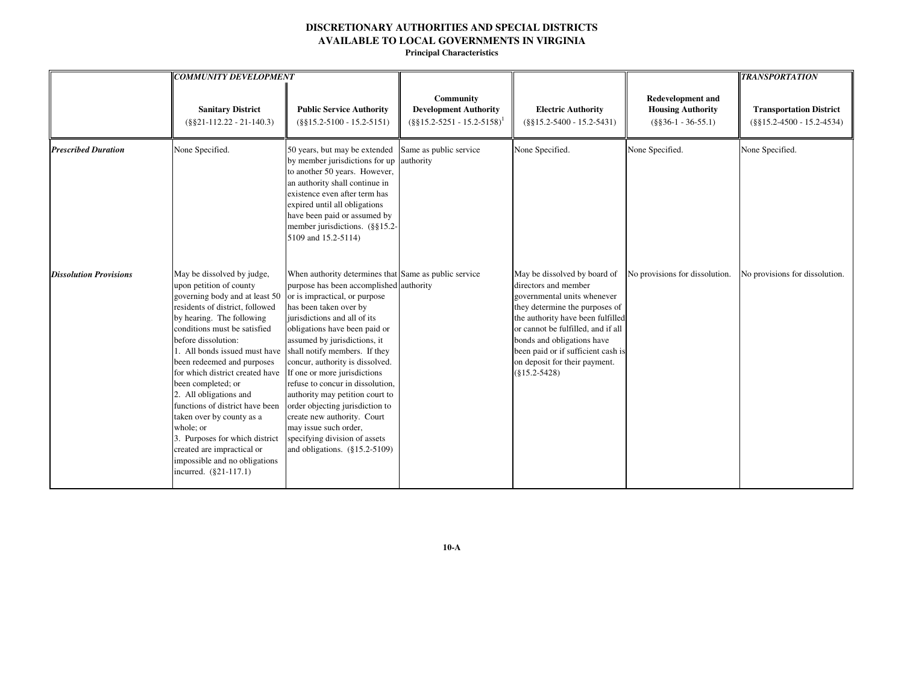**Principal Characteristics**

|                               | <b>COMMUNITY DEVELOPMENT</b>                                                                                                                                                                                                                                                                                                                                                                                                                                                                                                                                            |                                                                                                                                                                                                                                                                                                                                                                                                                                                                                                                                                                                                         |                                                                                  |                                                                                                                                                                                                                                                                                                                          |                                                                               | <b>TRANSPORTATION</b>                                          |
|-------------------------------|-------------------------------------------------------------------------------------------------------------------------------------------------------------------------------------------------------------------------------------------------------------------------------------------------------------------------------------------------------------------------------------------------------------------------------------------------------------------------------------------------------------------------------------------------------------------------|---------------------------------------------------------------------------------------------------------------------------------------------------------------------------------------------------------------------------------------------------------------------------------------------------------------------------------------------------------------------------------------------------------------------------------------------------------------------------------------------------------------------------------------------------------------------------------------------------------|----------------------------------------------------------------------------------|--------------------------------------------------------------------------------------------------------------------------------------------------------------------------------------------------------------------------------------------------------------------------------------------------------------------------|-------------------------------------------------------------------------------|----------------------------------------------------------------|
|                               | <b>Sanitary District</b><br>$(\$§21-112.22 - 21-140.3)$                                                                                                                                                                                                                                                                                                                                                                                                                                                                                                                 | <b>Public Service Authority</b><br>$(\$§15.2-5100 - 15.2-5151)$                                                                                                                                                                                                                                                                                                                                                                                                                                                                                                                                         | Community<br><b>Development Authority</b><br>$(\S\S15.2 - 5251 - 15.2 - 5158)^T$ | <b>Electric Authority</b><br>$(\$§15.2-5400 - 15.2-5431)$                                                                                                                                                                                                                                                                | <b>Redevelopment and</b><br><b>Housing Authority</b><br>$(\$§36-1 - 36-55.1)$ | <b>Transportation District</b><br>$(\$§15.2-4500 - 15.2-4534)$ |
| <b>Prescribed Duration</b>    | None Specified.                                                                                                                                                                                                                                                                                                                                                                                                                                                                                                                                                         | 50 years, but may be extended<br>by member jurisdictions for up<br>to another 50 years. However,<br>an authority shall continue in<br>existence even after term has<br>expired until all obligations<br>have been paid or assumed by<br>member jurisdictions. (§§15.2-<br>5109 and 15.2-5114)                                                                                                                                                                                                                                                                                                           | Same as public service<br>authority                                              | None Specified.                                                                                                                                                                                                                                                                                                          | None Specified.                                                               | None Specified.                                                |
| <b>Dissolution Provisions</b> | May be dissolved by judge,<br>upon petition of county<br>governing body and at least 50<br>residents of district, followed<br>by hearing. The following<br>conditions must be satisfied<br>before dissolution:<br>1. All bonds issued must have<br>been redeemed and purposes<br>for which district created have<br>been completed; or<br>2. All obligations and<br>functions of district have been<br>taken over by county as a<br>whole; or<br>3. Purposes for which district<br>created are impractical or<br>impossible and no obligations<br>incurred. (§21-117.1) | When authority determines that Same as public service<br>purpose has been accomplished authority<br>or is impractical, or purpose<br>has been taken over by<br>jurisdictions and all of its<br>obligations have been paid or<br>assumed by jurisdictions, it<br>shall notify members. If they<br>concur, authority is dissolved.<br>If one or more jurisdictions<br>refuse to concur in dissolution,<br>authority may petition court to<br>order objecting jurisdiction to<br>create new authority. Court<br>may issue such order,<br>specifying division of assets<br>and obligations. $(\$15.2-5109)$ |                                                                                  | May be dissolved by board of<br>directors and member<br>governmental units whenever<br>they determine the purposes of<br>the authority have been fulfilled<br>or cannot be fulfilled, and if all<br>bonds and obligations have<br>been paid or if sufficient cash is<br>on deposit for their payment.<br>$(\$15.2-5428)$ | No provisions for dissolution.                                                | No provisions for dissolution.                                 |

**10-A**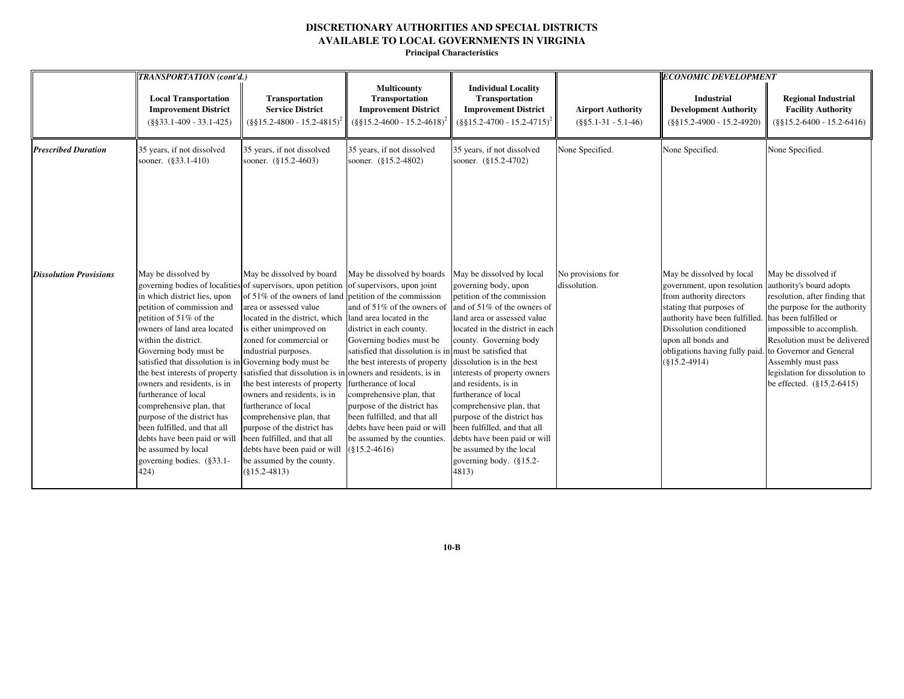**Principal Characteristics**

|                               | TRANSPORTATION (cont'd.)                                                                                                                                                                                                                                                                                                                                                                                                                                                                                                                   |                                                                                                                                                                                                                                                                                                                                                                                                                                                                                                                                                                             |                                                                                                                                                                                                                                                                                                                                                                                                                                                                                                                                            |                                                                                                                                                                                                                                                                                                                                                                                                                                                                                                                    | <b>ECONOMIC DEVELOPMENT</b>                        |                                                                                                                                                                                                                                                         |                                                                                                                                                                                                                                                                                                                          |
|-------------------------------|--------------------------------------------------------------------------------------------------------------------------------------------------------------------------------------------------------------------------------------------------------------------------------------------------------------------------------------------------------------------------------------------------------------------------------------------------------------------------------------------------------------------------------------------|-----------------------------------------------------------------------------------------------------------------------------------------------------------------------------------------------------------------------------------------------------------------------------------------------------------------------------------------------------------------------------------------------------------------------------------------------------------------------------------------------------------------------------------------------------------------------------|--------------------------------------------------------------------------------------------------------------------------------------------------------------------------------------------------------------------------------------------------------------------------------------------------------------------------------------------------------------------------------------------------------------------------------------------------------------------------------------------------------------------------------------------|--------------------------------------------------------------------------------------------------------------------------------------------------------------------------------------------------------------------------------------------------------------------------------------------------------------------------------------------------------------------------------------------------------------------------------------------------------------------------------------------------------------------|----------------------------------------------------|---------------------------------------------------------------------------------------------------------------------------------------------------------------------------------------------------------------------------------------------------------|--------------------------------------------------------------------------------------------------------------------------------------------------------------------------------------------------------------------------------------------------------------------------------------------------------------------------|
|                               | <b>Local Transportation</b><br><b>Improvement District</b><br>$(\$§33.1-409 - 33.1-425)$                                                                                                                                                                                                                                                                                                                                                                                                                                                   | Transportation<br><b>Service District</b><br>$(8815.2 - 4800 - 15.2 - 4815)^2$                                                                                                                                                                                                                                                                                                                                                                                                                                                                                              | <b>Multicounty</b><br>Transportation<br><b>Improvement District</b><br>$(\$§15.2-4600 - 15.2-4618)$                                                                                                                                                                                                                                                                                                                                                                                                                                        | <b>Individual Locality</b><br>Transportation<br><b>Improvement District</b><br>$(\frac{8815.2-4700-15.2-4715)^2}{8815.2-4700}$                                                                                                                                                                                                                                                                                                                                                                                     | <b>Airport Authority</b><br>$(\$§5.1-31 - 5.1-46)$ | <b>Industrial</b><br><b>Development Authority</b><br>$(\$§15.2-4900 - 15.2-4920)$                                                                                                                                                                       | <b>Regional Industrial</b><br><b>Facility Authority</b><br>$(\$§15.2-6400 - 15.2-6416)$                                                                                                                                                                                                                                  |
| <b>Prescribed Duration</b>    | 35 years, if not dissolved<br>sooner. (§33.1-410)                                                                                                                                                                                                                                                                                                                                                                                                                                                                                          | 35 years, if not dissolved<br>sooner. (§15.2-4603)                                                                                                                                                                                                                                                                                                                                                                                                                                                                                                                          | 35 years, if not dissolved<br>sooner. (§15.2-4802)                                                                                                                                                                                                                                                                                                                                                                                                                                                                                         | 35 years, if not dissolved<br>sooner. (§15.2-4702)                                                                                                                                                                                                                                                                                                                                                                                                                                                                 | None Specified.                                    | None Specified.                                                                                                                                                                                                                                         | None Specified.                                                                                                                                                                                                                                                                                                          |
| <b>Dissolution Provisions</b> | May be dissolved by<br>in which district lies, upon<br>petition of commission and<br>petition of $51\%$ of the<br>owners of land area located<br>within the district.<br>Governing body must be<br>satisfied that dissolution is in Governing body must be<br>the best interests of property<br>owners and residents, is in<br>furtherance of local<br>comprehensive plan, that<br>purpose of the district has<br>been fulfilled, and that all<br>debts have been paid or will<br>be assumed by local<br>governing bodies. (§33.1-<br>424) | May be dissolved by board<br>governing bodies of localities of supervisors, upon petition<br>of 51% of the owners of land<br>area or assessed value<br>located in the district, which<br>is either unimproved on<br>zoned for commercial or<br>industrial purposes.<br>satisfied that dissolution is in<br>the best interests of property<br>owners and residents, is in<br>furtherance of local<br>comprehensive plan, that<br>purpose of the district has<br>been fulfilled, and that all<br>debts have been paid or will<br>be assumed by the county.<br>$(\$15.2-4813)$ | May be dissolved by boards<br>of supervisors, upon joint<br>petition of the commission<br>and of 51% of the owners of<br>land area located in the<br>district in each county.<br>Governing bodies must be<br>satisfied that dissolution is in must be satisfied that<br>the best interests of property<br>owners and residents, is in<br>furtherance of local<br>comprehensive plan, that<br>purpose of the district has<br>been fulfilled, and that all<br>debts have been paid or will<br>be assumed by the counties.<br>$(\$15.2-4616)$ | May be dissolved by local<br>governing body, upon<br>petition of the commission<br>and of 51% of the owners of<br>land area or assessed value<br>located in the district in each<br>county. Governing body<br>dissolution is in the best<br>interests of property owners<br>and residents, is in<br>furtherance of local<br>comprehensive plan, that<br>purpose of the district has<br>been fulfilled, and that all<br>debts have been paid or will<br>be assumed by the local<br>governing body. (§15.2-<br>4813) | No provisions for<br>dissolution.                  | May be dissolved by local<br>government, upon resolution<br>from authority directors<br>stating that purposes of<br>authority have been fulfilled.<br>Dissolution conditioned<br>upon all bonds and<br>obligations having fully paid<br>$(\$15.2-4914)$ | May be dissolved if<br>authority's board adopts<br>resolution, after finding that<br>the purpose for the authority<br>has been fulfilled or<br>impossible to accomplish.<br>Resolution must be delivered<br>to Governor and General<br>Assembly must pass<br>legislation for dissolution to<br>be effected. (§15.2-6415) |

**10-B**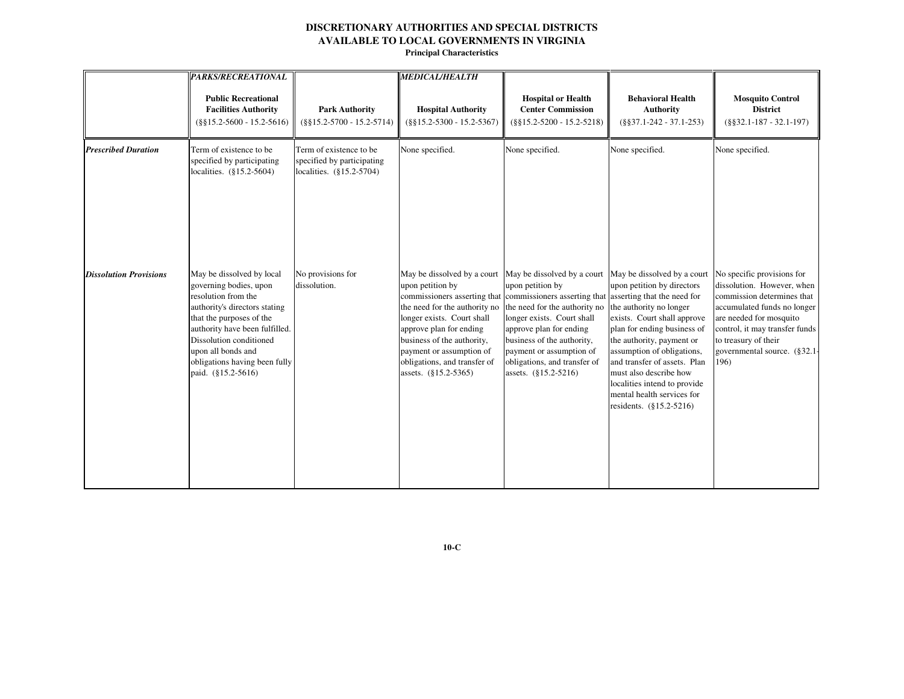**Principal Characteristics**

|                               | <b>PARKS/RECREATIONAL</b>                                                                                                                                                                                                                                                         |                                                                                   | <b>MEDICAL/HEALTH</b>                                                                                                                                                                                                                                       |                                                                                                                                                                                                                                                                                                                                                                                  |                                                                                                                                                                                                                                                                                                                                   |                                                                                                                                                                                                                                                    |
|-------------------------------|-----------------------------------------------------------------------------------------------------------------------------------------------------------------------------------------------------------------------------------------------------------------------------------|-----------------------------------------------------------------------------------|-------------------------------------------------------------------------------------------------------------------------------------------------------------------------------------------------------------------------------------------------------------|----------------------------------------------------------------------------------------------------------------------------------------------------------------------------------------------------------------------------------------------------------------------------------------------------------------------------------------------------------------------------------|-----------------------------------------------------------------------------------------------------------------------------------------------------------------------------------------------------------------------------------------------------------------------------------------------------------------------------------|----------------------------------------------------------------------------------------------------------------------------------------------------------------------------------------------------------------------------------------------------|
|                               | <b>Public Recreational</b><br><b>Facilities Authority</b><br>$(\$§15.2-5600 - 15.2-5616)$                                                                                                                                                                                         | <b>Park Authority</b><br>$(\$§15.2-5700 - 15.2-5714)$                             | <b>Hospital Authority</b><br>$(\$§15.2-5300 - 15.2-5367)$                                                                                                                                                                                                   | <b>Hospital or Health</b><br><b>Center Commission</b><br>$(\$§15.2-5200 - 15.2-5218)$                                                                                                                                                                                                                                                                                            | <b>Behavioral Health</b><br><b>Authority</b><br>$(\$§37.1-242 - 37.1-253)$                                                                                                                                                                                                                                                        | <b>Mosquito Control</b><br><b>District</b><br>$(\$§32.1-187 - 32.1-197)$                                                                                                                                                                           |
| <b>Prescribed Duration</b>    | Term of existence to be<br>specified by participating<br>localities. (§15.2-5604)                                                                                                                                                                                                 | Term of existence to be<br>specified by participating<br>localities. (§15.2-5704) | None specified.                                                                                                                                                                                                                                             | None specified.                                                                                                                                                                                                                                                                                                                                                                  | None specified.                                                                                                                                                                                                                                                                                                                   | None specified.                                                                                                                                                                                                                                    |
| <b>Dissolution Provisions</b> | May be dissolved by local<br>governing bodies, upon<br>resolution from the<br>authority's directors stating<br>that the purposes of the<br>authority have been fulfilled.<br>Dissolution conditioned<br>upon all bonds and<br>obligations having been fully<br>paid. (§15.2-5616) | No provisions for<br>dissolution.                                                 | May be dissolved by a court<br>upon petition by<br>the need for the authority no<br>longer exists. Court shall<br>approve plan for ending<br>business of the authority,<br>payment or assumption of<br>obligations, and transfer of<br>assets. (§15.2-5365) | May be dissolved by a court May be dissolved by a court<br>upon petition by<br>commissioners asserting that commissioners asserting that asserting that the need for<br>the need for the authority no<br>longer exists. Court shall<br>approve plan for ending<br>business of the authority,<br>payment or assumption of<br>obligations, and transfer of<br>assets. (§15.2-5216) | upon petition by directors<br>the authority no longer<br>exists. Court shall approve<br>plan for ending business of<br>the authority, payment or<br>assumption of obligations,<br>and transfer of assets. Plan<br>must also describe how<br>localities intend to provide<br>mental health services for<br>residents. (§15.2-5216) | No specific provisions for<br>dissolution. However, when<br>commission determines that<br>accumulated funds no longer<br>are needed for mosquito<br>control, it may transfer funds<br>to treasury of their<br>governmental source. (§32.1-<br>196) |

**10-C**